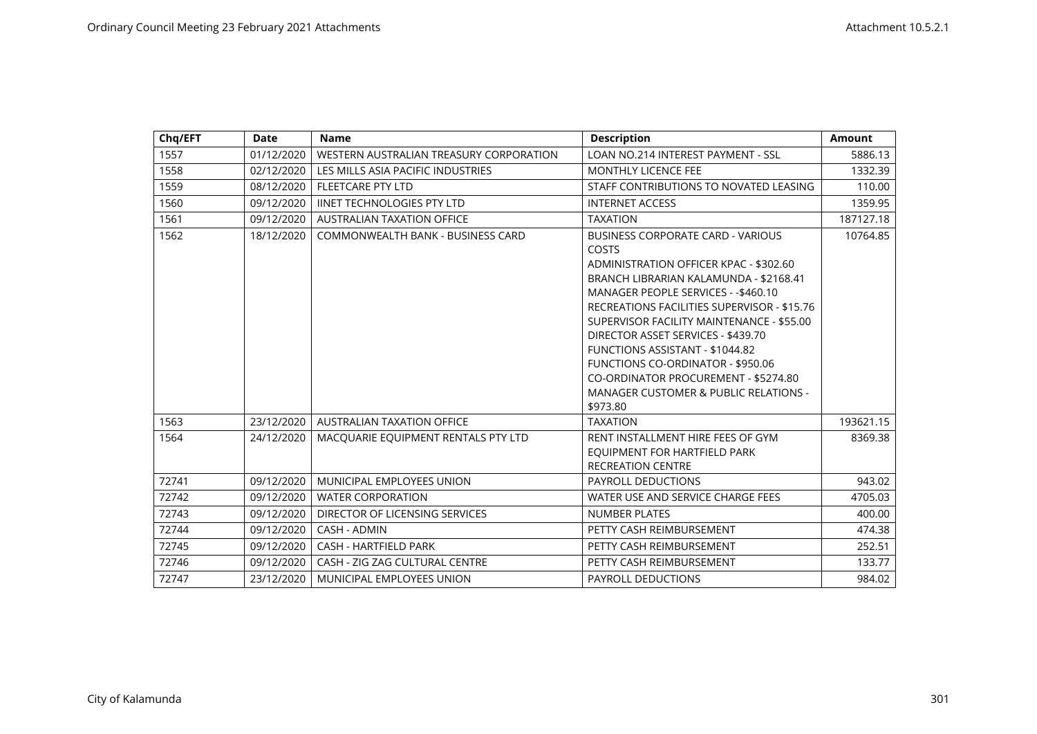| Chq/EFT | Date       | <b>Name</b>                             | <b>Description</b>                                                                                                                                                                                                                                                                                                                                                                                                                                                                          | Amount    |
|---------|------------|-----------------------------------------|---------------------------------------------------------------------------------------------------------------------------------------------------------------------------------------------------------------------------------------------------------------------------------------------------------------------------------------------------------------------------------------------------------------------------------------------------------------------------------------------|-----------|
| 1557    | 01/12/2020 | WESTERN AUSTRALIAN TREASURY CORPORATION | LOAN NO.214 INTEREST PAYMENT - SSL                                                                                                                                                                                                                                                                                                                                                                                                                                                          | 5886.13   |
| 1558    | 02/12/2020 | LES MILLS ASIA PACIFIC INDUSTRIES       | <b>MONTHLY LICENCE FEE</b>                                                                                                                                                                                                                                                                                                                                                                                                                                                                  | 1332.39   |
| 1559    | 08/12/2020 | <b>FLEETCARE PTY LTD</b>                | STAFF CONTRIBUTIONS TO NOVATED LEASING                                                                                                                                                                                                                                                                                                                                                                                                                                                      | 110.00    |
| 1560    | 09/12/2020 | <b>IINET TECHNOLOGIES PTY LTD</b>       | <b>INTERNET ACCESS</b>                                                                                                                                                                                                                                                                                                                                                                                                                                                                      | 1359.95   |
| 1561    | 09/12/2020 | <b>AUSTRALIAN TAXATION OFFICE</b>       | <b>TAXATION</b>                                                                                                                                                                                                                                                                                                                                                                                                                                                                             | 187127.18 |
| 1562    | 18/12/2020 | COMMONWEALTH BANK - BUSINESS CARD       | <b>BUSINESS CORPORATE CARD - VARIOUS</b><br>COSTS<br>ADMINISTRATION OFFICER KPAC - \$302.60<br>BRANCH LIBRARIAN KALAMUNDA - \$2168.41<br>MANAGER PEOPLE SERVICES - - \$460.10<br>RECREATIONS FACILITIES SUPERVISOR - \$15.76<br>SUPERVISOR FACILITY MAINTENANCE - \$55.00<br>DIRECTOR ASSET SERVICES - \$439.70<br>FUNCTIONS ASSISTANT - \$1044.82<br><b>FUNCTIONS CO-ORDINATOR - \$950.06</b><br>CO-ORDINATOR PROCUREMENT - \$5274.80<br>MANAGER CUSTOMER & PUBLIC RELATIONS -<br>\$973.80 | 10764.85  |
| 1563    | 23/12/2020 | <b>AUSTRALIAN TAXATION OFFICE</b>       | <b>TAXATION</b>                                                                                                                                                                                                                                                                                                                                                                                                                                                                             | 193621.15 |
| 1564    | 24/12/2020 | MACQUARIE EQUIPMENT RENTALS PTY LTD     | RENT INSTALLMENT HIRE FEES OF GYM<br>EQUIPMENT FOR HARTFIELD PARK<br><b>RECREATION CENTRE</b>                                                                                                                                                                                                                                                                                                                                                                                               | 8369.38   |
| 72741   | 09/12/2020 | MUNICIPAL EMPLOYEES UNION               | <b>PAYROLL DEDUCTIONS</b>                                                                                                                                                                                                                                                                                                                                                                                                                                                                   | 943.02    |
| 72742   | 09/12/2020 | <b>WATER CORPORATION</b>                | WATER USE AND SERVICE CHARGE FEES                                                                                                                                                                                                                                                                                                                                                                                                                                                           | 4705.03   |
| 72743   | 09/12/2020 | DIRECTOR OF LICENSING SERVICES          | <b>NUMBER PLATES</b>                                                                                                                                                                                                                                                                                                                                                                                                                                                                        | 400.00    |
| 72744   | 09/12/2020 | CASH - ADMIN                            | PETTY CASH REIMBURSEMENT                                                                                                                                                                                                                                                                                                                                                                                                                                                                    | 474.38    |
| 72745   | 09/12/2020 | <b>CASH - HARTFIELD PARK</b>            | PETTY CASH REIMBURSEMENT                                                                                                                                                                                                                                                                                                                                                                                                                                                                    | 252.51    |
| 72746   | 09/12/2020 | CASH - ZIG ZAG CULTURAL CENTRE          | PETTY CASH REIMBURSEMENT                                                                                                                                                                                                                                                                                                                                                                                                                                                                    | 133.77    |
| 72747   | 23/12/2020 | MUNICIPAL EMPLOYEES UNION               | PAYROLL DEDUCTIONS                                                                                                                                                                                                                                                                                                                                                                                                                                                                          | 984.02    |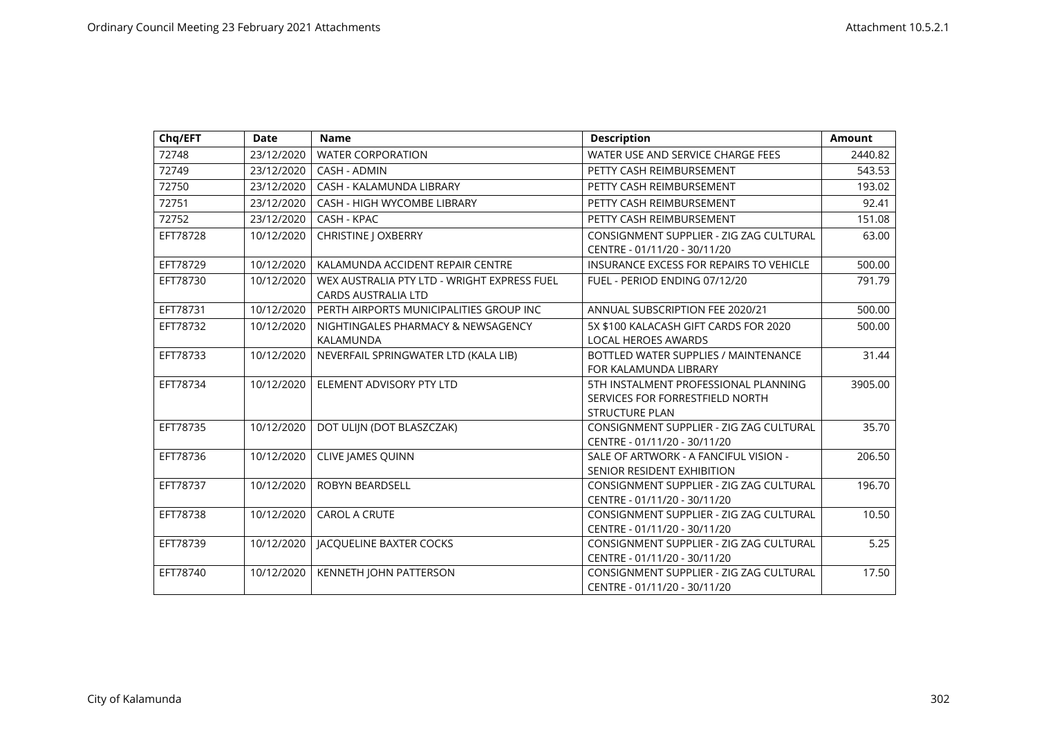| Chq/EFT  | <b>Date</b> | <b>Name</b>                                                               | <b>Description</b>                                                                               | <b>Amount</b> |
|----------|-------------|---------------------------------------------------------------------------|--------------------------------------------------------------------------------------------------|---------------|
| 72748    | 23/12/2020  | <b>WATER CORPORATION</b>                                                  | WATER USE AND SERVICE CHARGE FEES                                                                | 2440.82       |
| 72749    | 23/12/2020  | CASH - ADMIN                                                              | PETTY CASH REIMBURSEMENT                                                                         | 543.53        |
| 72750    | 23/12/2020  | CASH - KALAMUNDA LIBRARY                                                  | PETTY CASH REIMBURSEMENT                                                                         | 193.02        |
| 72751    | 23/12/2020  | <b>CASH - HIGH WYCOMBE LIBRARY</b>                                        | PETTY CASH REIMBURSEMENT                                                                         | 92.41         |
| 72752    | 23/12/2020  | CASH - KPAC                                                               | PETTY CASH REIMBURSEMENT                                                                         | 151.08        |
| EFT78728 | 10/12/2020  | <b>CHRISTINE   OXBERRY</b>                                                | CONSIGNMENT SUPPLIER - ZIG ZAG CULTURAL<br>CENTRE - 01/11/20 - 30/11/20                          | 63.00         |
| EFT78729 | 10/12/2020  | KALAMUNDA ACCIDENT REPAIR CENTRE                                          | INSURANCE EXCESS FOR REPAIRS TO VEHICLE                                                          | 500.00        |
| EFT78730 | 10/12/2020  | WEX AUSTRALIA PTY LTD - WRIGHT EXPRESS FUEL<br><b>CARDS AUSTRALIA LTD</b> | FUEL - PERIOD ENDING 07/12/20                                                                    | 791.79        |
| EFT78731 | 10/12/2020  | PERTH AIRPORTS MUNICIPALITIES GROUP INC                                   | ANNUAL SUBSCRIPTION FEE 2020/21                                                                  | 500.00        |
| EFT78732 | 10/12/2020  | NIGHTINGALES PHARMACY & NEWSAGENCY<br>KALAMUNDA                           | 5X \$100 KALACASH GIFT CARDS FOR 2020<br><b>LOCAL HEROES AWARDS</b>                              | 500.00        |
| EFT78733 | 10/12/2020  | NEVERFAIL SPRINGWATER LTD (KALA LIB)                                      | BOTTLED WATER SUPPLIES / MAINTENANCE<br>FOR KALAMUNDA LIBRARY                                    | 31.44         |
| EFT78734 | 10/12/2020  | ELEMENT ADVISORY PTY LTD                                                  | 5TH INSTALMENT PROFESSIONAL PLANNING<br>SERVICES FOR FORRESTFIELD NORTH<br><b>STRUCTURE PLAN</b> | 3905.00       |
| EFT78735 | 10/12/2020  | DOT ULIJN (DOT BLASZCZAK)                                                 | CONSIGNMENT SUPPLIER - ZIG ZAG CULTURAL<br>CENTRE - 01/11/20 - 30/11/20                          | 35.70         |
| EFT78736 | 10/12/2020  | <b>CLIVE JAMES QUINN</b>                                                  | SALE OF ARTWORK - A FANCIFUL VISION -<br>SENIOR RESIDENT EXHIBITION                              | 206.50        |
| EFT78737 | 10/12/2020  | <b>ROBYN BEARDSELL</b>                                                    | CONSIGNMENT SUPPLIER - ZIG ZAG CULTURAL<br>CENTRE - 01/11/20 - 30/11/20                          | 196.70        |
| EFT78738 | 10/12/2020  | <b>CAROL A CRUTE</b>                                                      | CONSIGNMENT SUPPLIER - ZIG ZAG CULTURAL<br>CENTRE - 01/11/20 - 30/11/20                          | 10.50         |
| EFT78739 | 10/12/2020  | <b>JACQUELINE BAXTER COCKS</b>                                            | CONSIGNMENT SUPPLIER - ZIG ZAG CULTURAL<br>CENTRE - 01/11/20 - 30/11/20                          | 5.25          |
| EFT78740 | 10/12/2020  | KENNETH JOHN PATTERSON                                                    | CONSIGNMENT SUPPLIER - ZIG ZAG CULTURAL<br>CENTRE - 01/11/20 - 30/11/20                          | 17.50         |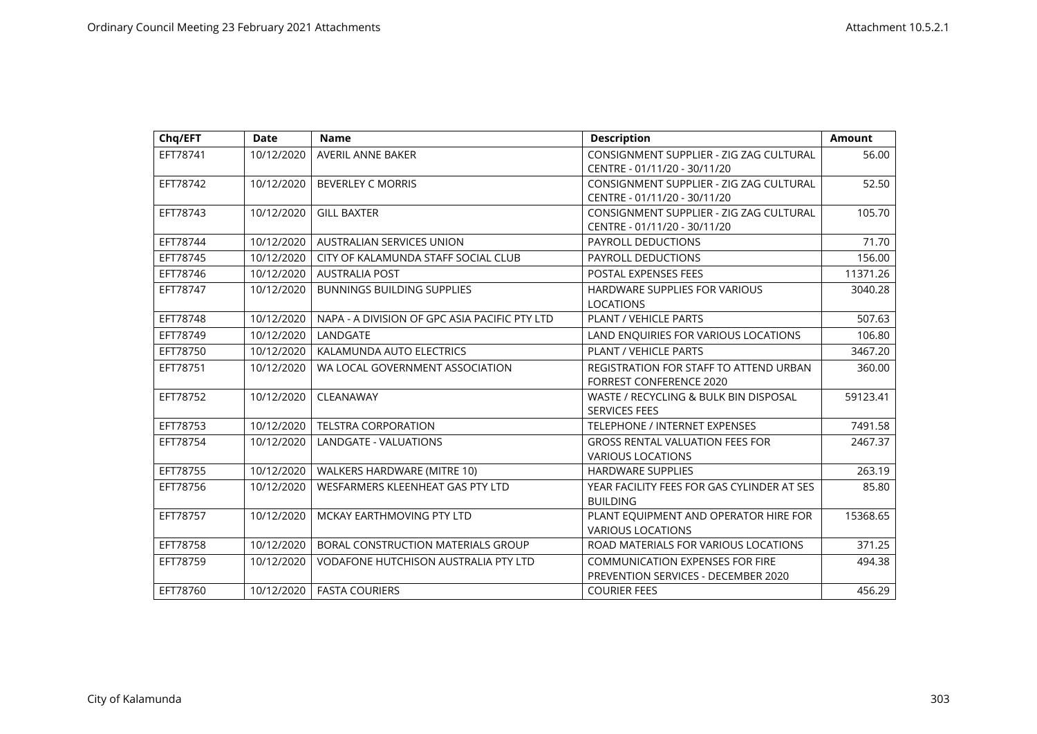| Chq/EFT  | <b>Date</b> | <b>Name</b>                                   | <b>Description</b>                         | <b>Amount</b> |
|----------|-------------|-----------------------------------------------|--------------------------------------------|---------------|
| EFT78741 | 10/12/2020  | AVERIL ANNE BAKER                             | CONSIGNMENT SUPPLIER - ZIG ZAG CULTURAL    | 56.00         |
|          |             |                                               | CENTRE - 01/11/20 - 30/11/20               |               |
| EFT78742 | 10/12/2020  | <b>BEVERLEY C MORRIS</b>                      | CONSIGNMENT SUPPLIER - ZIG ZAG CULTURAL    | 52.50         |
|          |             |                                               | CENTRE - 01/11/20 - 30/11/20               |               |
| EFT78743 | 10/12/2020  | <b>GILL BAXTER</b>                            | CONSIGNMENT SUPPLIER - ZIG ZAG CULTURAL    | 105.70        |
|          |             |                                               | CENTRE - 01/11/20 - 30/11/20               |               |
| EFT78744 | 10/12/2020  | <b>AUSTRALIAN SERVICES UNION</b>              | PAYROLL DEDUCTIONS                         | 71.70         |
| EFT78745 | 10/12/2020  | CITY OF KALAMUNDA STAFF SOCIAL CLUB           | <b>PAYROLL DEDUCTIONS</b>                  | 156.00        |
| EFT78746 | 10/12/2020  | <b>AUSTRALIA POST</b>                         | POSTAL EXPENSES FEES                       | 11371.26      |
| EFT78747 | 10/12/2020  | <b>BUNNINGS BUILDING SUPPLIES</b>             | HARDWARE SUPPLIES FOR VARIOUS              | 3040.28       |
|          |             |                                               | <b>LOCATIONS</b>                           |               |
| EFT78748 | 10/12/2020  | NAPA - A DIVISION OF GPC ASIA PACIFIC PTY LTD | PLANT / VEHICLE PARTS                      | 507.63        |
| EFT78749 | 10/12/2020  | LANDGATE                                      | LAND ENQUIRIES FOR VARIOUS LOCATIONS       | 106.80        |
| EFT78750 | 10/12/2020  | KALAMUNDA AUTO ELECTRICS                      | PLANT / VEHICLE PARTS                      | 3467.20       |
| EFT78751 | 10/12/2020  | WA LOCAL GOVERNMENT ASSOCIATION               | REGISTRATION FOR STAFF TO ATTEND URBAN     | 360.00        |
|          |             |                                               | <b>FORREST CONFERENCE 2020</b>             |               |
| EFT78752 | 10/12/2020  | CLEANAWAY                                     | WASTE / RECYCLING & BULK BIN DISPOSAL      | 59123.41      |
|          |             |                                               | <b>SERVICES FEES</b>                       |               |
| EFT78753 | 10/12/2020  | <b>TELSTRA CORPORATION</b>                    | TELEPHONE / INTERNET EXPENSES              | 7491.58       |
| EFT78754 | 10/12/2020  | LANDGATE - VALUATIONS                         | <b>GROSS RENTAL VALUATION FEES FOR</b>     | 2467.37       |
|          |             |                                               | <b>VARIOUS LOCATIONS</b>                   |               |
| EFT78755 | 10/12/2020  | WALKERS HARDWARE (MITRE 10)                   | <b>HARDWARE SUPPLIES</b>                   | 263.19        |
| EFT78756 | 10/12/2020  | WESFARMERS KLEENHEAT GAS PTY LTD              | YEAR FACILITY FEES FOR GAS CYLINDER AT SES | 85.80         |
|          |             |                                               | <b>BUILDING</b>                            |               |
| EFT78757 | 10/12/2020  | MCKAY EARTHMOVING PTY LTD                     | PLANT EQUIPMENT AND OPERATOR HIRE FOR      | 15368.65      |
|          |             |                                               | <b>VARIOUS LOCATIONS</b>                   |               |
| EFT78758 | 10/12/2020  | BORAL CONSTRUCTION MATERIALS GROUP            | ROAD MATERIALS FOR VARIOUS LOCATIONS       | 371.25        |
| EFT78759 | 10/12/2020  | <b>VODAFONE HUTCHISON AUSTRALIA PTY LTD</b>   | <b>COMMUNICATION EXPENSES FOR FIRE</b>     | 494.38        |
|          |             |                                               | PREVENTION SERVICES - DECEMBER 2020        |               |
| EFT78760 | 10/12/2020  | <b>FASTA COURIERS</b>                         | <b>COURIER FEES</b>                        | 456.29        |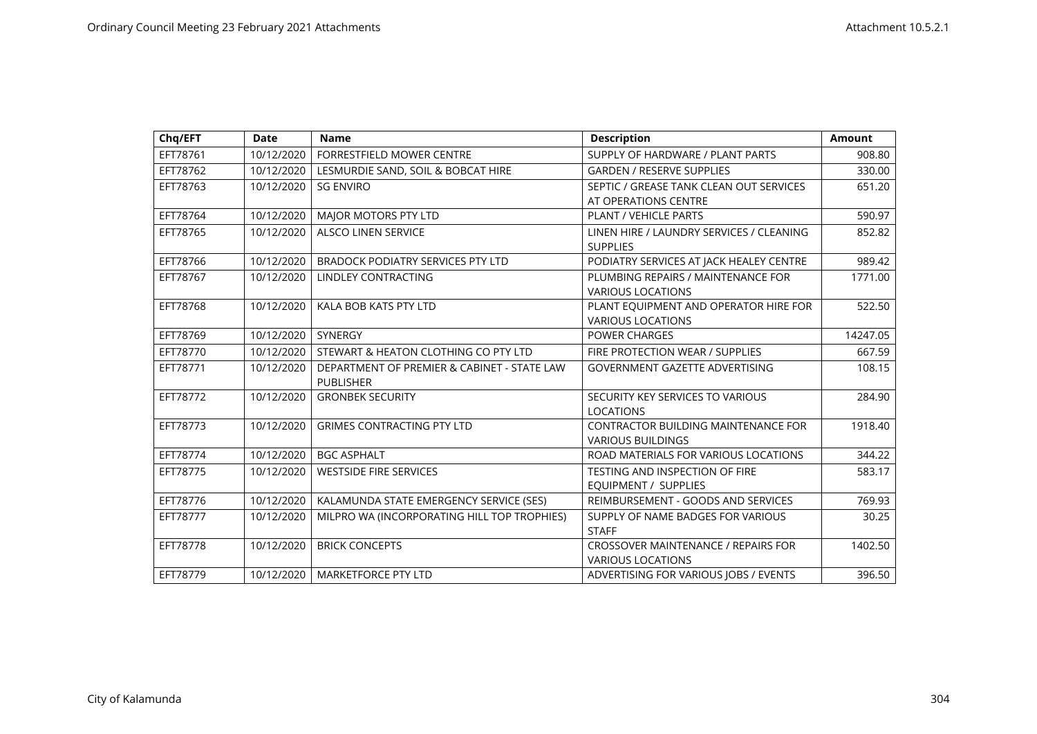| Chq/EFT  | <b>Date</b> | <b>Name</b>                                                     | <b>Description</b>                                                     | <b>Amount</b> |
|----------|-------------|-----------------------------------------------------------------|------------------------------------------------------------------------|---------------|
| EFT78761 | 10/12/2020  | FORRESTFIELD MOWER CENTRE                                       | SUPPLY OF HARDWARE / PLANT PARTS                                       | 908.80        |
| EFT78762 | 10/12/2020  | LESMURDIE SAND, SOIL & BOBCAT HIRE                              | <b>GARDEN / RESERVE SUPPLIES</b>                                       | 330.00        |
| EFT78763 | 10/12/2020  | <b>SG ENVIRO</b>                                                | SEPTIC / GREASE TANK CLEAN OUT SERVICES<br>AT OPERATIONS CENTRE        | 651.20        |
| EFT78764 | 10/12/2020  | MAJOR MOTORS PTY LTD                                            | PLANT / VEHICLE PARTS                                                  | 590.97        |
| EFT78765 | 10/12/2020  | <b>ALSCO LINEN SERVICE</b>                                      | LINEN HIRE / LAUNDRY SERVICES / CLEANING<br><b>SUPPLIES</b>            | 852.82        |
| EFT78766 | 10/12/2020  | <b>BRADOCK PODIATRY SERVICES PTY LTD</b>                        | PODIATRY SERVICES AT JACK HEALEY CENTRE                                | 989.42        |
| EFT78767 | 10/12/2020  | LINDLEY CONTRACTING                                             | PLUMBING REPAIRS / MAINTENANCE FOR<br><b>VARIOUS LOCATIONS</b>         | 1771.00       |
| EFT78768 | 10/12/2020  | KALA BOB KATS PTY LTD                                           | PLANT EQUIPMENT AND OPERATOR HIRE FOR<br><b>VARIOUS LOCATIONS</b>      | 522.50        |
| EFT78769 | 10/12/2020  | SYNERGY                                                         | <b>POWER CHARGES</b>                                                   | 14247.05      |
| EFT78770 | 10/12/2020  | STEWART & HEATON CLOTHING CO PTY LTD                            | FIRE PROTECTION WEAR / SUPPLIES                                        | 667.59        |
| EFT78771 | 10/12/2020  | DEPARTMENT OF PREMIER & CABINET - STATE LAW<br><b>PUBLISHER</b> | <b>GOVERNMENT GAZETTE ADVERTISING</b>                                  | 108.15        |
| EFT78772 | 10/12/2020  | <b>GRONBEK SECURITY</b>                                         | SECURITY KEY SERVICES TO VARIOUS<br><b>LOCATIONS</b>                   | 284.90        |
| EFT78773 | 10/12/2020  | <b>GRIMES CONTRACTING PTY LTD</b>                               | <b>CONTRACTOR BUILDING MAINTENANCE FOR</b><br><b>VARIOUS BUILDINGS</b> | 1918.40       |
| EFT78774 | 10/12/2020  | <b>BGC ASPHALT</b>                                              | ROAD MATERIALS FOR VARIOUS LOCATIONS                                   | 344.22        |
| EFT78775 | 10/12/2020  | <b>WESTSIDE FIRE SERVICES</b>                                   | <b>TESTING AND INSPECTION OF FIRE</b><br>EQUIPMENT / SUPPLIES          | 583.17        |
| EFT78776 | 10/12/2020  | KALAMUNDA STATE EMERGENCY SERVICE (SES)                         | REIMBURSEMENT - GOODS AND SERVICES                                     | 769.93        |
| EFT78777 | 10/12/2020  | MILPRO WA (INCORPORATING HILL TOP TROPHIES)                     | SUPPLY OF NAME BADGES FOR VARIOUS<br><b>STAFF</b>                      | 30.25         |
| EFT78778 | 10/12/2020  | <b>BRICK CONCEPTS</b>                                           | <b>CROSSOVER MAINTENANCE / REPAIRS FOR</b><br><b>VARIOUS LOCATIONS</b> | 1402.50       |
| EFT78779 | 10/12/2020  | <b>MARKETFORCE PTY LTD</b>                                      | ADVERTISING FOR VARIOUS JOBS / EVENTS                                  | 396.50        |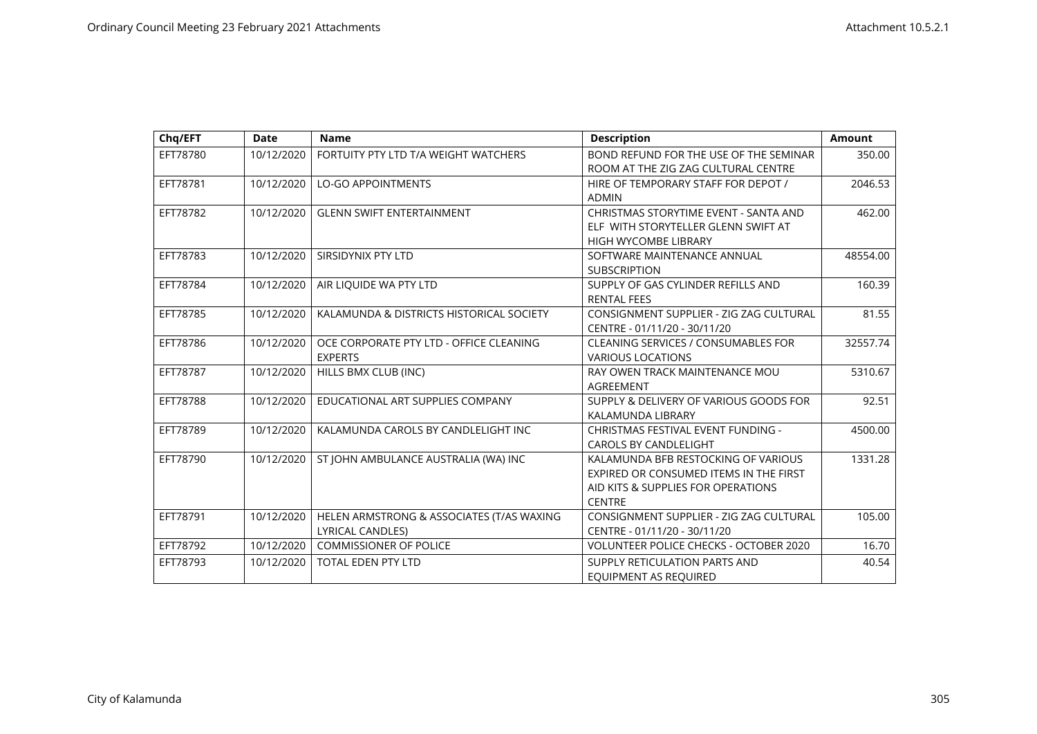| Chq/EFT  | <b>Date</b> | <b>Name</b>                               | <b>Description</b>                            | <b>Amount</b> |
|----------|-------------|-------------------------------------------|-----------------------------------------------|---------------|
| EFT78780 | 10/12/2020  | FORTUITY PTY LTD T/A WEIGHT WATCHERS      | BOND REFUND FOR THE USE OF THE SEMINAR        | 350.00        |
|          |             |                                           | ROOM AT THE ZIG ZAG CULTURAL CENTRE           |               |
| EFT78781 | 10/12/2020  | <b>LO-GO APPOINTMENTS</b>                 | HIRE OF TEMPORARY STAFF FOR DEPOT /           | 2046.53       |
|          |             |                                           | <b>ADMIN</b>                                  |               |
| EFT78782 | 10/12/2020  | <b>GLENN SWIFT ENTERTAINMENT</b>          | CHRISTMAS STORYTIME EVENT - SANTA AND         | 462.00        |
|          |             |                                           | ELF WITH STORYTELLER GLENN SWIFT AT           |               |
|          |             |                                           | <b>HIGH WYCOMBE LIBRARY</b>                   |               |
| EFT78783 | 10/12/2020  | SIRSIDYNIX PTY LTD                        | SOFTWARE MAINTENANCE ANNUAL                   | 48554.00      |
|          |             |                                           | <b>SUBSCRIPTION</b>                           |               |
| EFT78784 | 10/12/2020  | AIR LIQUIDE WA PTY LTD                    | SUPPLY OF GAS CYLINDER REFILLS AND            | 160.39        |
|          |             |                                           | <b>RENTAL FEES</b>                            |               |
| EFT78785 | 10/12/2020  | KALAMUNDA & DISTRICTS HISTORICAL SOCIETY  | CONSIGNMENT SUPPLIER - ZIG ZAG CULTURAL       | 81.55         |
|          |             |                                           | CENTRE - 01/11/20 - 30/11/20                  |               |
| EFT78786 | 10/12/2020  | OCE CORPORATE PTY LTD - OFFICE CLEANING   | <b>CLEANING SERVICES / CONSUMABLES FOR</b>    | 32557.74      |
|          |             | <b>EXPERTS</b>                            | <b>VARIOUS LOCATIONS</b>                      |               |
| EFT78787 | 10/12/2020  | HILLS BMX CLUB (INC)                      | RAY OWEN TRACK MAINTENANCE MOU                | 5310.67       |
|          |             |                                           | AGREEMENT                                     |               |
| EFT78788 | 10/12/2020  | EDUCATIONAL ART SUPPLIES COMPANY          | SUPPLY & DELIVERY OF VARIOUS GOODS FOR        | 92.51         |
|          |             |                                           | KALAMUNDA LIBRARY                             |               |
| EFT78789 | 10/12/2020  | KALAMUNDA CAROLS BY CANDLELIGHT INC       | CHRISTMAS FESTIVAL EVENT FUNDING -            | 4500.00       |
|          |             |                                           | <b>CAROLS BY CANDLELIGHT</b>                  |               |
| EFT78790 | 10/12/2020  | ST JOHN AMBULANCE AUSTRALIA (WA) INC      | KALAMUNDA BFB RESTOCKING OF VARIOUS           | 1331.28       |
|          |             |                                           | EXPIRED OR CONSUMED ITEMS IN THE FIRST        |               |
|          |             |                                           | AID KITS & SUPPLIES FOR OPERATIONS            |               |
|          |             |                                           | <b>CENTRE</b>                                 |               |
| EFT78791 | 10/12/2020  | HELEN ARMSTRONG & ASSOCIATES (T/AS WAXING | CONSIGNMENT SUPPLIER - ZIG ZAG CULTURAL       | 105.00        |
|          |             | LYRICAL CANDLES)                          | CENTRE - 01/11/20 - 30/11/20                  |               |
| EFT78792 | 10/12/2020  | <b>COMMISSIONER OF POLICE</b>             | <b>VOLUNTEER POLICE CHECKS - OCTOBER 2020</b> | 16.70         |
| EFT78793 | 10/12/2020  | <b>TOTAL EDEN PTY LTD</b>                 | SUPPLY RETICULATION PARTS AND                 | 40.54         |
|          |             |                                           | EQUIPMENT AS REQUIRED                         |               |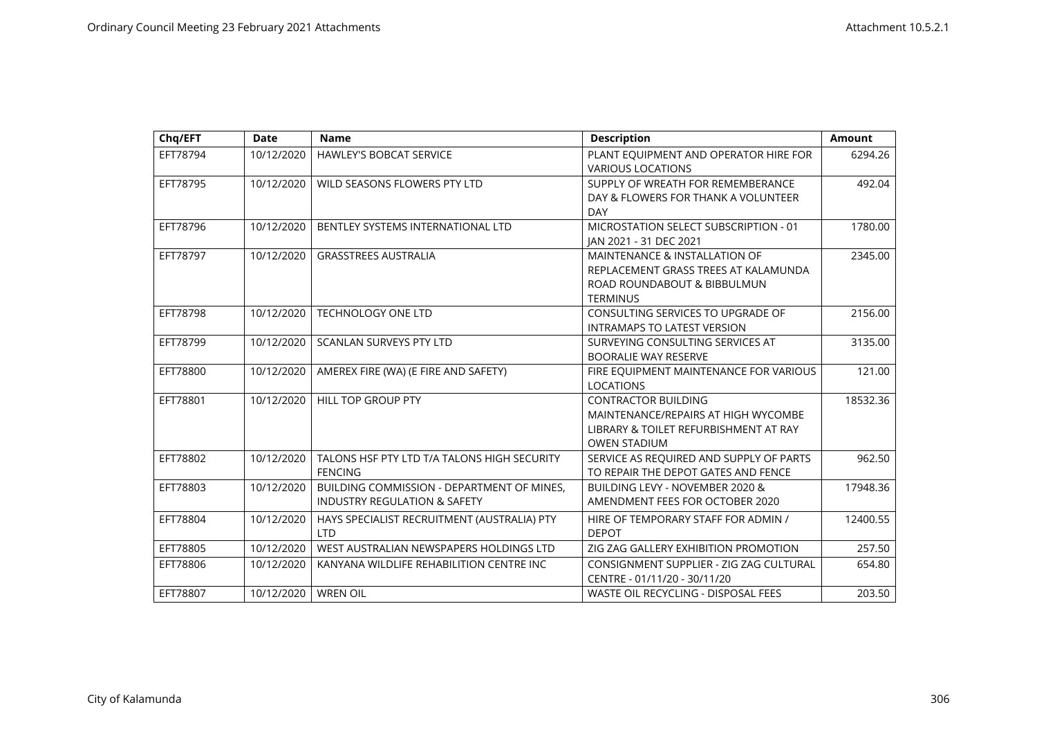| Chq/EFT  | <b>Date</b> | <b>Name</b>                                 | <b>Description</b>                                                  | <b>Amount</b> |
|----------|-------------|---------------------------------------------|---------------------------------------------------------------------|---------------|
| EFT78794 | 10/12/2020  | <b>HAWLEY'S BOBCAT SERVICE</b>              | PLANT EQUIPMENT AND OPERATOR HIRE FOR<br><b>VARIOUS LOCATIONS</b>   | 6294.26       |
|          |             |                                             |                                                                     |               |
| EFT78795 | 10/12/2020  | WILD SEASONS FLOWERS PTY LTD                | SUPPLY OF WREATH FOR REMEMBERANCE                                   | 492.04        |
|          |             |                                             | DAY & FLOWERS FOR THANK A VOLUNTEER<br><b>DAY</b>                   |               |
| EFT78796 | 10/12/2020  | BENTLEY SYSTEMS INTERNATIONAL LTD           | MICROSTATION SELECT SUBSCRIPTION - 01                               |               |
|          |             |                                             | JAN 2021 - 31 DEC 2021                                              | 1780.00       |
| EFT78797 | 10/12/2020  | <b>GRASSTREES AUSTRALIA</b>                 | <b>MAINTENANCE &amp; INSTALLATION OF</b>                            | 2345.00       |
|          |             |                                             |                                                                     |               |
|          |             |                                             | REPLACEMENT GRASS TREES AT KALAMUNDA<br>ROAD ROUNDABOUT & BIBBULMUN |               |
|          |             |                                             | <b>TERMINUS</b>                                                     |               |
| EFT78798 | 10/12/2020  | <b>TECHNOLOGY ONE LTD</b>                   | CONSULTING SERVICES TO UPGRADE OF                                   | 2156.00       |
|          |             |                                             | <b>INTRAMAPS TO LATEST VERSION</b>                                  |               |
| EFT78799 | 10/12/2020  | <b>SCANLAN SURVEYS PTY LTD</b>              | SURVEYING CONSULTING SERVICES AT                                    | 3135.00       |
|          |             |                                             | <b>BOORALIE WAY RESERVE</b>                                         |               |
| EFT78800 | 10/12/2020  | AMEREX FIRE (WA) (E FIRE AND SAFETY)        | FIRE EQUIPMENT MAINTENANCE FOR VARIOUS                              | 121.00        |
|          |             |                                             | <b>LOCATIONS</b>                                                    |               |
| EFT78801 | 10/12/2020  | <b>HILL TOP GROUP PTY</b>                   | <b>CONTRACTOR BUILDING</b>                                          | 18532.36      |
|          |             |                                             | MAINTENANCE/REPAIRS AT HIGH WYCOMBE                                 |               |
|          |             |                                             | LIBRARY & TOILET REFURBISHMENT AT RAY                               |               |
|          |             |                                             | <b>OWEN STADIUM</b>                                                 |               |
| EFT78802 | 10/12/2020  | TALONS HSF PTY LTD T/A TALONS HIGH SECURITY | SERVICE AS REQUIRED AND SUPPLY OF PARTS                             | 962.50        |
|          |             | <b>FENCING</b>                              | TO REPAIR THE DEPOT GATES AND FENCE                                 |               |
| EFT78803 | 10/12/2020  | BUILDING COMMISSION - DEPARTMENT OF MINES,  | BUILDING LEVY - NOVEMBER 2020 &                                     | 17948.36      |
|          |             | <b>INDUSTRY REGULATION &amp; SAFETY</b>     | AMENDMENT FEES FOR OCTOBER 2020                                     |               |
| EFT78804 | 10/12/2020  | HAYS SPECIALIST RECRUITMENT (AUSTRALIA) PTY | HIRE OF TEMPORARY STAFF FOR ADMIN /                                 | 12400.55      |
|          |             | <b>LTD</b>                                  | <b>DEPOT</b>                                                        |               |
| EFT78805 | 10/12/2020  | WEST AUSTRALIAN NEWSPAPERS HOLDINGS LTD     | ZIG ZAG GALLERY EXHIBITION PROMOTION                                | 257.50        |
| EFT78806 | 10/12/2020  | KANYANA WILDLIFE REHABILITION CENTRE INC    | CONSIGNMENT SUPPLIER - ZIG ZAG CULTURAL                             | 654.80        |
|          |             |                                             | CENTRE - 01/11/20 - 30/11/20                                        |               |
| EFT78807 | 10/12/2020  | <b>WREN OIL</b>                             | WASTE OIL RECYCLING - DISPOSAL FEES                                 | 203.50        |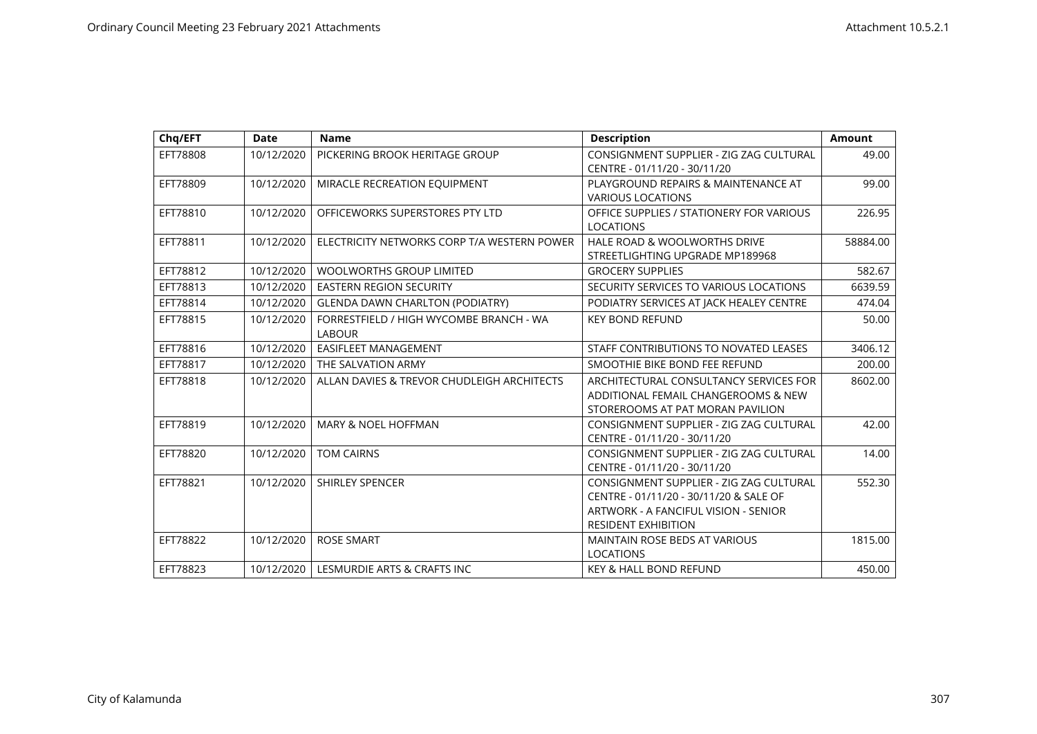| Chq/EFT  | <b>Date</b> | <b>Name</b>                                 | <b>Description</b>                       | <b>Amount</b> |
|----------|-------------|---------------------------------------------|------------------------------------------|---------------|
| EFT78808 | 10/12/2020  | PICKERING BROOK HERITAGE GROUP              | CONSIGNMENT SUPPLIER - ZIG ZAG CULTURAL  | 49.00         |
|          |             |                                             | CENTRE - 01/11/20 - 30/11/20             |               |
| EFT78809 | 10/12/2020  | MIRACLE RECREATION EQUIPMENT                | PLAYGROUND REPAIRS & MAINTENANCE AT      | 99.00         |
|          |             |                                             | <b>VARIOUS LOCATIONS</b>                 |               |
| EFT78810 | 10/12/2020  | OFFICEWORKS SUPERSTORES PTY LTD             | OFFICE SUPPLIES / STATIONERY FOR VARIOUS | 226.95        |
|          |             |                                             | <b>LOCATIONS</b>                         |               |
| EFT78811 | 10/12/2020  | ELECTRICITY NETWORKS CORP T/A WESTERN POWER | HALE ROAD & WOOLWORTHS DRIVE             | 58884.00      |
|          |             |                                             | STREETLIGHTING UPGRADE MP189968          |               |
| EFT78812 | 10/12/2020  | <b>WOOLWORTHS GROUP LIMITED</b>             | <b>GROCERY SUPPLIES</b>                  | 582.67        |
| EFT78813 | 10/12/2020  | <b>EASTERN REGION SECURITY</b>              | SECURITY SERVICES TO VARIOUS LOCATIONS   | 6639.59       |
| EFT78814 | 10/12/2020  | <b>GLENDA DAWN CHARLTON (PODIATRY)</b>      | PODIATRY SERVICES AT JACK HEALEY CENTRE  | 474.04        |
| EFT78815 | 10/12/2020  | FORRESTFIELD / HIGH WYCOMBE BRANCH - WA     | <b>KEY BOND REFUND</b>                   | 50.00         |
|          |             | <b>LABOUR</b>                               |                                          |               |
| EFT78816 | 10/12/2020  | EASIFLEET MANAGEMENT                        | STAFF CONTRIBUTIONS TO NOVATED LEASES    | 3406.12       |
| EFT78817 | 10/12/2020  | THE SALVATION ARMY                          | SMOOTHIE BIKE BOND FEE REFUND            | 200.00        |
| EFT78818 | 10/12/2020  | ALLAN DAVIES & TREVOR CHUDLEIGH ARCHITECTS  | ARCHITECTURAL CONSULTANCY SERVICES FOR   | 8602.00       |
|          |             |                                             | ADDITIONAL FEMAIL CHANGEROOMS & NEW      |               |
|          |             |                                             | STOREROOMS AT PAT MORAN PAVILION         |               |
| EFT78819 | 10/12/2020  | <b>MARY &amp; NOEL HOFFMAN</b>              | CONSIGNMENT SUPPLIER - ZIG ZAG CULTURAL  | 42.00         |
|          |             |                                             | CENTRE - 01/11/20 - 30/11/20             |               |
| EFT78820 | 10/12/2020  | <b>TOM CAIRNS</b>                           | CONSIGNMENT SUPPLIER - ZIG ZAG CULTURAL  | 14.00         |
|          |             |                                             | CENTRE - 01/11/20 - 30/11/20             |               |
| EFT78821 | 10/12/2020  | <b>SHIRLEY SPENCER</b>                      | CONSIGNMENT SUPPLIER - ZIG ZAG CULTURAL  | 552.30        |
|          |             |                                             | CENTRE - 01/11/20 - 30/11/20 & SALE OF   |               |
|          |             |                                             | ARTWORK - A FANCIFUL VISION - SENIOR     |               |
|          |             |                                             | <b>RESIDENT EXHIBITION</b>               |               |
| EFT78822 | 10/12/2020  | <b>ROSE SMART</b>                           | MAINTAIN ROSE BEDS AT VARIOUS            | 1815.00       |
|          |             |                                             | <b>LOCATIONS</b>                         |               |
| EFT78823 | 10/12/2020  | LESMURDIE ARTS & CRAFTS INC                 | KEY & HALL BOND REFUND                   | 450.00        |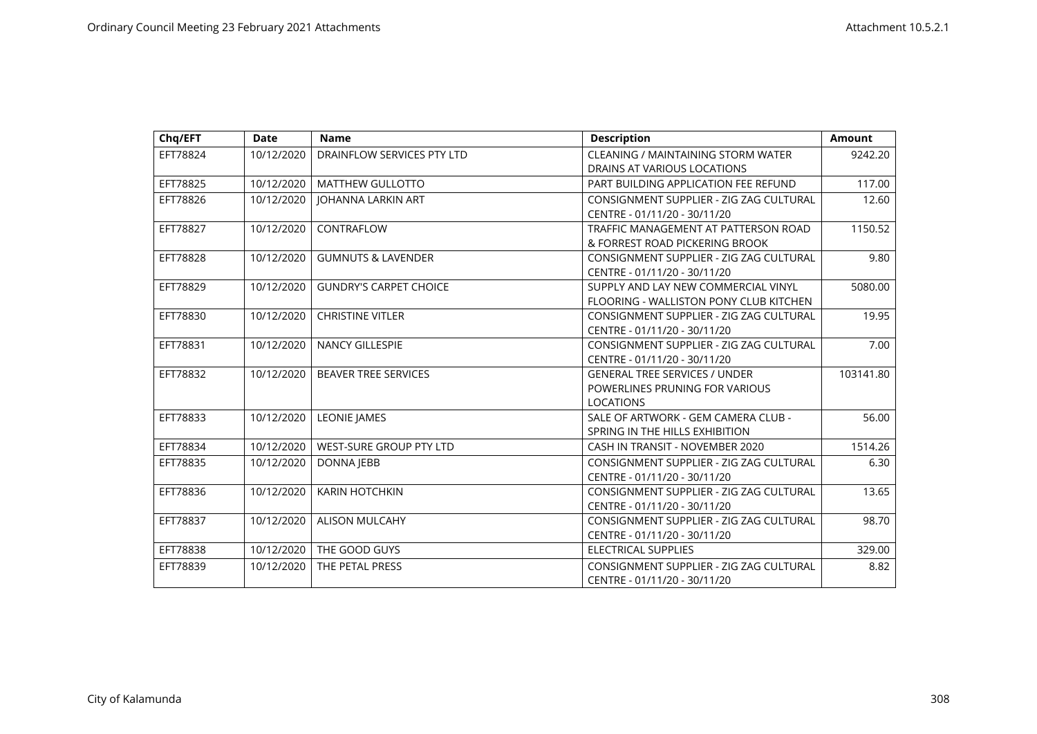| Chq/EFT  | <b>Date</b> | <b>Name</b>                   | <b>Description</b>                      | <b>Amount</b> |
|----------|-------------|-------------------------------|-----------------------------------------|---------------|
| EFT78824 | 10/12/2020  | DRAINFLOW SERVICES PTY LTD    | CLEANING / MAINTAINING STORM WATER      | 9242.20       |
|          |             |                               | DRAINS AT VARIOUS LOCATIONS             |               |
| EFT78825 | 10/12/2020  | <b>MATTHEW GULLOTTO</b>       | PART BUILDING APPLICATION FEE REFUND    | 117.00        |
| EFT78826 | 10/12/2020  | JOHANNA LARKIN ART            | CONSIGNMENT SUPPLIER - ZIG ZAG CULTURAL | 12.60         |
|          |             |                               | CENTRE - 01/11/20 - 30/11/20            |               |
| EFT78827 | 10/12/2020  | CONTRAFLOW                    | TRAFFIC MANAGEMENT AT PATTERSON ROAD    | 1150.52       |
|          |             |                               | & FORREST ROAD PICKERING BROOK          |               |
| EFT78828 | 10/12/2020  | <b>GUMNUTS &amp; LAVENDER</b> | CONSIGNMENT SUPPLIER - ZIG ZAG CULTURAL | 9.80          |
|          |             |                               | CENTRE - 01/11/20 - 30/11/20            |               |
| EFT78829 | 10/12/2020  | <b>GUNDRY'S CARPET CHOICE</b> | SUPPLY AND LAY NEW COMMERCIAL VINYL     | 5080.00       |
|          |             |                               | FLOORING - WALLISTON PONY CLUB KITCHEN  |               |
| EFT78830 | 10/12/2020  | <b>CHRISTINE VITLER</b>       | CONSIGNMENT SUPPLIER - ZIG ZAG CULTURAL | 19.95         |
|          |             |                               | CENTRE - 01/11/20 - 30/11/20            |               |
| EFT78831 | 10/12/2020  | <b>NANCY GILLESPIE</b>        | CONSIGNMENT SUPPLIER - ZIG ZAG CULTURAL | 7.00          |
|          |             |                               | CENTRE - 01/11/20 - 30/11/20            |               |
| EFT78832 | 10/12/2020  | <b>BEAVER TREE SERVICES</b>   | <b>GENERAL TREE SERVICES / UNDER</b>    | 103141.80     |
|          |             |                               | POWERLINES PRUNING FOR VARIOUS          |               |
|          |             |                               | <b>LOCATIONS</b>                        |               |
| EFT78833 | 10/12/2020  | <b>LEONIE JAMES</b>           | SALE OF ARTWORK - GEM CAMERA CLUB -     | 56.00         |
|          |             |                               | SPRING IN THE HILLS EXHIBITION          |               |
| EFT78834 | 10/12/2020  | WEST-SURE GROUP PTY LTD       | CASH IN TRANSIT - NOVEMBER 2020         | 1514.26       |
| EFT78835 | 10/12/2020  | <b>DONNA JEBB</b>             | CONSIGNMENT SUPPLIER - ZIG ZAG CULTURAL | 6.30          |
|          |             |                               | CENTRE - 01/11/20 - 30/11/20            |               |
| EFT78836 | 10/12/2020  | <b>KARIN HOTCHKIN</b>         | CONSIGNMENT SUPPLIER - ZIG ZAG CULTURAL | 13.65         |
|          |             |                               | CENTRE - 01/11/20 - 30/11/20            |               |
| EFT78837 | 10/12/2020  | <b>ALISON MULCAHY</b>         | CONSIGNMENT SUPPLIER - ZIG ZAG CULTURAL | 98.70         |
|          |             |                               | CENTRE - 01/11/20 - 30/11/20            |               |
| EFT78838 | 10/12/2020  | THE GOOD GUYS                 | ELECTRICAL SUPPLIES                     | 329.00        |
| EFT78839 | 10/12/2020  | THE PETAL PRESS               | CONSIGNMENT SUPPLIER - ZIG ZAG CULTURAL | 8.82          |
|          |             |                               | CENTRE - 01/11/20 - 30/11/20            |               |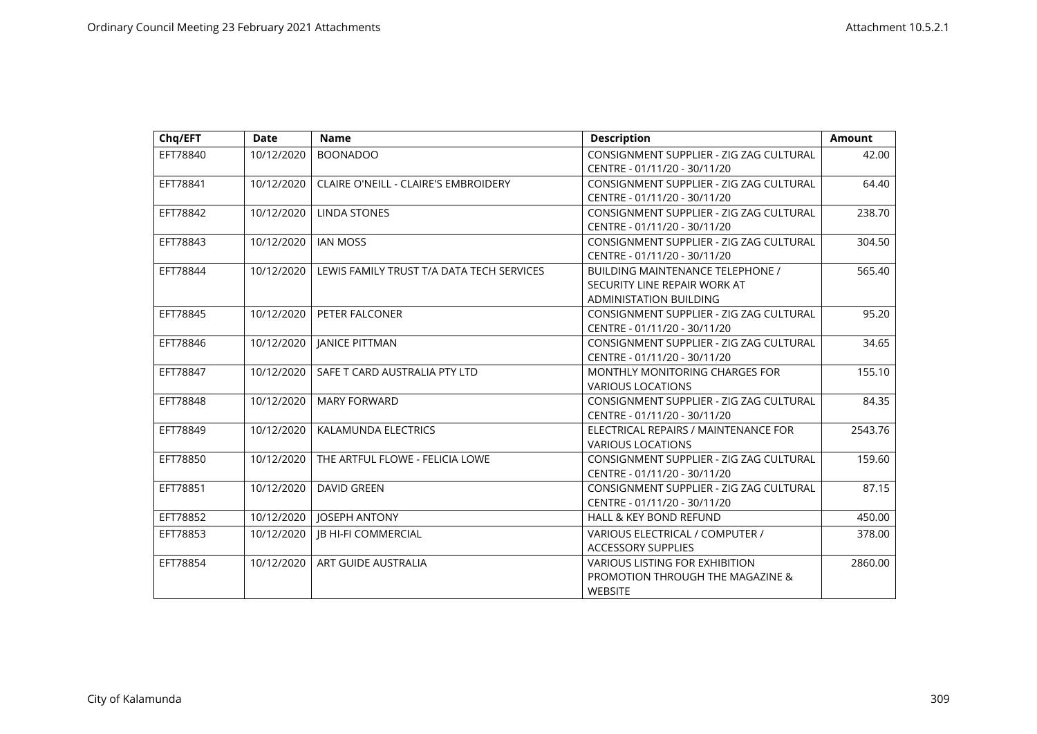| Chq/EFT  | <b>Date</b> | <b>Name</b>                                 | <b>Description</b>                                                                                       | <b>Amount</b> |
|----------|-------------|---------------------------------------------|----------------------------------------------------------------------------------------------------------|---------------|
| EFT78840 | 10/12/2020  | <b>BOONADOO</b>                             | CONSIGNMENT SUPPLIER - ZIG ZAG CULTURAL<br>CENTRE - 01/11/20 - 30/11/20                                  | 42.00         |
| EFT78841 | 10/12/2020  | <b>CLAIRE O'NEILL - CLAIRE'S EMBROIDERY</b> | CONSIGNMENT SUPPLIER - ZIG ZAG CULTURAL<br>CENTRE - 01/11/20 - 30/11/20                                  | 64.40         |
| EFT78842 | 10/12/2020  | <b>LINDA STONES</b>                         | CONSIGNMENT SUPPLIER - ZIG ZAG CULTURAL<br>CENTRE - 01/11/20 - 30/11/20                                  | 238.70        |
| EFT78843 | 10/12/2020  | <b>IAN MOSS</b>                             | CONSIGNMENT SUPPLIER - ZIG ZAG CULTURAL<br>CENTRE - 01/11/20 - 30/11/20                                  | 304.50        |
| EFT78844 | 10/12/2020  | LEWIS FAMILY TRUST T/A DATA TECH SERVICES   | <b>BUILDING MAINTENANCE TELEPHONE /</b><br>SECURITY LINE REPAIR WORK AT<br><b>ADMINISTATION BUILDING</b> | 565.40        |
| EFT78845 | 10/12/2020  | PETER FALCONER                              | CONSIGNMENT SUPPLIER - ZIG ZAG CULTURAL<br>CENTRE - 01/11/20 - 30/11/20                                  | 95.20         |
| EFT78846 | 10/12/2020  | <b>JANICE PITTMAN</b>                       | CONSIGNMENT SUPPLIER - ZIG ZAG CULTURAL<br>CENTRE - 01/11/20 - 30/11/20                                  | 34.65         |
| EFT78847 | 10/12/2020  | SAFE T CARD AUSTRALIA PTY LTD               | MONTHLY MONITORING CHARGES FOR<br><b>VARIOUS LOCATIONS</b>                                               | 155.10        |
| EFT78848 | 10/12/2020  | <b>MARY FORWARD</b>                         | CONSIGNMENT SUPPLIER - ZIG ZAG CULTURAL<br>CENTRE - 01/11/20 - 30/11/20                                  | 84.35         |
| EFT78849 | 10/12/2020  | KALAMUNDA ELECTRICS                         | ELECTRICAL REPAIRS / MAINTENANCE FOR<br><b>VARIOUS LOCATIONS</b>                                         | 2543.76       |
| EFT78850 | 10/12/2020  | THE ARTFUL FLOWE - FELICIA LOWE             | CONSIGNMENT SUPPLIER - ZIG ZAG CULTURAL<br>CENTRE - 01/11/20 - 30/11/20                                  | 159.60        |
| EFT78851 | 10/12/2020  | <b>DAVID GREEN</b>                          | CONSIGNMENT SUPPLIER - ZIG ZAG CULTURAL<br>CENTRE - 01/11/20 - 30/11/20                                  | 87.15         |
| EFT78852 | 10/12/2020  | JOSEPH ANTONY                               | <b>HALL &amp; KEY BOND REFUND</b>                                                                        | 450.00        |
| EFT78853 | 10/12/2020  | <b>IB HI-FI COMMERCIAL</b>                  | VARIOUS ELECTRICAL / COMPUTER /<br>ACCESSORY SUPPLIES                                                    | 378.00        |
| EFT78854 | 10/12/2020  | ART GUIDE AUSTRALIA                         | <b>VARIOUS LISTING FOR EXHIBITION</b><br>PROMOTION THROUGH THE MAGAZINE &<br><b>WEBSITE</b>              | 2860.00       |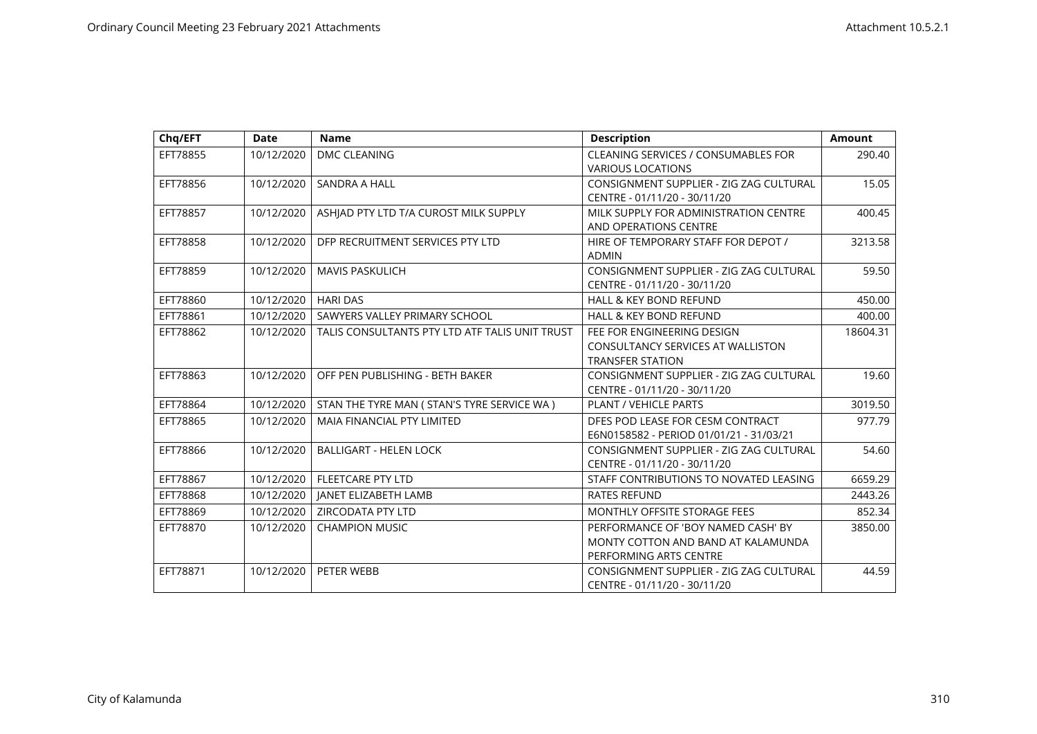| Chq/EFT  | <b>Date</b> | <b>Name</b>                                    | <b>Description</b>                                                                                 | <b>Amount</b> |
|----------|-------------|------------------------------------------------|----------------------------------------------------------------------------------------------------|---------------|
| EFT78855 | 10/12/2020  | DMC CLEANING                                   | <b>CLEANING SERVICES / CONSUMABLES FOR</b><br><b>VARIOUS LOCATIONS</b>                             | 290.40        |
| EFT78856 | 10/12/2020  | <b>SANDRA A HALL</b>                           | CONSIGNMENT SUPPLIER - ZIG ZAG CULTURAL<br>CENTRE - 01/11/20 - 30/11/20                            | 15.05         |
| EFT78857 | 10/12/2020  | ASHIAD PTY LTD T/A CUROST MILK SUPPLY          | MILK SUPPLY FOR ADMINISTRATION CENTRE<br>AND OPERATIONS CENTRE                                     | 400.45        |
| EFT78858 | 10/12/2020  | DFP RECRUITMENT SERVICES PTY LTD               | HIRE OF TEMPORARY STAFF FOR DEPOT /<br><b>ADMIN</b>                                                | 3213.58       |
| EFT78859 | 10/12/2020  | <b>MAVIS PASKULICH</b>                         | CONSIGNMENT SUPPLIER - ZIG ZAG CULTURAL<br>CENTRE - 01/11/20 - 30/11/20                            | 59.50         |
| EFT78860 | 10/12/2020  | <b>HARI DAS</b>                                | <b>HALL &amp; KEY BOND REFUND</b>                                                                  | 450.00        |
| EFT78861 | 10/12/2020  | SAWYERS VALLEY PRIMARY SCHOOL                  | <b>HALL &amp; KEY BOND REFUND</b>                                                                  | 400.00        |
| EFT78862 | 10/12/2020  | TALIS CONSULTANTS PTY LTD ATF TALIS UNIT TRUST | FEE FOR ENGINEERING DESIGN<br><b>CONSULTANCY SERVICES AT WALLISTON</b><br><b>TRANSFER STATION</b>  | 18604.31      |
| EFT78863 | 10/12/2020  | OFF PEN PUBLISHING - BETH BAKER                | CONSIGNMENT SUPPLIER - ZIG ZAG CULTURAL<br>CENTRE - 01/11/20 - 30/11/20                            | 19.60         |
| EFT78864 | 10/12/2020  | STAN THE TYRE MAN ( STAN'S TYRE SERVICE WA )   | <b>PLANT / VEHICLE PARTS</b>                                                                       | 3019.50       |
| EFT78865 | 10/12/2020  | <b>MAIA FINANCIAL PTY LIMITED</b>              | DFES POD LEASE FOR CESM CONTRACT<br>E6N0158582 - PERIOD 01/01/21 - 31/03/21                        | 977.79        |
| EFT78866 | 10/12/2020  | <b>BALLIGART - HELEN LOCK</b>                  | CONSIGNMENT SUPPLIER - ZIG ZAG CULTURAL<br>CENTRE - 01/11/20 - 30/11/20                            | 54.60         |
| EFT78867 | 10/12/2020  | <b>FLEETCARE PTY LTD</b>                       | STAFF CONTRIBUTIONS TO NOVATED LEASING                                                             | 6659.29       |
| EFT78868 | 10/12/2020  | <b>JANET ELIZABETH LAMB</b>                    | <b>RATES REFUND</b>                                                                                | 2443.26       |
| EFT78869 | 10/12/2020  | ZIRCODATA PTY LTD                              | MONTHLY OFFSITE STORAGE FEES                                                                       | 852.34        |
| EFT78870 | 10/12/2020  | <b>CHAMPION MUSIC</b>                          | PERFORMANCE OF 'BOY NAMED CASH' BY<br>MONTY COTTON AND BAND AT KALAMUNDA<br>PERFORMING ARTS CENTRE | 3850.00       |
| EFT78871 | 10/12/2020  | PETER WEBB                                     | CONSIGNMENT SUPPLIER - ZIG ZAG CULTURAL<br>CENTRE - 01/11/20 - 30/11/20                            | 44.59         |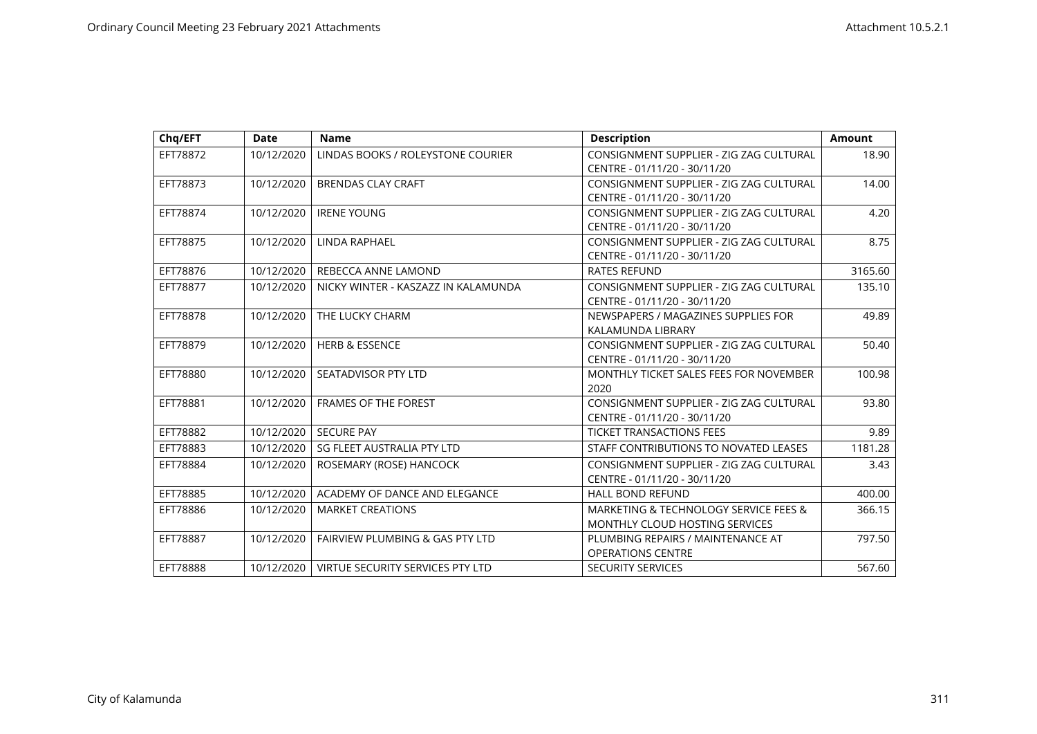| Chq/EFT  | <b>Date</b> | <b>Name</b>                                | <b>Description</b>                      | <b>Amount</b> |
|----------|-------------|--------------------------------------------|-----------------------------------------|---------------|
| EFT78872 | 10/12/2020  | LINDAS BOOKS / ROLEYSTONE COURIER          | CONSIGNMENT SUPPLIER - ZIG ZAG CULTURAL | 18.90         |
|          |             |                                            | CENTRE - 01/11/20 - 30/11/20            |               |
| EFT78873 | 10/12/2020  | <b>BRENDAS CLAY CRAFT</b>                  | CONSIGNMENT SUPPLIER - ZIG ZAG CULTURAL | 14.00         |
|          |             |                                            | CENTRE - 01/11/20 - 30/11/20            |               |
| EFT78874 | 10/12/2020  | <b>IRENE YOUNG</b>                         | CONSIGNMENT SUPPLIER - ZIG ZAG CULTURAL | 4.20          |
|          |             |                                            | CENTRE - 01/11/20 - 30/11/20            |               |
| EFT78875 | 10/12/2020  | LINDA RAPHAEL                              | CONSIGNMENT SUPPLIER - ZIG ZAG CULTURAL | 8.75          |
|          |             |                                            | CENTRE - 01/11/20 - 30/11/20            |               |
| EFT78876 | 10/12/2020  | REBECCA ANNE LAMOND                        | <b>RATES REFUND</b>                     | 3165.60       |
| EFT78877 | 10/12/2020  | NICKY WINTER - KASZAZZ IN KALAMUNDA        | CONSIGNMENT SUPPLIER - ZIG ZAG CULTURAL | 135.10        |
|          |             |                                            | CENTRE - 01/11/20 - 30/11/20            |               |
| EFT78878 | 10/12/2020  | THE LUCKY CHARM                            | NEWSPAPERS / MAGAZINES SUPPLIES FOR     | 49.89         |
|          |             |                                            | KALAMUNDA LIBRARY                       |               |
| EFT78879 | 10/12/2020  | <b>HERB &amp; ESSENCE</b>                  | CONSIGNMENT SUPPLIER - ZIG ZAG CULTURAL | 50.40         |
|          |             |                                            | CENTRE - 01/11/20 - 30/11/20            |               |
| EFT78880 | 10/12/2020  | <b>SEATADVISOR PTY LTD</b>                 | MONTHLY TICKET SALES FEES FOR NOVEMBER  | 100.98        |
|          |             |                                            | 2020                                    |               |
| EFT78881 | 10/12/2020  | <b>FRAMES OF THE FOREST</b>                | CONSIGNMENT SUPPLIER - ZIG ZAG CULTURAL | 93.80         |
|          |             |                                            | CENTRE - 01/11/20 - 30/11/20            |               |
| EFT78882 | 10/12/2020  | <b>SECURE PAY</b>                          | <b>TICKET TRANSACTIONS FEES</b>         | 9.89          |
| EFT78883 | 10/12/2020  | SG FLEET AUSTRALIA PTY LTD                 | STAFF CONTRIBUTIONS TO NOVATED LEASES   | 1181.28       |
| EFT78884 | 10/12/2020  | ROSEMARY (ROSE) HANCOCK                    | CONSIGNMENT SUPPLIER - ZIG ZAG CULTURAL | 3.43          |
|          |             |                                            | CENTRE - 01/11/20 - 30/11/20            |               |
| EFT78885 | 10/12/2020  | ACADEMY OF DANCE AND ELEGANCE              | <b>HALL BOND REFUND</b>                 | 400.00        |
| EFT78886 | 10/12/2020  | <b>MARKET CREATIONS</b>                    | MARKETING & TECHNOLOGY SERVICE FEES &   | 366.15        |
|          |             |                                            | <b>MONTHLY CLOUD HOSTING SERVICES</b>   |               |
| EFT78887 | 10/12/2020  | <b>FAIRVIEW PLUMBING &amp; GAS PTY LTD</b> | PLUMBING REPAIRS / MAINTENANCE AT       | 797.50        |
|          |             |                                            | <b>OPERATIONS CENTRE</b>                |               |
| EFT78888 | 10/12/2020  | VIRTUE SECURITY SERVICES PTY LTD           | <b>SECURITY SERVICES</b>                | 567.60        |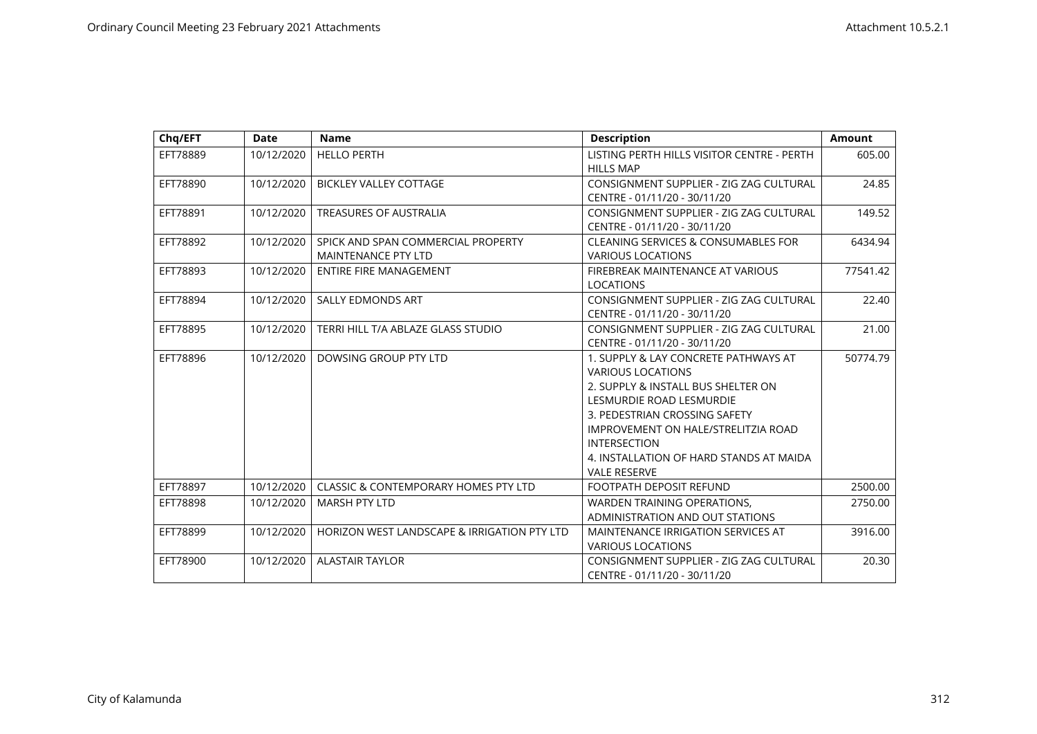| Chq/EFT  | <b>Date</b> | <b>Name</b>                                                      | <b>Description</b>                                                                                                                                                                                                                                                                                  | <b>Amount</b> |
|----------|-------------|------------------------------------------------------------------|-----------------------------------------------------------------------------------------------------------------------------------------------------------------------------------------------------------------------------------------------------------------------------------------------------|---------------|
| EFT78889 | 10/12/2020  | <b>HELLO PERTH</b>                                               | LISTING PERTH HILLS VISITOR CENTRE - PERTH<br><b>HILLS MAP</b>                                                                                                                                                                                                                                      | 605.00        |
| EFT78890 | 10/12/2020  | <b>BICKLEY VALLEY COTTAGE</b>                                    | CONSIGNMENT SUPPLIER - ZIG ZAG CULTURAL<br>CENTRE - 01/11/20 - 30/11/20                                                                                                                                                                                                                             | 24.85         |
| EFT78891 | 10/12/2020  | <b>TREASURES OF AUSTRALIA</b>                                    | CONSIGNMENT SUPPLIER - ZIG ZAG CULTURAL<br>CENTRE - 01/11/20 - 30/11/20                                                                                                                                                                                                                             | 149.52        |
| EFT78892 | 10/12/2020  | SPICK AND SPAN COMMERCIAL PROPERTY<br><b>MAINTENANCE PTY LTD</b> | <b>CLEANING SERVICES &amp; CONSUMABLES FOR</b><br><b>VARIOUS LOCATIONS</b>                                                                                                                                                                                                                          | 6434.94       |
| EFT78893 | 10/12/2020  | <b>ENTIRE FIRE MANAGEMENT</b>                                    | FIREBREAK MAINTENANCE AT VARIOUS<br><b>LOCATIONS</b>                                                                                                                                                                                                                                                | 77541.42      |
| EFT78894 | 10/12/2020  | <b>SALLY EDMONDS ART</b>                                         | CONSIGNMENT SUPPLIER - ZIG ZAG CULTURAL<br>CENTRE - 01/11/20 - 30/11/20                                                                                                                                                                                                                             | 22.40         |
| EFT78895 | 10/12/2020  | TERRI HILL T/A ABLAZE GLASS STUDIO                               | CONSIGNMENT SUPPLIER - ZIG ZAG CULTURAL<br>CENTRE - 01/11/20 - 30/11/20                                                                                                                                                                                                                             | 21.00         |
| EFT78896 | 10/12/2020  | DOWSING GROUP PTY LTD                                            | 1. SUPPLY & LAY CONCRETE PATHWAYS AT<br><b>VARIOUS LOCATIONS</b><br>2. SUPPLY & INSTALL BUS SHELTER ON<br>LESMURDIE ROAD LESMURDIE<br>3. PEDESTRIAN CROSSING SAFETY<br>IMPROVEMENT ON HALE/STRELITZIA ROAD<br><b>INTERSECTION</b><br>4. INSTALLATION OF HARD STANDS AT MAIDA<br><b>VALE RESERVE</b> | 50774.79      |
| EFT78897 | 10/12/2020  | <b>CLASSIC &amp; CONTEMPORARY HOMES PTY LTD</b>                  | FOOTPATH DEPOSIT REFUND                                                                                                                                                                                                                                                                             | 2500.00       |
| EFT78898 | 10/12/2020  | <b>MARSH PTY LTD</b>                                             | WARDEN TRAINING OPERATIONS,<br>ADMINISTRATION AND OUT STATIONS                                                                                                                                                                                                                                      | 2750.00       |
| EFT78899 | 10/12/2020  | HORIZON WEST LANDSCAPE & IRRIGATION PTY LTD                      | MAINTENANCE IRRIGATION SERVICES AT<br><b>VARIOUS LOCATIONS</b>                                                                                                                                                                                                                                      | 3916.00       |
| EFT78900 | 10/12/2020  | <b>ALASTAIR TAYLOR</b>                                           | CONSIGNMENT SUPPLIER - ZIG ZAG CULTURAL<br>CENTRE - 01/11/20 - 30/11/20                                                                                                                                                                                                                             | 20.30         |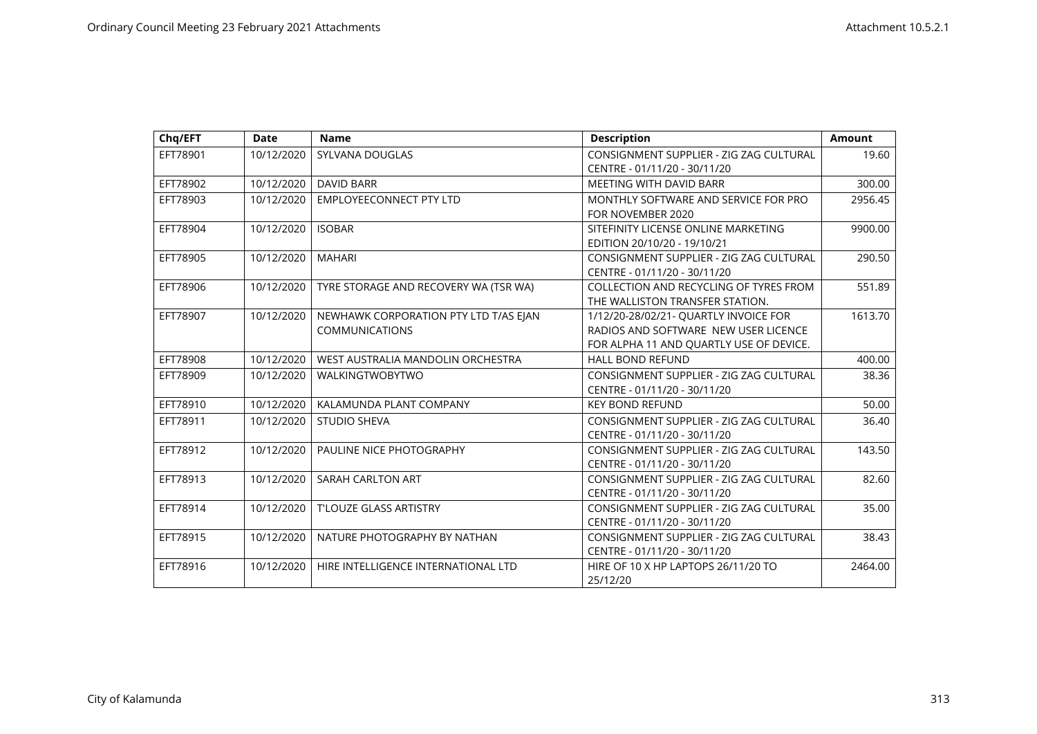| Chq/EFT  | <b>Date</b> | <b>Name</b>                           | <b>Description</b>                      | <b>Amount</b> |
|----------|-------------|---------------------------------------|-----------------------------------------|---------------|
| EFT78901 | 10/12/2020  | SYLVANA DOUGLAS                       | CONSIGNMENT SUPPLIER - ZIG ZAG CULTURAL | 19.60         |
|          |             |                                       | CENTRE - 01/11/20 - 30/11/20            |               |
| EFT78902 | 10/12/2020  | <b>DAVID BARR</b>                     | MEETING WITH DAVID BARR                 | 300.00        |
| EFT78903 | 10/12/2020  | <b>EMPLOYEECONNECT PTY LTD</b>        | MONTHLY SOFTWARE AND SERVICE FOR PRO    | 2956.45       |
|          |             |                                       | FOR NOVEMBER 2020                       |               |
| EFT78904 | 10/12/2020  | <b>ISOBAR</b>                         | SITEFINITY LICENSE ONLINE MARKETING     | 9900.00       |
|          |             |                                       | EDITION 20/10/20 - 19/10/21             |               |
| EFT78905 | 10/12/2020  | <b>MAHARI</b>                         | CONSIGNMENT SUPPLIER - ZIG ZAG CULTURAL | 290.50        |
|          |             |                                       | CENTRE - 01/11/20 - 30/11/20            |               |
| EFT78906 | 10/12/2020  | TYRE STORAGE AND RECOVERY WA (TSR WA) | COLLECTION AND RECYCLING OF TYRES FROM  | 551.89        |
|          |             |                                       | THE WALLISTON TRANSFER STATION.         |               |
| EFT78907 | 10/12/2020  | NEWHAWK CORPORATION PTY LTD T/AS EJAN | 1/12/20-28/02/21- QUARTLY INVOICE FOR   | 1613.70       |
|          |             | <b>COMMUNICATIONS</b>                 | RADIOS AND SOFTWARE NEW USER LICENCE    |               |
|          |             |                                       | FOR ALPHA 11 AND QUARTLY USE OF DEVICE. |               |
| EFT78908 | 10/12/2020  | WEST AUSTRALIA MANDOLIN ORCHESTRA     | <b>HALL BOND REFUND</b>                 | 400.00        |
| EFT78909 | 10/12/2020  | WALKINGTWOBYTWO                       | CONSIGNMENT SUPPLIER - ZIG ZAG CULTURAL | 38.36         |
|          |             |                                       | CENTRE - 01/11/20 - 30/11/20            |               |
| EFT78910 | 10/12/2020  | KALAMUNDA PLANT COMPANY               | <b>KEY BOND REFUND</b>                  | 50.00         |
| EFT78911 | 10/12/2020  | <b>STUDIO SHEVA</b>                   | CONSIGNMENT SUPPLIER - ZIG ZAG CULTURAL | 36.40         |
|          |             |                                       | CENTRE - 01/11/20 - 30/11/20            |               |
| EFT78912 | 10/12/2020  | PAULINE NICE PHOTOGRAPHY              | CONSIGNMENT SUPPLIER - ZIG ZAG CULTURAL | 143.50        |
|          |             |                                       | CENTRE - 01/11/20 - 30/11/20            |               |
| EFT78913 | 10/12/2020  | SARAH CARLTON ART                     | CONSIGNMENT SUPPLIER - ZIG ZAG CULTURAL | 82.60         |
|          |             |                                       | CENTRE - 01/11/20 - 30/11/20            |               |
| EFT78914 | 10/12/2020  | <b>T'LOUZE GLASS ARTISTRY</b>         | CONSIGNMENT SUPPLIER - ZIG ZAG CULTURAL | 35.00         |
|          |             |                                       | CENTRE - 01/11/20 - 30/11/20            |               |
| EFT78915 | 10/12/2020  | NATURE PHOTOGRAPHY BY NATHAN          | CONSIGNMENT SUPPLIER - ZIG ZAG CULTURAL | 38.43         |
|          |             |                                       | CENTRE - 01/11/20 - 30/11/20            |               |
| EFT78916 | 10/12/2020  | HIRE INTELLIGENCE INTERNATIONAL LTD   | HIRE OF 10 X HP LAPTOPS 26/11/20 TO     | 2464.00       |
|          |             |                                       | 25/12/20                                |               |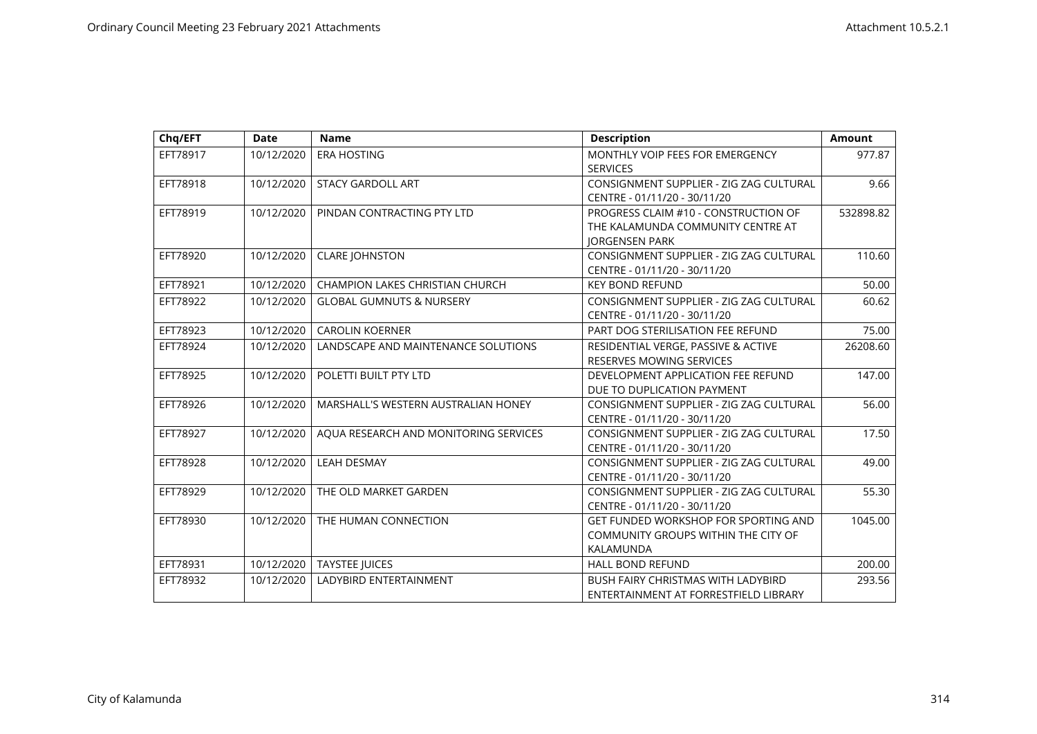| Chg/EFT  | <b>Date</b> | <b>Name</b>                            | <b>Description</b>                                                                                 | <b>Amount</b> |
|----------|-------------|----------------------------------------|----------------------------------------------------------------------------------------------------|---------------|
| EFT78917 | 10/12/2020  | <b>ERA HOSTING</b>                     | MONTHLY VOIP FEES FOR EMERGENCY<br><b>SERVICES</b>                                                 | 977.87        |
| EFT78918 | 10/12/2020  | <b>STACY GARDOLL ART</b>               | CONSIGNMENT SUPPLIER - ZIG ZAG CULTURAL<br>CENTRE - 01/11/20 - 30/11/20                            | 9.66          |
| EFT78919 | 10/12/2020  | PINDAN CONTRACTING PTY LTD             | PROGRESS CLAIM #10 - CONSTRUCTION OF<br>THE KALAMUNDA COMMUNITY CENTRE AT<br><b>JORGENSEN PARK</b> | 532898.82     |
| EFT78920 | 10/12/2020  | <b>CLARE JOHNSTON</b>                  | CONSIGNMENT SUPPLIER - ZIG ZAG CULTURAL<br>CENTRE - 01/11/20 - 30/11/20                            | 110.60        |
| EFT78921 | 10/12/2020  | <b>CHAMPION LAKES CHRISTIAN CHURCH</b> | <b>KEY BOND REFUND</b>                                                                             | 50.00         |
| EFT78922 | 10/12/2020  | <b>GLOBAL GUMNUTS &amp; NURSERY</b>    | CONSIGNMENT SUPPLIER - ZIG ZAG CULTURAL<br>CENTRE - 01/11/20 - 30/11/20                            | 60.62         |
| EFT78923 | 10/12/2020  | <b>CAROLIN KOERNER</b>                 | PART DOG STERILISATION FEE REFUND                                                                  | 75.00         |
| EFT78924 | 10/12/2020  | LANDSCAPE AND MAINTENANCE SOLUTIONS    | RESIDENTIAL VERGE, PASSIVE & ACTIVE<br>RESERVES MOWING SERVICES                                    | 26208.60      |
| EFT78925 | 10/12/2020  | POLETTI BUILT PTY LTD                  | DEVELOPMENT APPLICATION FEE REFUND<br>DUE TO DUPLICATION PAYMENT                                   | 147.00        |
| EFT78926 | 10/12/2020  | MARSHALL'S WESTERN AUSTRALIAN HONEY    | CONSIGNMENT SUPPLIER - ZIG ZAG CULTURAL<br>CENTRE - 01/11/20 - 30/11/20                            | 56.00         |
| EFT78927 | 10/12/2020  | AQUA RESEARCH AND MONITORING SERVICES  | CONSIGNMENT SUPPLIER - ZIG ZAG CULTURAL<br>CENTRE - 01/11/20 - 30/11/20                            | 17.50         |
| EFT78928 | 10/12/2020  | <b>LEAH DESMAY</b>                     | CONSIGNMENT SUPPLIER - ZIG ZAG CULTURAL<br>CENTRE - 01/11/20 - 30/11/20                            | 49.00         |
| EFT78929 | 10/12/2020  | THE OLD MARKET GARDEN                  | CONSIGNMENT SUPPLIER - ZIG ZAG CULTURAL<br>CENTRE - 01/11/20 - 30/11/20                            | 55.30         |
| EFT78930 | 10/12/2020  | THE HUMAN CONNECTION                   | <b>GET FUNDED WORKSHOP FOR SPORTING AND</b><br>COMMUNITY GROUPS WITHIN THE CITY OF<br>KALAMUNDA    | 1045.00       |
| EFT78931 | 10/12/2020  | <b>TAYSTEE JUICES</b>                  | <b>HALL BOND REFUND</b>                                                                            | 200.00        |
| EFT78932 | 10/12/2020  | LADYBIRD ENTERTAINMENT                 | <b>BUSH FAIRY CHRISTMAS WITH LADYBIRD</b><br>ENTERTAINMENT AT FORRESTFIELD LIBRARY                 | 293.56        |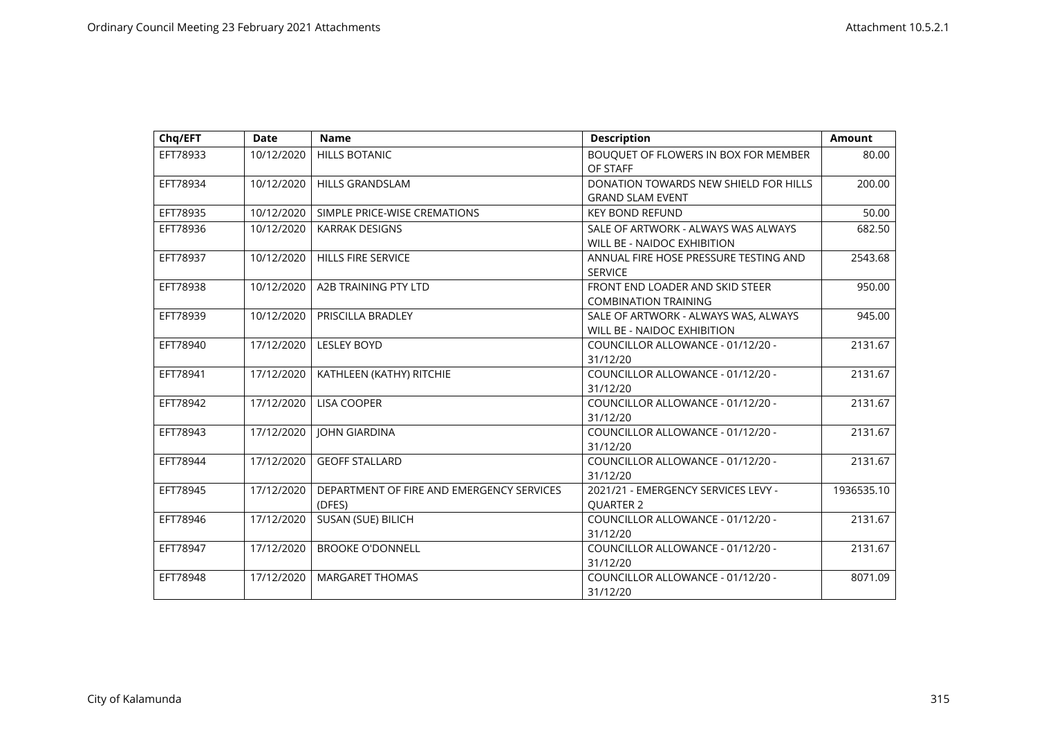| Chg/EFT  | <b>Date</b> | <b>Name</b>                                         | <b>Description</b>                                                         | Amount     |
|----------|-------------|-----------------------------------------------------|----------------------------------------------------------------------------|------------|
| EFT78933 | 10/12/2020  | <b>HILLS BOTANIC</b>                                | BOUQUET OF FLOWERS IN BOX FOR MEMBER<br>OF STAFF                           | 80.00      |
| EFT78934 | 10/12/2020  | <b>HILLS GRANDSLAM</b>                              | DONATION TOWARDS NEW SHIELD FOR HILLS<br><b>GRAND SLAM EVENT</b>           | 200.00     |
| EFT78935 | 10/12/2020  | SIMPLE PRICE-WISE CREMATIONS                        | <b>KEY BOND REFUND</b>                                                     | 50.00      |
| EFT78936 | 10/12/2020  | <b>KARRAK DESIGNS</b>                               | SALE OF ARTWORK - ALWAYS WAS ALWAYS<br>WILL BE - NAIDOC EXHIBITION         | 682.50     |
| EFT78937 | 10/12/2020  | <b>HILLS FIRE SERVICE</b>                           | ANNUAL FIRE HOSE PRESSURE TESTING AND<br><b>SERVICE</b>                    | 2543.68    |
| EFT78938 | 10/12/2020  | A2B TRAINING PTY LTD                                | FRONT END LOADER AND SKID STEER<br><b>COMBINATION TRAINING</b>             | 950.00     |
| EFT78939 | 10/12/2020  | PRISCILLA BRADLEY                                   | SALE OF ARTWORK - ALWAYS WAS, ALWAYS<br><b>WILL BE - NAIDOC EXHIBITION</b> | 945.00     |
| EFT78940 | 17/12/2020  | <b>LESLEY BOYD</b>                                  | COUNCILLOR ALLOWANCE - 01/12/20 -<br>31/12/20                              | 2131.67    |
| EFT78941 | 17/12/2020  | KATHLEEN (KATHY) RITCHIE                            | COUNCILLOR ALLOWANCE - 01/12/20 -<br>31/12/20                              | 2131.67    |
| EFT78942 | 17/12/2020  | <b>LISA COOPER</b>                                  | COUNCILLOR ALLOWANCE - 01/12/20 -<br>31/12/20                              | 2131.67    |
| EFT78943 | 17/12/2020  | <b>JOHN GIARDINA</b>                                | COUNCILLOR ALLOWANCE - 01/12/20 -<br>31/12/20                              | 2131.67    |
| EFT78944 | 17/12/2020  | <b>GEOFF STALLARD</b>                               | COUNCILLOR ALLOWANCE - 01/12/20 -<br>31/12/20                              | 2131.67    |
| EFT78945 | 17/12/2020  | DEPARTMENT OF FIRE AND EMERGENCY SERVICES<br>(DFES) | 2021/21 - EMERGENCY SERVICES LEVY -<br><b>OUARTER 2</b>                    | 1936535.10 |
| EFT78946 | 17/12/2020  | SUSAN (SUE) BILICH                                  | COUNCILLOR ALLOWANCE - 01/12/20 -<br>31/12/20                              | 2131.67    |
| EFT78947 | 17/12/2020  | <b>BROOKE O'DONNELL</b>                             | COUNCILLOR ALLOWANCE - 01/12/20 -<br>31/12/20                              | 2131.67    |
| EFT78948 | 17/12/2020  | <b>MARGARET THOMAS</b>                              | COUNCILLOR ALLOWANCE - 01/12/20 -<br>31/12/20                              | 8071.09    |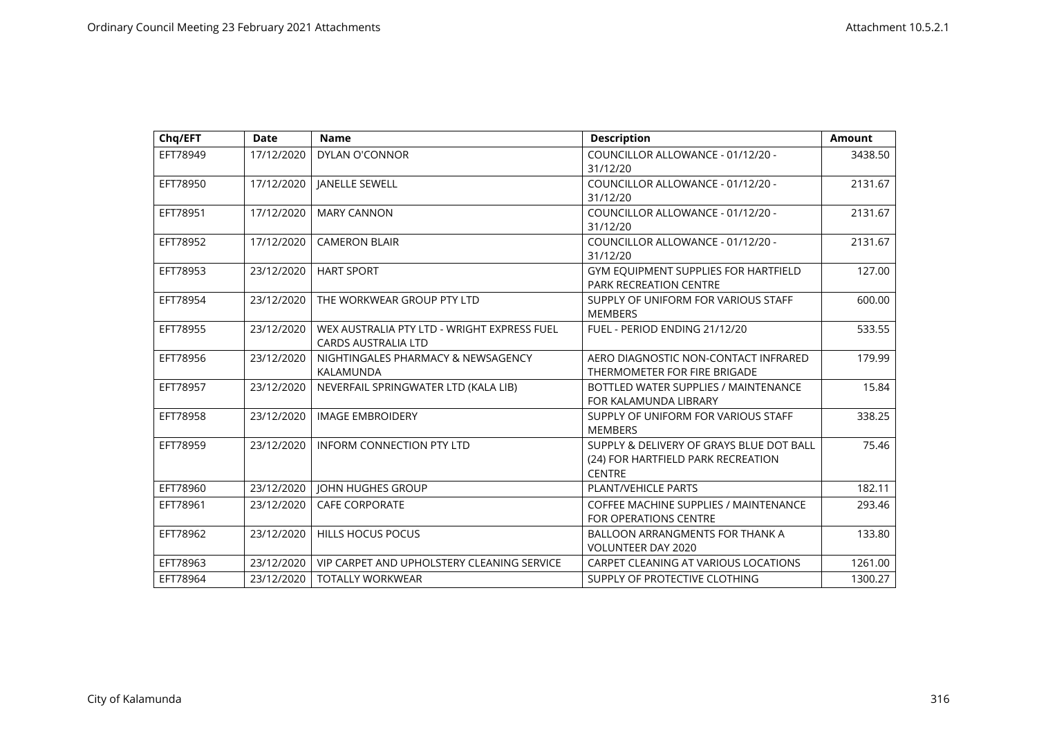| Chq/EFT  | <b>Date</b> | <b>Name</b>                                 | <b>Description</b>                       | <b>Amount</b> |
|----------|-------------|---------------------------------------------|------------------------------------------|---------------|
| EFT78949 | 17/12/2020  | <b>DYLAN O'CONNOR</b>                       | COUNCILLOR ALLOWANCE - 01/12/20 -        | 3438.50       |
|          |             |                                             | 31/12/20                                 |               |
| EFT78950 | 17/12/2020  | <b>JANELLE SEWELL</b>                       | COUNCILLOR ALLOWANCE - 01/12/20 -        | 2131.67       |
|          |             |                                             | 31/12/20                                 |               |
| EFT78951 | 17/12/2020  | <b>MARY CANNON</b>                          | COUNCILLOR ALLOWANCE - 01/12/20 -        | 2131.67       |
|          |             |                                             | 31/12/20                                 |               |
| EFT78952 | 17/12/2020  | <b>CAMERON BLAIR</b>                        | COUNCILLOR ALLOWANCE - 01/12/20 -        | 2131.67       |
|          |             |                                             | 31/12/20                                 |               |
| EFT78953 | 23/12/2020  | <b>HART SPORT</b>                           | GYM EQUIPMENT SUPPLIES FOR HARTFIELD     | 127.00        |
|          |             |                                             | <b>PARK RECREATION CENTRE</b>            |               |
| EFT78954 | 23/12/2020  | THE WORKWEAR GROUP PTY LTD                  | SUPPLY OF UNIFORM FOR VARIOUS STAFF      | 600.00        |
|          |             |                                             | <b>MEMBERS</b>                           |               |
| EFT78955 | 23/12/2020  | WEX AUSTRALIA PTY LTD - WRIGHT EXPRESS FUEL | FUEL - PERIOD ENDING 21/12/20            | 533.55        |
|          |             | <b>CARDS AUSTRALIA LTD</b>                  |                                          |               |
| EFT78956 | 23/12/2020  | NIGHTINGALES PHARMACY & NEWSAGENCY          | AERO DIAGNOSTIC NON-CONTACT INFRARED     | 179.99        |
|          |             | KALAMUNDA                                   | THERMOMETER FOR FIRE BRIGADE             |               |
| EFT78957 | 23/12/2020  | NEVERFAIL SPRINGWATER LTD (KALA LIB)        | BOTTLED WATER SUPPLIES / MAINTENANCE     | 15.84         |
|          |             |                                             | FOR KALAMUNDA LIBRARY                    |               |
| EFT78958 | 23/12/2020  | <b>IMAGE EMBROIDERY</b>                     | SUPPLY OF UNIFORM FOR VARIOUS STAFF      | 338.25        |
|          |             |                                             | <b>MEMBERS</b>                           |               |
| EFT78959 | 23/12/2020  | <b>INFORM CONNECTION PTY LTD</b>            | SUPPLY & DELIVERY OF GRAYS BLUE DOT BALL | 75.46         |
|          |             |                                             | (24) FOR HARTFIELD PARK RECREATION       |               |
|          |             |                                             | <b>CENTRE</b>                            |               |
| EFT78960 | 23/12/2020  | <b>JOHN HUGHES GROUP</b>                    | <b>PLANT/VEHICLE PARTS</b>               | 182.11        |
| EFT78961 | 23/12/2020  | <b>CAFE CORPORATE</b>                       | COFFEE MACHINE SUPPLIES / MAINTENANCE    | 293.46        |
|          |             |                                             | <b>FOR OPERATIONS CENTRE</b>             |               |
| EFT78962 | 23/12/2020  | <b>HILLS HOCUS POCUS</b>                    | <b>BALLOON ARRANGMENTS FOR THANK A</b>   | 133.80        |
|          |             |                                             | <b>VOLUNTEER DAY 2020</b>                |               |
| EFT78963 | 23/12/2020  | VIP CARPET AND UPHOLSTERY CLEANING SERVICE  | CARPET CLEANING AT VARIOUS LOCATIONS     | 1261.00       |
| EFT78964 | 23/12/2020  | <b>TOTALLY WORKWEAR</b>                     | SUPPLY OF PROTECTIVE CLOTHING            | 1300.27       |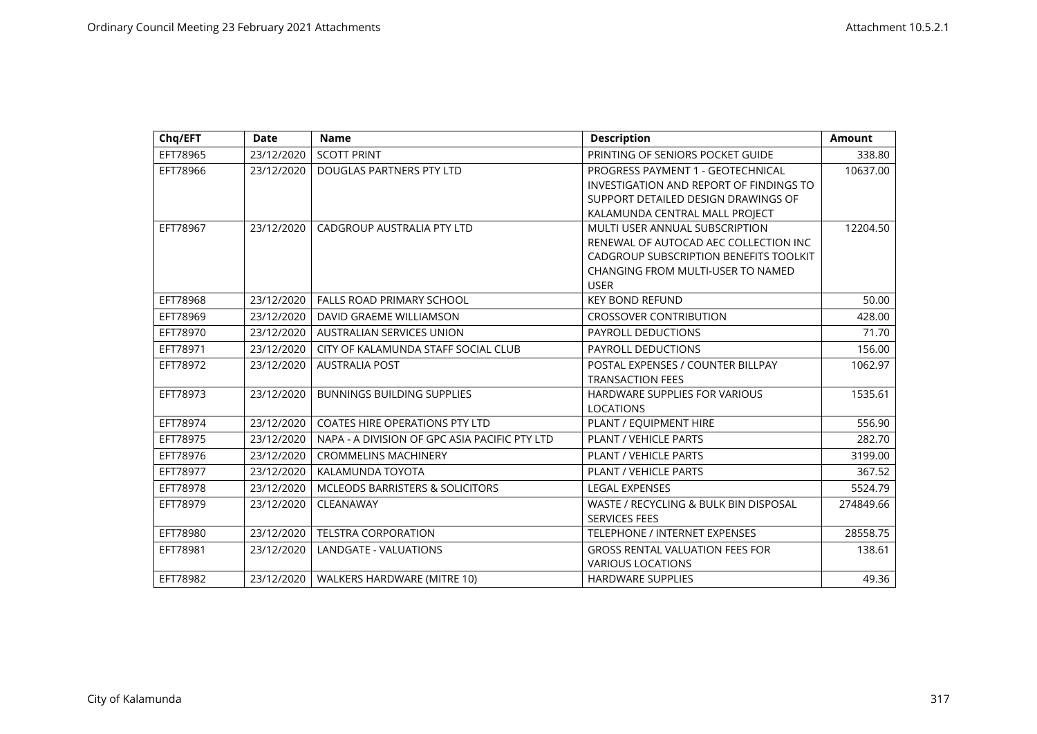| Chq/EFT  | <b>Date</b> | <b>Name</b>                                   | <b>Description</b>                      | <b>Amount</b> |
|----------|-------------|-----------------------------------------------|-----------------------------------------|---------------|
| EFT78965 | 23/12/2020  | <b>SCOTT PRINT</b>                            | PRINTING OF SENIORS POCKET GUIDE        | 338.80        |
| EFT78966 | 23/12/2020  | DOUGLAS PARTNERS PTY LTD                      | PROGRESS PAYMENT 1 - GEOTECHNICAL       | 10637.00      |
|          |             |                                               | INVESTIGATION AND REPORT OF FINDINGS TO |               |
|          |             |                                               | SUPPORT DETAILED DESIGN DRAWINGS OF     |               |
|          |             |                                               | KALAMUNDA CENTRAL MALL PROJECT          |               |
| EFT78967 | 23/12/2020  | CADGROUP AUSTRALIA PTY LTD                    | MULTI USER ANNUAL SUBSCRIPTION          | 12204.50      |
|          |             |                                               | RENEWAL OF AUTOCAD AEC COLLECTION INC   |               |
|          |             |                                               | CADGROUP SUBSCRIPTION BENEFITS TOOLKIT  |               |
|          |             |                                               | CHANGING FROM MULTI-USER TO NAMED       |               |
|          |             |                                               | <b>USER</b>                             |               |
| EFT78968 | 23/12/2020  | <b>FALLS ROAD PRIMARY SCHOOL</b>              | <b>KEY BOND REFUND</b>                  | 50.00         |
| EFT78969 | 23/12/2020  | DAVID GRAEME WILLIAMSON                       | <b>CROSSOVER CONTRIBUTION</b>           | 428.00        |
| EFT78970 | 23/12/2020  | <b>AUSTRALIAN SERVICES UNION</b>              | PAYROLL DEDUCTIONS                      | 71.70         |
| EFT78971 | 23/12/2020  | CITY OF KALAMUNDA STAFF SOCIAL CLUB           | PAYROLL DEDUCTIONS                      | 156.00        |
| EFT78972 | 23/12/2020  | <b>AUSTRALIA POST</b>                         | POSTAL EXPENSES / COUNTER BILLPAY       | 1062.97       |
|          |             |                                               | <b>TRANSACTION FEES</b>                 |               |
| EFT78973 | 23/12/2020  | <b>BUNNINGS BUILDING SUPPLIES</b>             | <b>HARDWARE SUPPLIES FOR VARIOUS</b>    | 1535.61       |
|          |             |                                               | <b>LOCATIONS</b>                        |               |
| EFT78974 | 23/12/2020  | <b>COATES HIRE OPERATIONS PTY LTD</b>         | PLANT / EQUIPMENT HIRE                  | 556.90        |
| EFT78975 | 23/12/2020  | NAPA - A DIVISION OF GPC ASIA PACIFIC PTY LTD | PLANT / VEHICLE PARTS                   | 282.70        |
| EFT78976 | 23/12/2020  | <b>CROMMELINS MACHINERY</b>                   | PLANT / VEHICLE PARTS                   | 3199.00       |
| EFT78977 | 23/12/2020  | KALAMUNDA TOYOTA                              | <b>PLANT / VEHICLE PARTS</b>            | 367.52        |
| EFT78978 | 23/12/2020  | <b>MCLEODS BARRISTERS &amp; SOLICITORS</b>    | <b>LEGAL EXPENSES</b>                   | 5524.79       |
| EFT78979 | 23/12/2020  | CLEANAWAY                                     | WASTE / RECYCLING & BULK BIN DISPOSAL   | 274849.66     |
|          |             |                                               | <b>SERVICES FEES</b>                    |               |
| EFT78980 | 23/12/2020  | <b>TELSTRA CORPORATION</b>                    | <b>TELEPHONE / INTERNET EXPENSES</b>    | 28558.75      |
| EFT78981 | 23/12/2020  | LANDGATE - VALUATIONS                         | <b>GROSS RENTAL VALUATION FEES FOR</b>  | 138.61        |
|          |             |                                               | <b>VARIOUS LOCATIONS</b>                |               |
| EFT78982 | 23/12/2020  | WALKERS HARDWARE (MITRE 10)                   | <b>HARDWARE SUPPLIES</b>                | 49.36         |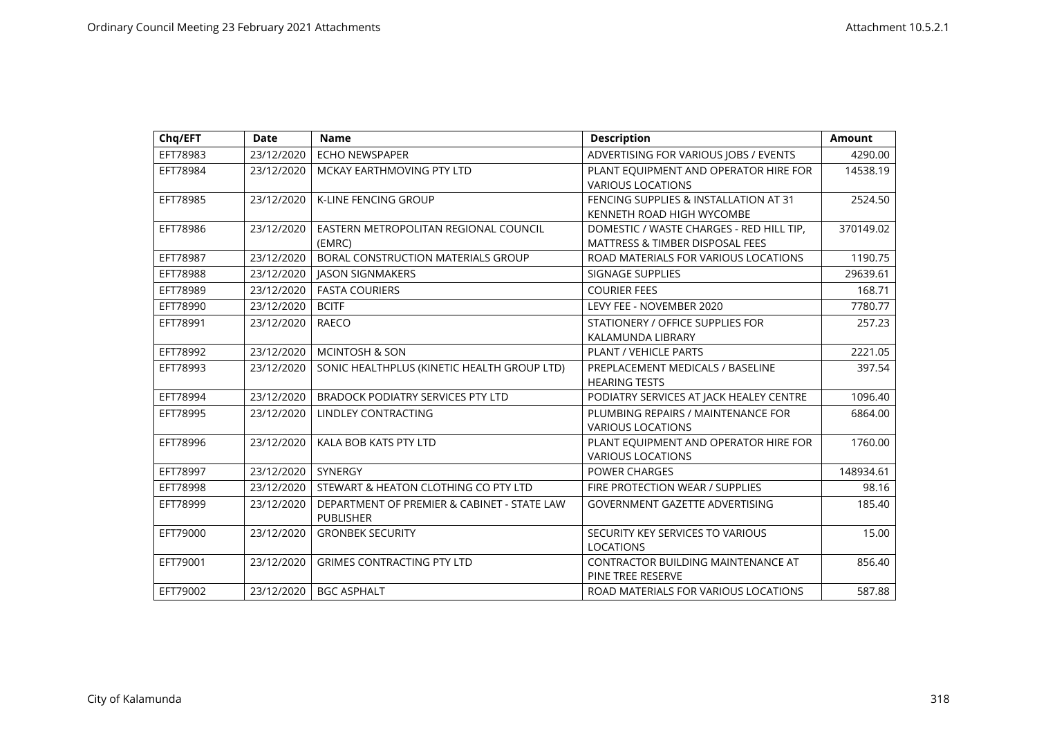| Chq/EFT  | <b>Date</b> | <b>Name</b>                                                     | <b>Description</b>                                                                     | <b>Amount</b> |
|----------|-------------|-----------------------------------------------------------------|----------------------------------------------------------------------------------------|---------------|
| EFT78983 | 23/12/2020  | <b>ECHO NEWSPAPER</b>                                           | ADVERTISING FOR VARIOUS JOBS / EVENTS                                                  | 4290.00       |
| EFT78984 | 23/12/2020  | MCKAY EARTHMOVING PTY LTD                                       | PLANT EQUIPMENT AND OPERATOR HIRE FOR<br><b>VARIOUS LOCATIONS</b>                      | 14538.19      |
| EFT78985 | 23/12/2020  | <b>K-LINE FENCING GROUP</b>                                     | FENCING SUPPLIES & INSTALLATION AT 31<br>KENNETH ROAD HIGH WYCOMBE                     | 2524.50       |
| EFT78986 | 23/12/2020  | EASTERN METROPOLITAN REGIONAL COUNCIL<br>(EMRC)                 | DOMESTIC / WASTE CHARGES - RED HILL TIP,<br><b>MATTRESS &amp; TIMBER DISPOSAL FEES</b> | 370149.02     |
| EFT78987 | 23/12/2020  | BORAL CONSTRUCTION MATERIALS GROUP                              | ROAD MATERIALS FOR VARIOUS LOCATIONS                                                   | 1190.75       |
| EFT78988 | 23/12/2020  | <b>JASON SIGNMAKERS</b>                                         | SIGNAGE SUPPLIES                                                                       | 29639.61      |
| EFT78989 | 23/12/2020  | <b>FASTA COURIERS</b>                                           | <b>COURIER FEES</b>                                                                    | 168.71        |
| EFT78990 | 23/12/2020  | <b>BCITF</b>                                                    | LEVY FEE - NOVEMBER 2020                                                               | 7780.77       |
| EFT78991 | 23/12/2020  | <b>RAECO</b>                                                    | STATIONERY / OFFICE SUPPLIES FOR<br>KALAMUNDA LIBRARY                                  | 257.23        |
| EFT78992 | 23/12/2020  | <b>MCINTOSH &amp; SON</b>                                       | <b>PLANT / VEHICLE PARTS</b>                                                           | 2221.05       |
| EFT78993 | 23/12/2020  | SONIC HEALTHPLUS (KINETIC HEALTH GROUP LTD)                     | PREPLACEMENT MEDICALS / BASELINE<br><b>HEARING TESTS</b>                               | 397.54        |
| EFT78994 | 23/12/2020  | <b>BRADOCK PODIATRY SERVICES PTY LTD</b>                        | PODIATRY SERVICES AT JACK HEALEY CENTRE                                                | 1096.40       |
| EFT78995 | 23/12/2020  | LINDLEY CONTRACTING                                             | PLUMBING REPAIRS / MAINTENANCE FOR<br><b>VARIOUS LOCATIONS</b>                         | 6864.00       |
| EFT78996 | 23/12/2020  | KALA BOB KATS PTY LTD                                           | PLANT EQUIPMENT AND OPERATOR HIRE FOR<br><b>VARIOUS LOCATIONS</b>                      | 1760.00       |
| EFT78997 | 23/12/2020  | SYNERGY                                                         | <b>POWER CHARGES</b>                                                                   | 148934.61     |
| EFT78998 | 23/12/2020  | STEWART & HEATON CLOTHING CO PTY LTD                            | FIRE PROTECTION WEAR / SUPPLIES                                                        | 98.16         |
| EFT78999 | 23/12/2020  | DEPARTMENT OF PREMIER & CABINET - STATE LAW<br><b>PUBLISHER</b> | <b>GOVERNMENT GAZETTE ADVERTISING</b>                                                  | 185.40        |
| EFT79000 | 23/12/2020  | <b>GRONBEK SECURITY</b>                                         | SECURITY KEY SERVICES TO VARIOUS<br><b>LOCATIONS</b>                                   | 15.00         |
| EFT79001 | 23/12/2020  | <b>GRIMES CONTRACTING PTY LTD</b>                               | <b>CONTRACTOR BUILDING MAINTENANCE AT</b><br>PINE TREE RESERVE                         | 856.40        |
| EFT79002 | 23/12/2020  | <b>BGC ASPHALT</b>                                              | ROAD MATERIALS FOR VARIOUS LOCATIONS                                                   | 587.88        |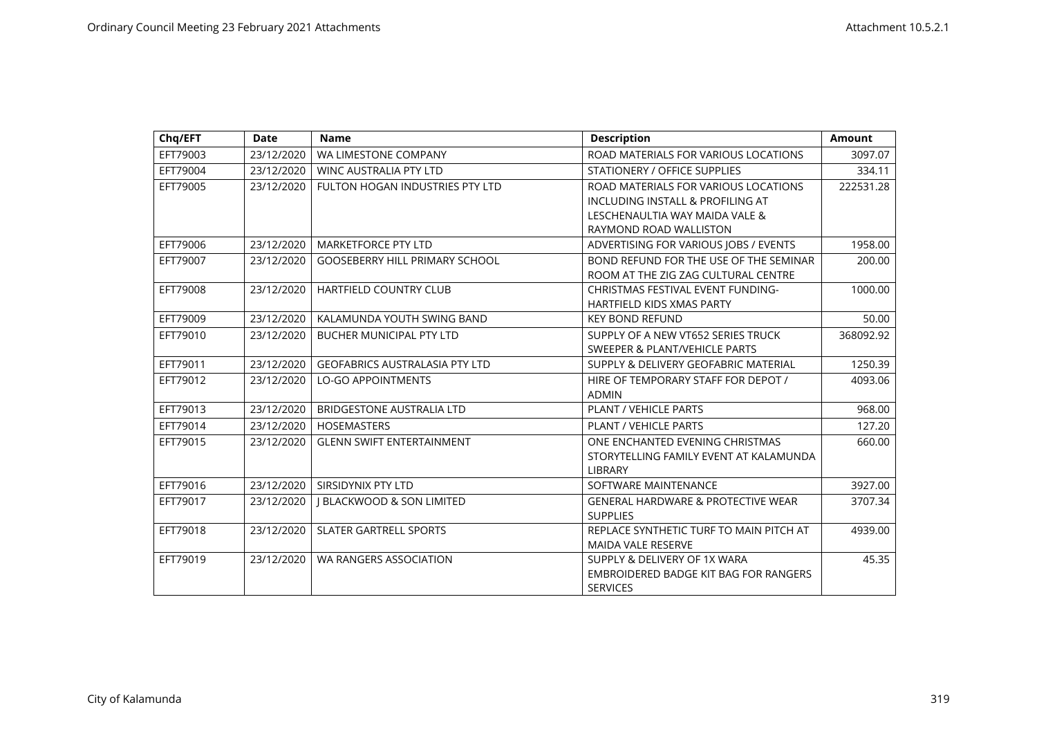| Chq/EFT  | <b>Date</b> | <b>Name</b>                           | <b>Description</b>                            | <b>Amount</b> |
|----------|-------------|---------------------------------------|-----------------------------------------------|---------------|
| EFT79003 | 23/12/2020  | WA LIMESTONE COMPANY                  | ROAD MATERIALS FOR VARIOUS LOCATIONS          | 3097.07       |
| EFT79004 | 23/12/2020  | <b>WINC AUSTRALIA PTY LTD</b>         | <b>STATIONERY / OFFICE SUPPLIES</b>           | 334.11        |
| EFT79005 | 23/12/2020  | FULTON HOGAN INDUSTRIES PTY LTD       | ROAD MATERIALS FOR VARIOUS LOCATIONS          | 222531.28     |
|          |             |                                       | INCLUDING INSTALL & PROFILING AT              |               |
|          |             |                                       | LESCHENAULTIA WAY MAIDA VALE &                |               |
|          |             |                                       | RAYMOND ROAD WALLISTON                        |               |
| EFT79006 | 23/12/2020  | <b>MARKETFORCE PTY LTD</b>            | ADVERTISING FOR VARIOUS JOBS / EVENTS         | 1958.00       |
| EFT79007 | 23/12/2020  | <b>GOOSEBERRY HILL PRIMARY SCHOOL</b> | BOND REFUND FOR THE USE OF THE SEMINAR        | 200.00        |
|          |             |                                       | ROOM AT THE ZIG ZAG CULTURAL CENTRE           |               |
| EFT79008 | 23/12/2020  | <b>HARTFIELD COUNTRY CLUB</b>         | <b>CHRISTMAS FESTIVAL EVENT FUNDING-</b>      | 1000.00       |
|          |             |                                       | <b>HARTFIELD KIDS XMAS PARTY</b>              |               |
| EFT79009 | 23/12/2020  | KALAMUNDA YOUTH SWING BAND            | <b>KEY BOND REFUND</b>                        | 50.00         |
| EFT79010 | 23/12/2020  | <b>BUCHER MUNICIPAL PTY LTD</b>       | SUPPLY OF A NEW VT652 SERIES TRUCK            | 368092.92     |
|          |             |                                       | SWEEPER & PLANT/VEHICLE PARTS                 |               |
| EFT79011 | 23/12/2020  | <b>GEOFABRICS AUSTRALASIA PTY LTD</b> | SUPPLY & DELIVERY GEOFABRIC MATERIAL          | 1250.39       |
| EFT79012 | 23/12/2020  | <b>LO-GO APPOINTMENTS</b>             | HIRE OF TEMPORARY STAFF FOR DEPOT /           | 4093.06       |
|          |             |                                       | <b>ADMIN</b>                                  |               |
| EFT79013 | 23/12/2020  | <b>BRIDGESTONE AUSTRALIA LTD</b>      | PLANT / VEHICLE PARTS                         | 968.00        |
| EFT79014 | 23/12/2020  | <b>HOSEMASTERS</b>                    | PLANT / VEHICLE PARTS                         | 127.20        |
| EFT79015 | 23/12/2020  | <b>GLENN SWIFT ENTERTAINMENT</b>      | ONE ENCHANTED EVENING CHRISTMAS               | 660.00        |
|          |             |                                       | STORYTELLING FAMILY EVENT AT KALAMUNDA        |               |
|          |             |                                       | <b>LIBRARY</b>                                |               |
| EFT79016 | 23/12/2020  | SIRSIDYNIX PTY LTD                    | SOFTWARE MAINTENANCE                          | 3927.00       |
| EFT79017 | 23/12/2020  | <b>J BLACKWOOD &amp; SON LIMITED</b>  | <b>GENERAL HARDWARE &amp; PROTECTIVE WEAR</b> | 3707.34       |
|          |             |                                       | <b>SUPPLIES</b>                               |               |
| EFT79018 | 23/12/2020  | <b>SLATER GARTRELL SPORTS</b>         | REPLACE SYNTHETIC TURF TO MAIN PITCH AT       | 4939.00       |
|          |             |                                       | <b>MAIDA VALE RESERVE</b>                     |               |
| EFT79019 | 23/12/2020  | WA RANGERS ASSOCIATION                | SUPPLY & DELIVERY OF 1X WARA                  | 45.35         |
|          |             |                                       | EMBROIDERED BADGE KIT BAG FOR RANGERS         |               |
|          |             |                                       | <b>SERVICES</b>                               |               |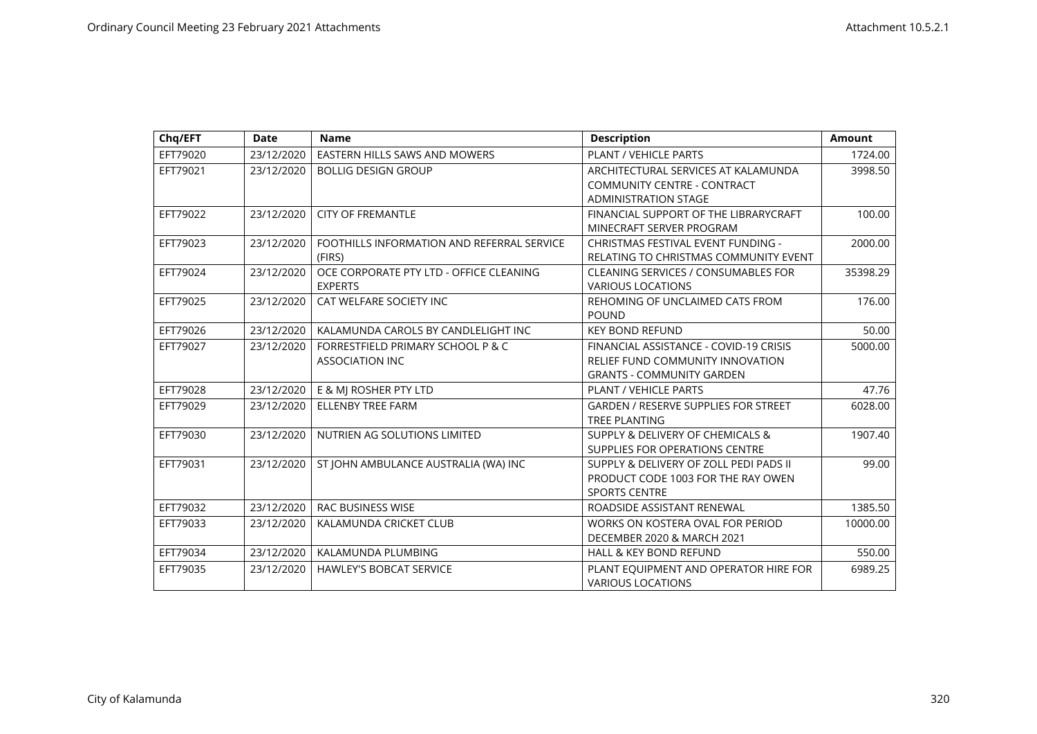| Chq/EFT  | <b>Date</b> | <b>Name</b>                                | <b>Description</b>                          | <b>Amount</b> |
|----------|-------------|--------------------------------------------|---------------------------------------------|---------------|
| EFT79020 | 23/12/2020  | EASTERN HILLS SAWS AND MOWERS              | PLANT / VEHICLE PARTS                       | 1724.00       |
| EFT79021 | 23/12/2020  | <b>BOLLIG DESIGN GROUP</b>                 | ARCHITECTURAL SERVICES AT KALAMUNDA         | 3998.50       |
|          |             |                                            | <b>COMMUNITY CENTRE - CONTRACT</b>          |               |
|          |             |                                            | <b>ADMINISTRATION STAGE</b>                 |               |
| EFT79022 | 23/12/2020  | <b>CITY OF FREMANTLE</b>                   | FINANCIAL SUPPORT OF THE LIBRARYCRAFT       | 100.00        |
|          |             |                                            | MINECRAFT SERVER PROGRAM                    |               |
| EFT79023 | 23/12/2020  | FOOTHILLS INFORMATION AND REFERRAL SERVICE | CHRISTMAS FESTIVAL EVENT FUNDING -          | 2000.00       |
|          |             | (FIRS)                                     | RELATING TO CHRISTMAS COMMUNITY EVENT       |               |
| EFT79024 | 23/12/2020  | OCE CORPORATE PTY LTD - OFFICE CLEANING    | <b>CLEANING SERVICES / CONSUMABLES FOR</b>  | 35398.29      |
|          |             | <b>EXPERTS</b>                             | <b>VARIOUS LOCATIONS</b>                    |               |
| EFT79025 | 23/12/2020  | CAT WELFARE SOCIETY INC                    | REHOMING OF UNCLAIMED CATS FROM             | 176.00        |
|          |             |                                            | <b>POUND</b>                                |               |
| EFT79026 | 23/12/2020  | KALAMUNDA CAROLS BY CANDLELIGHT INC        | <b>KEY BOND REFUND</b>                      | 50.00         |
| EFT79027 | 23/12/2020  | FORRESTFIELD PRIMARY SCHOOL P & C          | FINANCIAL ASSISTANCE - COVID-19 CRISIS      | 5000.00       |
|          |             | <b>ASSOCIATION INC</b>                     | RELIEF FUND COMMUNITY INNOVATION            |               |
|          |             |                                            | <b>GRANTS - COMMUNITY GARDEN</b>            |               |
| EFT79028 | 23/12/2020  | E & MJ ROSHER PTY LTD                      | PLANT / VEHICLE PARTS                       | 47.76         |
| EFT79029 | 23/12/2020  | <b>ELLENBY TREE FARM</b>                   | <b>GARDEN / RESERVE SUPPLIES FOR STREET</b> | 6028.00       |
|          |             |                                            | <b>TREE PLANTING</b>                        |               |
| EFT79030 | 23/12/2020  | NUTRIEN AG SOLUTIONS LIMITED               | SUPPLY & DELIVERY OF CHEMICALS &            | 1907.40       |
|          |             |                                            | SUPPLIES FOR OPERATIONS CENTRE              |               |
| EFT79031 | 23/12/2020  | ST JOHN AMBULANCE AUSTRALIA (WA) INC       | SUPPLY & DELIVERY OF ZOLL PEDI PADS II      | 99.00         |
|          |             |                                            | PRODUCT CODE 1003 FOR THE RAY OWEN          |               |
|          |             |                                            | <b>SPORTS CENTRE</b>                        |               |
| EFT79032 | 23/12/2020  | <b>RAC BUSINESS WISE</b>                   | ROADSIDE ASSISTANT RENEWAL                  | 1385.50       |
| EFT79033 | 23/12/2020  | KALAMUNDA CRICKET CLUB                     | WORKS ON KOSTERA OVAL FOR PERIOD            | 10000.00      |
|          |             |                                            | DECEMBER 2020 & MARCH 2021                  |               |
| EFT79034 | 23/12/2020  | KALAMUNDA PLUMBING                         | <b>HALL &amp; KEY BOND REFUND</b>           | 550.00        |
| EFT79035 | 23/12/2020  | <b>HAWLEY'S BOBCAT SERVICE</b>             | PLANT EQUIPMENT AND OPERATOR HIRE FOR       | 6989.25       |
|          |             |                                            | <b>VARIOUS LOCATIONS</b>                    |               |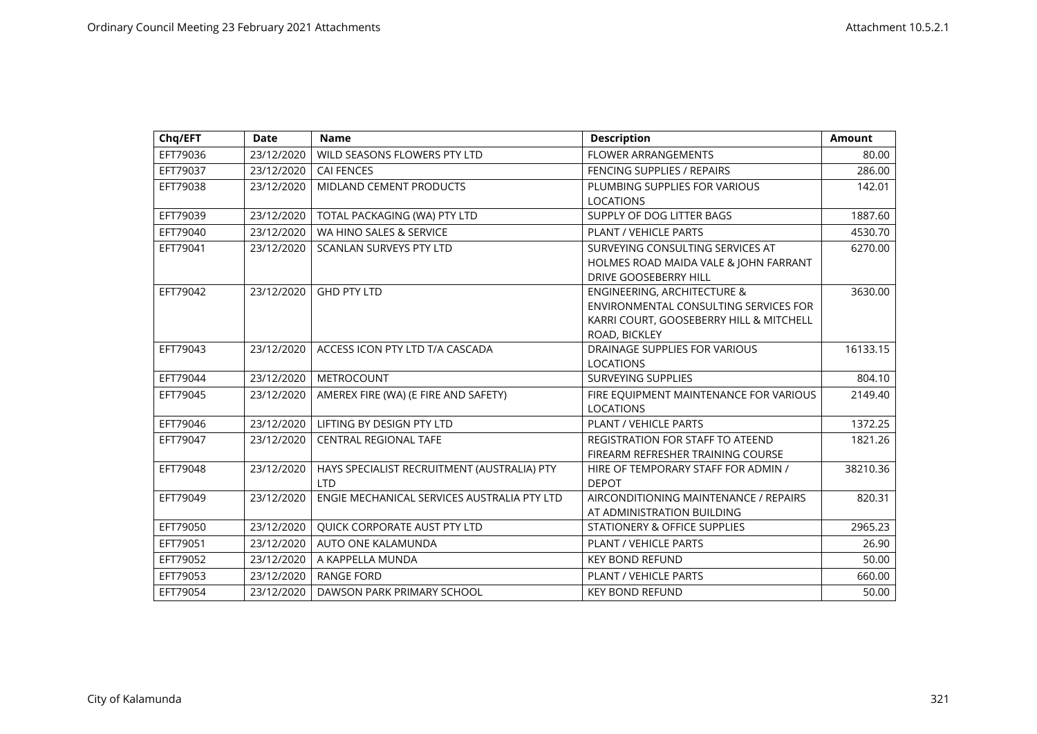| Chq/EFT  | <b>Date</b> | <b>Name</b>                                 | <b>Description</b>                      | <b>Amount</b> |
|----------|-------------|---------------------------------------------|-----------------------------------------|---------------|
| EFT79036 | 23/12/2020  | WILD SEASONS FLOWERS PTY LTD                | <b>FLOWER ARRANGEMENTS</b>              | 80.00         |
| EFT79037 | 23/12/2020  | <b>CAI FENCES</b>                           | FENCING SUPPLIES / REPAIRS              | 286.00        |
| EFT79038 | 23/12/2020  | MIDLAND CEMENT PRODUCTS                     | PLUMBING SUPPLIES FOR VARIOUS           | 142.01        |
|          |             |                                             | <b>LOCATIONS</b>                        |               |
| EFT79039 | 23/12/2020  | TOTAL PACKAGING (WA) PTY LTD                | SUPPLY OF DOG LITTER BAGS               | 1887.60       |
| EFT79040 | 23/12/2020  | WA HINO SALES & SERVICE                     | PLANT / VEHICLE PARTS                   | 4530.70       |
| EFT79041 | 23/12/2020  | SCANLAN SURVEYS PTY LTD                     | SURVEYING CONSULTING SERVICES AT        | 6270.00       |
|          |             |                                             | HOLMES ROAD MAIDA VALE & JOHN FARRANT   |               |
|          |             |                                             | <b>DRIVE GOOSEBERRY HILL</b>            |               |
| EFT79042 | 23/12/2020  | <b>GHD PTY LTD</b>                          | <b>ENGINEERING, ARCHITECTURE &amp;</b>  | 3630.00       |
|          |             |                                             | ENVIRONMENTAL CONSULTING SERVICES FOR   |               |
|          |             |                                             | KARRI COURT, GOOSEBERRY HILL & MITCHELL |               |
|          |             |                                             | ROAD, BICKLEY                           |               |
| EFT79043 | 23/12/2020  | ACCESS ICON PTY LTD T/A CASCADA             | DRAINAGE SUPPLIES FOR VARIOUS           | 16133.15      |
|          |             |                                             | <b>LOCATIONS</b>                        |               |
| EFT79044 | 23/12/2020  | <b>METROCOUNT</b>                           | SURVEYING SUPPLIES                      | 804.10        |
| EFT79045 | 23/12/2020  | AMEREX FIRE (WA) (E FIRE AND SAFETY)        | FIRE EQUIPMENT MAINTENANCE FOR VARIOUS  | 2149.40       |
|          |             |                                             | <b>LOCATIONS</b>                        |               |
| EFT79046 | 23/12/2020  | LIFTING BY DESIGN PTY LTD                   | PLANT / VEHICLE PARTS                   | 1372.25       |
| EFT79047 | 23/12/2020  | <b>CENTRAL REGIONAL TAFE</b>                | <b>REGISTRATION FOR STAFF TO ATEEND</b> | 1821.26       |
|          |             |                                             | FIREARM REFRESHER TRAINING COURSE       |               |
| EFT79048 | 23/12/2020  | HAYS SPECIALIST RECRUITMENT (AUSTRALIA) PTY | HIRE OF TEMPORARY STAFF FOR ADMIN /     | 38210.36      |
|          |             | <b>LTD</b>                                  | <b>DEPOT</b>                            |               |
| EFT79049 | 23/12/2020  | ENGIE MECHANICAL SERVICES AUSTRALIA PTY LTD | AIRCONDITIONING MAINTENANCE / REPAIRS   | 820.31        |
|          |             |                                             | AT ADMINISTRATION BUILDING              |               |
| EFT79050 | 23/12/2020  | QUICK CORPORATE AUST PTY LTD                | STATIONERY & OFFICE SUPPLIES            | 2965.23       |
| EFT79051 | 23/12/2020  | AUTO ONE KALAMUNDA                          | PLANT / VEHICLE PARTS                   | 26.90         |
| EFT79052 | 23/12/2020  | A KAPPELLA MUNDA                            | <b>KEY BOND REFUND</b>                  | 50.00         |
| EFT79053 | 23/12/2020  | <b>RANGE FORD</b>                           | <b>PLANT / VEHICLE PARTS</b>            | 660.00        |
| EFT79054 | 23/12/2020  | DAWSON PARK PRIMARY SCHOOL                  | <b>KEY BOND REFUND</b>                  | 50.00         |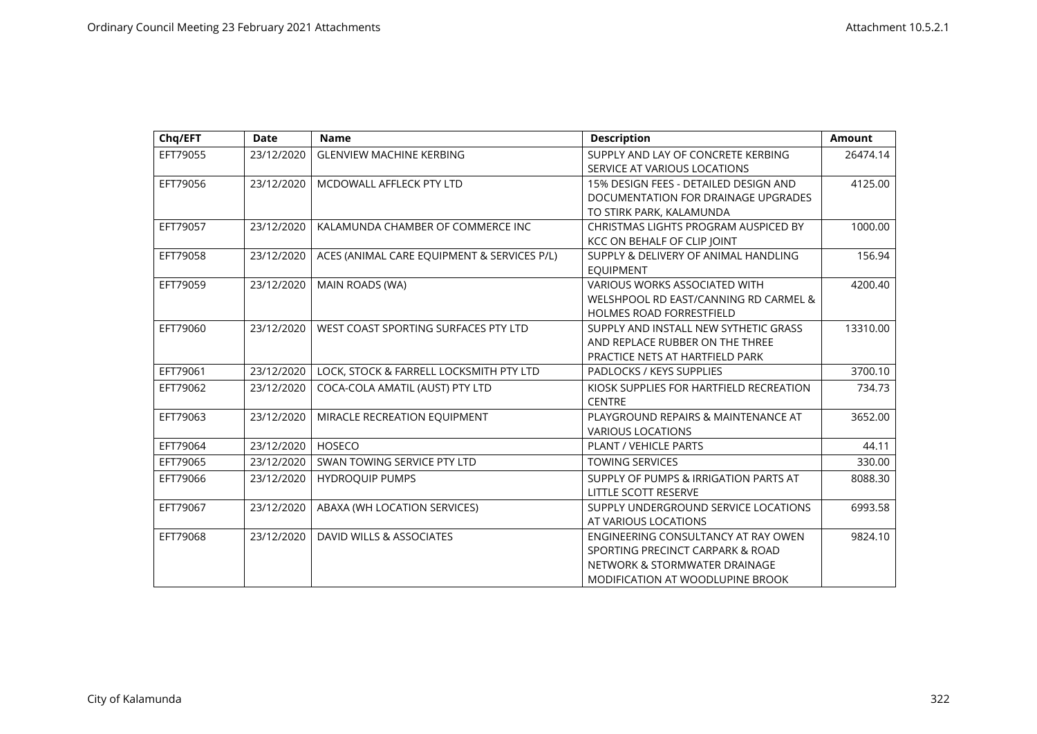| Chq/EFT  | <b>Date</b> | <b>Name</b>                                 | <b>Description</b>                      | <b>Amount</b> |
|----------|-------------|---------------------------------------------|-----------------------------------------|---------------|
| EFT79055 | 23/12/2020  | <b>GLENVIEW MACHINE KERBING</b>             | SUPPLY AND LAY OF CONCRETE KERBING      | 26474.14      |
|          |             |                                             | SERVICE AT VARIOUS LOCATIONS            |               |
| EFT79056 | 23/12/2020  | MCDOWALL AFFLECK PTY LTD                    | 15% DESIGN FEES - DETAILED DESIGN AND   | 4125.00       |
|          |             |                                             | DOCUMENTATION FOR DRAINAGE UPGRADES     |               |
|          |             |                                             | TO STIRK PARK, KALAMUNDA                |               |
| EFT79057 | 23/12/2020  | KALAMUNDA CHAMBER OF COMMERCE INC           | CHRISTMAS LIGHTS PROGRAM AUSPICED BY    | 1000.00       |
|          |             |                                             | KCC ON BEHALF OF CLIP JOINT             |               |
| EFT79058 | 23/12/2020  | ACES (ANIMAL CARE EQUIPMENT & SERVICES P/L) | SUPPLY & DELIVERY OF ANIMAL HANDLING    | 156.94        |
|          |             |                                             | <b>EQUIPMENT</b>                        |               |
| EFT79059 | 23/12/2020  | MAIN ROADS (WA)                             | <b>VARIOUS WORKS ASSOCIATED WITH</b>    | 4200.40       |
|          |             |                                             | WELSHPOOL RD EAST/CANNING RD CARMEL &   |               |
|          |             |                                             | <b>HOLMES ROAD FORRESTFIELD</b>         |               |
| EFT79060 | 23/12/2020  | WEST COAST SPORTING SURFACES PTY LTD        | SUPPLY AND INSTALL NEW SYTHETIC GRASS   | 13310.00      |
|          |             |                                             | AND REPLACE RUBBER ON THE THREE         |               |
|          |             |                                             | PRACTICE NETS AT HARTFIELD PARK         |               |
| EFT79061 | 23/12/2020  | LOCK, STOCK & FARRELL LOCKSMITH PTY LTD     | PADLOCKS / KEYS SUPPLIES                | 3700.10       |
| EFT79062 | 23/12/2020  | COCA-COLA AMATIL (AUST) PTY LTD             | KIOSK SUPPLIES FOR HARTFIELD RECREATION | 734.73        |
|          |             |                                             | <b>CENTRE</b>                           |               |
| EFT79063 | 23/12/2020  | MIRACLE RECREATION EQUIPMENT                | PLAYGROUND REPAIRS & MAINTENANCE AT     | 3652.00       |
|          |             |                                             | <b>VARIOUS LOCATIONS</b>                |               |
| EFT79064 | 23/12/2020  | HOSECO                                      | PLANT / VEHICLE PARTS                   | 44.11         |
| EFT79065 | 23/12/2020  | SWAN TOWING SERVICE PTY LTD                 | <b>TOWING SERVICES</b>                  | 330.00        |
| EFT79066 | 23/12/2020  | <b>HYDROQUIP PUMPS</b>                      | SUPPLY OF PUMPS & IRRIGATION PARTS AT   | 8088.30       |
|          |             |                                             | LITTLE SCOTT RESERVE                    |               |
| EFT79067 | 23/12/2020  | ABAXA (WH LOCATION SERVICES)                | SUPPLY UNDERGROUND SERVICE LOCATIONS    | 6993.58       |
|          |             |                                             | AT VARIOUS LOCATIONS                    |               |
| EFT79068 | 23/12/2020  | DAVID WILLS & ASSOCIATES                    | ENGINEERING CONSULTANCY AT RAY OWEN     | 9824.10       |
|          |             |                                             | SPORTING PRECINCT CARPARK & ROAD        |               |
|          |             |                                             | NETWORK & STORMWATER DRAINAGE           |               |
|          |             |                                             | MODIFICATION AT WOODLUPINE BROOK        |               |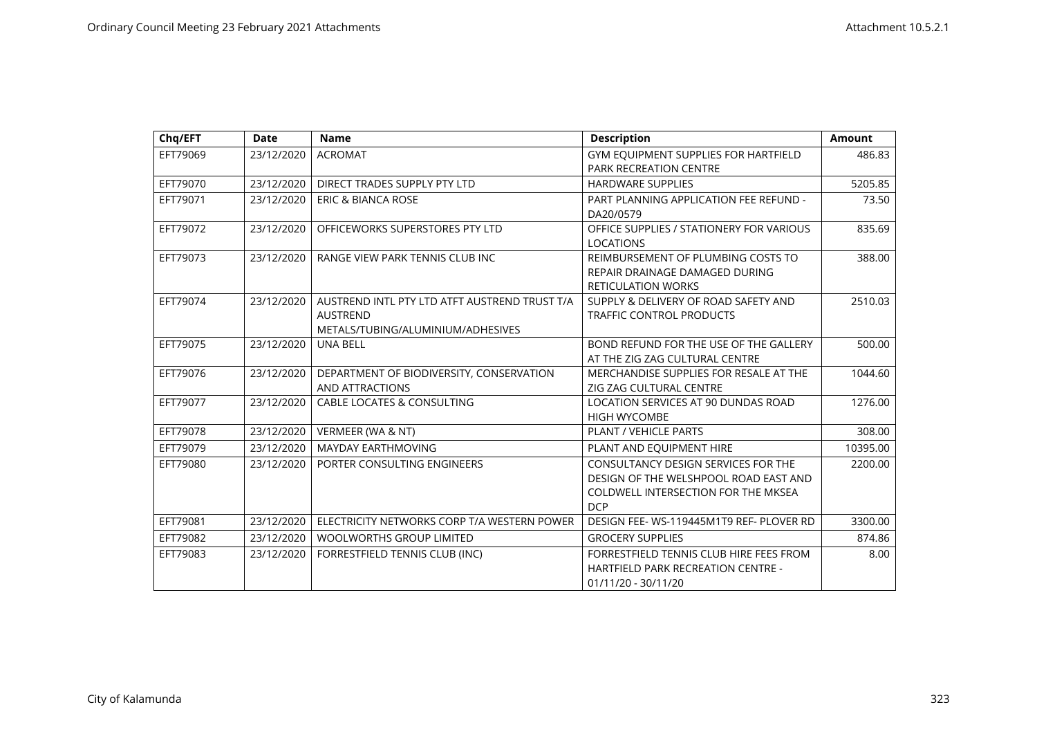| Chq/EFT  | <b>Date</b> | <b>Name</b>                                                                                           | <b>Description</b>                                                                                                                | <b>Amount</b> |
|----------|-------------|-------------------------------------------------------------------------------------------------------|-----------------------------------------------------------------------------------------------------------------------------------|---------------|
| EFT79069 | 23/12/2020  | <b>ACROMAT</b>                                                                                        | GYM EQUIPMENT SUPPLIES FOR HARTFIELD<br><b>PARK RECREATION CENTRE</b>                                                             | 486.83        |
| EFT79070 | 23/12/2020  | DIRECT TRADES SUPPLY PTY LTD                                                                          | <b>HARDWARE SUPPLIES</b>                                                                                                          | 5205.85       |
| EFT79071 | 23/12/2020  | <b>ERIC &amp; BIANCA ROSE</b>                                                                         | PART PLANNING APPLICATION FEE REFUND -<br>DA20/0579                                                                               | 73.50         |
| EFT79072 | 23/12/2020  | OFFICEWORKS SUPERSTORES PTY LTD                                                                       | OFFICE SUPPLIES / STATIONERY FOR VARIOUS<br><b>LOCATIONS</b>                                                                      | 835.69        |
| EFT79073 | 23/12/2020  | RANGE VIEW PARK TENNIS CLUB INC                                                                       | REIMBURSEMENT OF PLUMBING COSTS TO<br>REPAIR DRAINAGE DAMAGED DURING<br><b>RETICULATION WORKS</b>                                 | 388.00        |
| EFT79074 | 23/12/2020  | AUSTREND INTL PTY LTD ATFT AUSTREND TRUST T/A<br><b>AUSTREND</b><br>METALS/TUBING/ALUMINIUM/ADHESIVES | SUPPLY & DELIVERY OF ROAD SAFETY AND<br>TRAFFIC CONTROL PRODUCTS                                                                  | 2510.03       |
| EFT79075 | 23/12/2020  | <b>UNA BELL</b>                                                                                       | BOND REFUND FOR THE USE OF THE GALLERY<br>AT THE ZIG ZAG CULTURAL CENTRE                                                          | 500.00        |
| EFT79076 | 23/12/2020  | DEPARTMENT OF BIODIVERSITY, CONSERVATION<br>AND ATTRACTIONS                                           | MERCHANDISE SUPPLIES FOR RESALE AT THE<br>ZIG ZAG CULTURAL CENTRE                                                                 | 1044.60       |
| EFT79077 | 23/12/2020  | <b>CABLE LOCATES &amp; CONSULTING</b>                                                                 | LOCATION SERVICES AT 90 DUNDAS ROAD<br><b>HIGH WYCOMBE</b>                                                                        | 1276.00       |
| EFT79078 | 23/12/2020  | VERMEER (WA & NT)                                                                                     | <b>PLANT / VEHICLE PARTS</b>                                                                                                      | 308.00        |
| EFT79079 | 23/12/2020  | MAYDAY EARTHMOVING                                                                                    | PLANT AND EQUIPMENT HIRE                                                                                                          | 10395.00      |
| EFT79080 | 23/12/2020  | PORTER CONSULTING ENGINEERS                                                                           | CONSULTANCY DESIGN SERVICES FOR THE<br>DESIGN OF THE WELSHPOOL ROAD EAST AND<br>COLDWELL INTERSECTION FOR THE MKSEA<br><b>DCP</b> | 2200.00       |
| EFT79081 | 23/12/2020  | ELECTRICITY NETWORKS CORP T/A WESTERN POWER                                                           | DESIGN FEE-WS-119445M1T9 REF- PLOVER RD                                                                                           | 3300.00       |
| EFT79082 | 23/12/2020  | WOOLWORTHS GROUP LIMITED                                                                              | <b>GROCERY SUPPLIES</b>                                                                                                           | 874.86        |
| EFT79083 | 23/12/2020  | FORRESTFIELD TENNIS CLUB (INC)                                                                        | FORRESTFIELD TENNIS CLUB HIRE FEES FROM<br><b>HARTFIELD PARK RECREATION CENTRE -</b><br>01/11/20 - 30/11/20                       | 8.00          |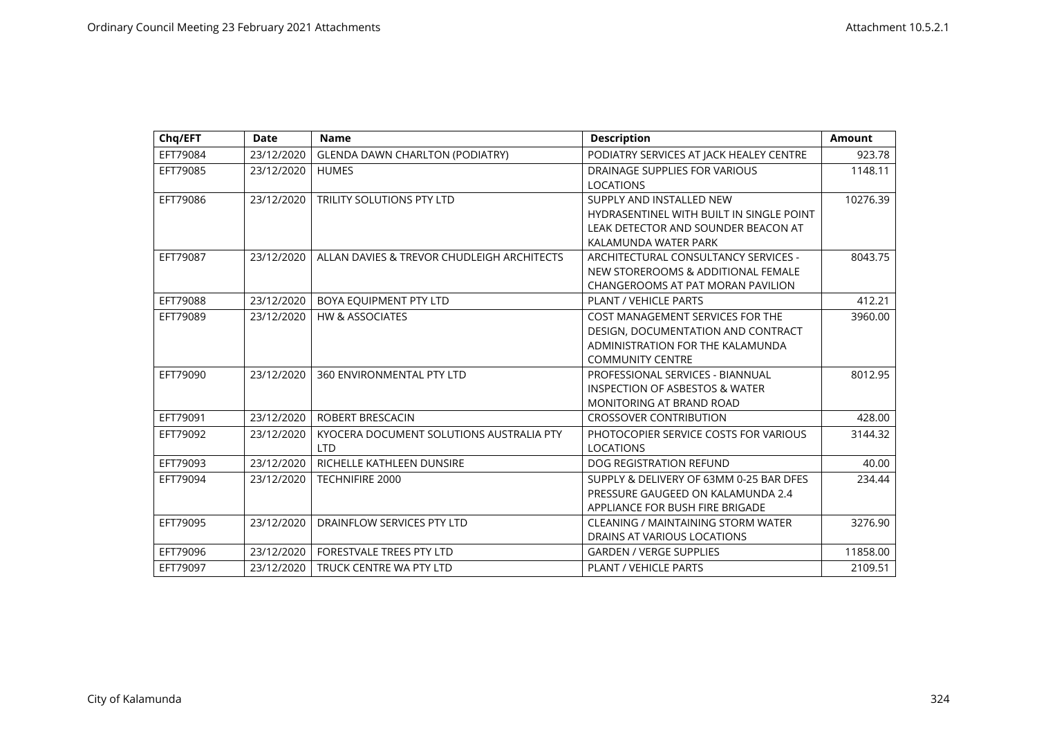| Chq/EFT  | <b>Date</b> | <b>Name</b>                                | <b>Description</b>                        | <b>Amount</b> |
|----------|-------------|--------------------------------------------|-------------------------------------------|---------------|
| EFT79084 | 23/12/2020  | <b>GLENDA DAWN CHARLTON (PODIATRY)</b>     | PODIATRY SERVICES AT JACK HEALEY CENTRE   | 923.78        |
| EFT79085 | 23/12/2020  | <b>HUMES</b>                               | DRAINAGE SUPPLIES FOR VARIOUS             | 1148.11       |
|          |             |                                            | <b>LOCATIONS</b>                          |               |
| EFT79086 | 23/12/2020  | <b>TRILITY SOLUTIONS PTY LTD</b>           | SUPPLY AND INSTALLED NEW                  | 10276.39      |
|          |             |                                            | HYDRASENTINEL WITH BUILT IN SINGLE POINT  |               |
|          |             |                                            | LEAK DETECTOR AND SOUNDER BEACON AT       |               |
|          |             |                                            | KALAMUNDA WATER PARK                      |               |
| EFT79087 | 23/12/2020  | ALLAN DAVIES & TREVOR CHUDLEIGH ARCHITECTS | ARCHITECTURAL CONSULTANCY SERVICES -      | 8043.75       |
|          |             |                                            | NEW STOREROOMS & ADDITIONAL FEMALE        |               |
|          |             |                                            | CHANGEROOMS AT PAT MORAN PAVILION         |               |
| EFT79088 | 23/12/2020  | BOYA EQUIPMENT PTY LTD                     | PLANT / VEHICLE PARTS                     | 412.21        |
| EFT79089 | 23/12/2020  | <b>HW &amp; ASSOCIATES</b>                 | COST MANAGEMENT SERVICES FOR THE          | 3960.00       |
|          |             |                                            | DESIGN, DOCUMENTATION AND CONTRACT        |               |
|          |             |                                            | ADMINISTRATION FOR THE KALAMUNDA          |               |
|          |             |                                            | <b>COMMUNITY CENTRE</b>                   |               |
| EFT79090 | 23/12/2020  | 360 ENVIRONMENTAL PTY LTD                  | PROFESSIONAL SERVICES - BIANNUAL          | 8012.95       |
|          |             |                                            | <b>INSPECTION OF ASBESTOS &amp; WATER</b> |               |
|          |             |                                            | MONITORING AT BRAND ROAD                  |               |
| EFT79091 | 23/12/2020  | ROBERT BRESCACIN                           | <b>CROSSOVER CONTRIBUTION</b>             | 428.00        |
| EFT79092 | 23/12/2020  | KYOCERA DOCUMENT SOLUTIONS AUSTRALIA PTY   | PHOTOCOPIER SERVICE COSTS FOR VARIOUS     | 3144.32       |
|          |             | <b>LTD</b>                                 | <b>LOCATIONS</b>                          |               |
| EFT79093 | 23/12/2020  | RICHELLE KATHLEEN DUNSIRE                  | <b>DOG REGISTRATION REFUND</b>            | 40.00         |
| EFT79094 | 23/12/2020  | <b>TECHNIFIRE 2000</b>                     | SUPPLY & DELIVERY OF 63MM 0-25 BAR DFES   | 234.44        |
|          |             |                                            | PRESSURE GAUGEED ON KALAMUNDA 2.4         |               |
|          |             |                                            | APPLIANCE FOR BUSH FIRE BRIGADE           |               |
| EFT79095 | 23/12/2020  | DRAINFLOW SERVICES PTY LTD                 | <b>CLEANING / MAINTAINING STORM WATER</b> | 3276.90       |
|          |             |                                            | DRAINS AT VARIOUS LOCATIONS               |               |
| EFT79096 | 23/12/2020  | <b>FORESTVALE TREES PTY LTD</b>            | <b>GARDEN / VERGE SUPPLIES</b>            | 11858.00      |
| EFT79097 | 23/12/2020  | TRUCK CENTRE WA PTY LTD                    | <b>PLANT / VEHICLE PARTS</b>              | 2109.51       |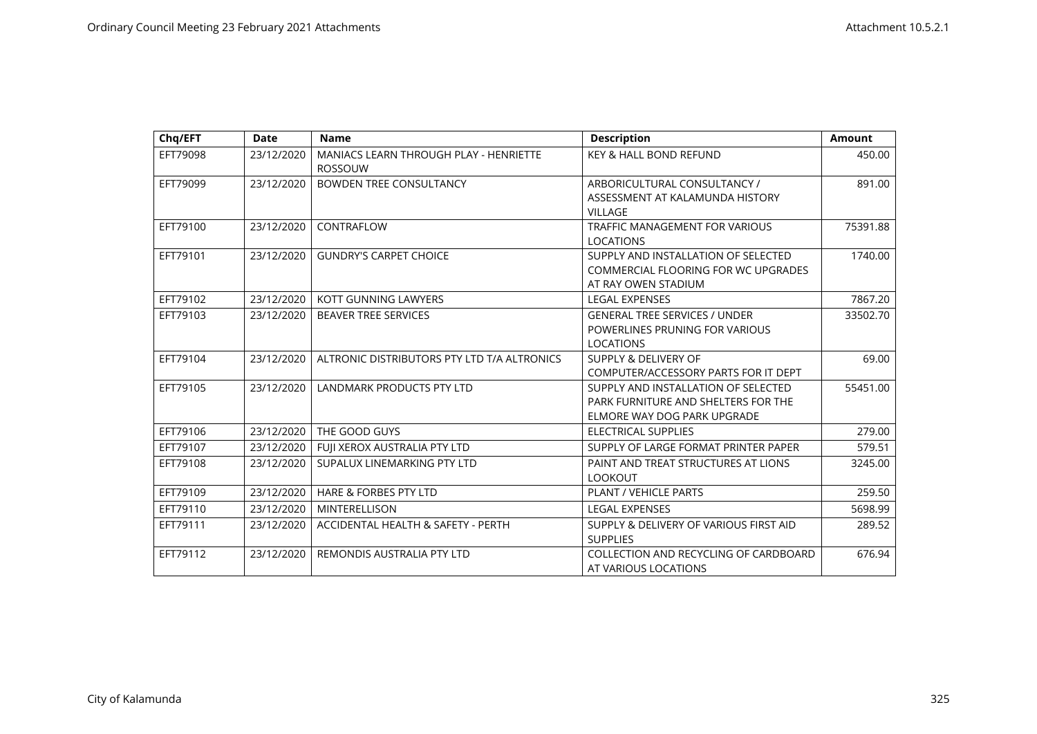| Chq/EFT  | <b>Date</b> | <b>Name</b>                                                     | <b>Description</b>                     | <b>Amount</b> |
|----------|-------------|-----------------------------------------------------------------|----------------------------------------|---------------|
| EFT79098 | 23/12/2020  | <b>MANIACS LEARN THROUGH PLAY - HENRIETTE</b><br><b>ROSSOUW</b> | <b>KEY &amp; HALL BOND REFUND</b>      | 450.00        |
| EFT79099 | 23/12/2020  | <b>BOWDEN TREE CONSULTANCY</b>                                  | ARBORICULTURAL CONSULTANCY /           | 891.00        |
|          |             |                                                                 | ASSESSMENT AT KALAMUNDA HISTORY        |               |
|          |             |                                                                 | <b>VILLAGE</b>                         |               |
| EFT79100 | 23/12/2020  | CONTRAFLOW                                                      | <b>TRAFFIC MANAGEMENT FOR VARIOUS</b>  | 75391.88      |
|          |             |                                                                 | <b>LOCATIONS</b>                       |               |
| EFT79101 | 23/12/2020  | <b>GUNDRY'S CARPET CHOICE</b>                                   | SUPPLY AND INSTALLATION OF SELECTED    | 1740.00       |
|          |             |                                                                 | COMMERCIAL FLOORING FOR WC UPGRADES    |               |
|          |             |                                                                 | AT RAY OWEN STADIUM                    |               |
| EFT79102 | 23/12/2020  | KOTT GUNNING LAWYERS                                            | <b>LEGAL EXPENSES</b>                  | 7867.20       |
| EFT79103 | 23/12/2020  | <b>BEAVER TREE SERVICES</b>                                     | <b>GENERAL TREE SERVICES / UNDER</b>   | 33502.70      |
|          |             |                                                                 | POWERLINES PRUNING FOR VARIOUS         |               |
|          |             |                                                                 | <b>LOCATIONS</b>                       |               |
| EFT79104 | 23/12/2020  | ALTRONIC DISTRIBUTORS PTY LTD T/A ALTRONICS                     | <b>SUPPLY &amp; DELIVERY OF</b>        | 69.00         |
|          |             |                                                                 | COMPUTER/ACCESSORY PARTS FOR IT DEPT   |               |
| EFT79105 | 23/12/2020  | <b>LANDMARK PRODUCTS PTY LTD</b>                                | SUPPLY AND INSTALLATION OF SELECTED    | 55451.00      |
|          |             |                                                                 | PARK FURNITURE AND SHELTERS FOR THE    |               |
|          |             |                                                                 | ELMORE WAY DOG PARK UPGRADE            |               |
| EFT79106 | 23/12/2020  | THE GOOD GUYS                                                   | ELECTRICAL SUPPLIES                    | 279.00        |
| EFT79107 | 23/12/2020  | FUII XEROX AUSTRALIA PTY LTD                                    | SUPPLY OF LARGE FORMAT PRINTER PAPER   | 579.51        |
| EFT79108 | 23/12/2020  | SUPALUX LINEMARKING PTY LTD                                     | PAINT AND TREAT STRUCTURES AT LIONS    | 3245.00       |
|          |             |                                                                 | <b>LOOKOUT</b>                         |               |
| EFT79109 | 23/12/2020  | <b>HARE &amp; FORBES PTY LTD</b>                                | <b>PLANT / VEHICLE PARTS</b>           | 259.50        |
| EFT79110 | 23/12/2020  | <b>MINTERELLISON</b>                                            | <b>LEGAL EXPENSES</b>                  | 5698.99       |
| EFT79111 | 23/12/2020  | ACCIDENTAL HEALTH & SAFETY - PERTH                              | SUPPLY & DELIVERY OF VARIOUS FIRST AID | 289.52        |
|          |             |                                                                 | <b>SUPPLIES</b>                        |               |
| EFT79112 | 23/12/2020  | REMONDIS AUSTRALIA PTY LTD                                      | COLLECTION AND RECYCLING OF CARDBOARD  | 676.94        |
|          |             |                                                                 | AT VARIOUS LOCATIONS                   |               |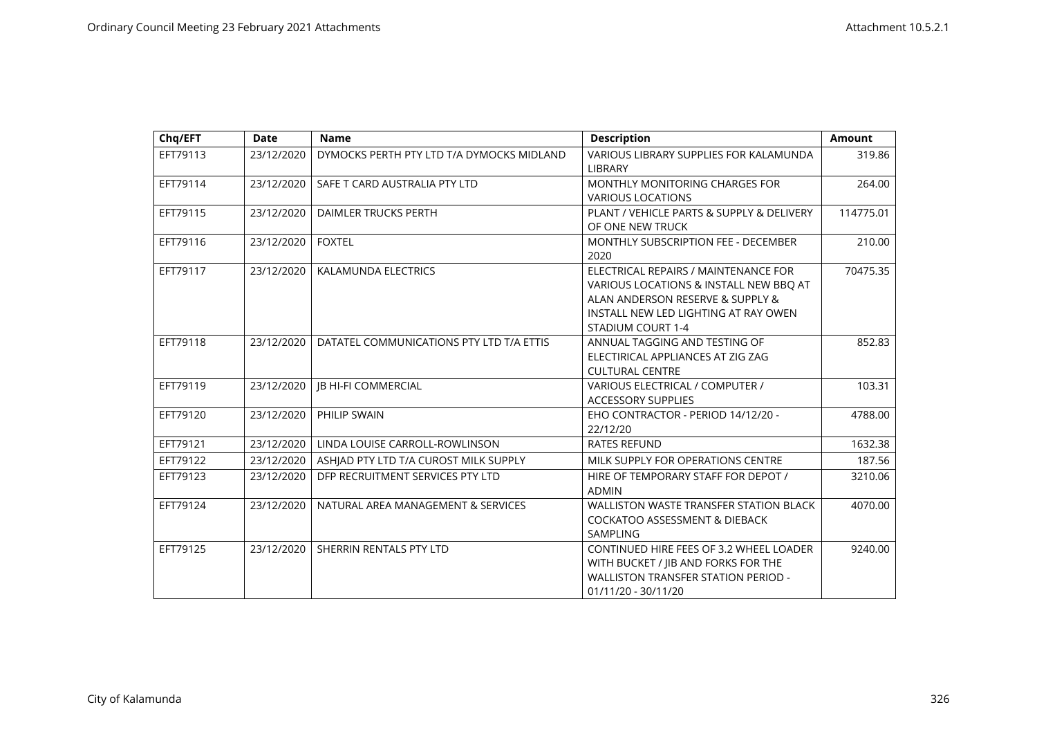| Chq/EFT  | <b>Date</b> | <b>Name</b>                               | <b>Description</b>                                                                                                                                                              | <b>Amount</b> |
|----------|-------------|-------------------------------------------|---------------------------------------------------------------------------------------------------------------------------------------------------------------------------------|---------------|
| EFT79113 | 23/12/2020  | DYMOCKS PERTH PTY LTD T/A DYMOCKS MIDLAND | VARIOUS LIBRARY SUPPLIES FOR KALAMUNDA<br>LIBRARY                                                                                                                               | 319.86        |
| EFT79114 | 23/12/2020  | SAFE T CARD AUSTRALIA PTY LTD             | MONTHLY MONITORING CHARGES FOR<br><b>VARIOUS LOCATIONS</b>                                                                                                                      | 264.00        |
| EFT79115 | 23/12/2020  | DAIMLER TRUCKS PERTH                      | PLANT / VEHICLE PARTS & SUPPLY & DELIVERY<br>OF ONE NEW TRUCK                                                                                                                   | 114775.01     |
| EFT79116 | 23/12/2020  | <b>FOXTEL</b>                             | MONTHLY SUBSCRIPTION FEE - DECEMBER<br>2020                                                                                                                                     | 210.00        |
| EFT79117 | 23/12/2020  | KALAMUNDA ELECTRICS                       | ELECTRICAL REPAIRS / MAINTENANCE FOR<br>VARIOUS LOCATIONS & INSTALL NEW BBQ AT<br>ALAN ANDERSON RESERVE & SUPPLY &<br>INSTALL NEW LED LIGHTING AT RAY OWEN<br>STADIUM COURT 1-4 | 70475.35      |
| EFT79118 | 23/12/2020  | DATATEL COMMUNICATIONS PTY LTD T/A ETTIS  | ANNUAL TAGGING AND TESTING OF<br>ELECTIRICAL APPLIANCES AT ZIG ZAG<br><b>CULTURAL CENTRE</b>                                                                                    | 852.83        |
| EFT79119 | 23/12/2020  | <b>IB HI-FI COMMERCIAL</b>                | VARIOUS ELECTRICAL / COMPUTER /<br><b>ACCESSORY SUPPLIES</b>                                                                                                                    | 103.31        |
| EFT79120 | 23/12/2020  | PHILIP SWAIN                              | EHO CONTRACTOR - PERIOD 14/12/20 -<br>22/12/20                                                                                                                                  | 4788.00       |
| EFT79121 | 23/12/2020  | LINDA LOUISE CARROLL-ROWLINSON            | <b>RATES REFUND</b>                                                                                                                                                             | 1632.38       |
| EFT79122 | 23/12/2020  | ASHIAD PTY LTD T/A CUROST MILK SUPPLY     | MILK SUPPLY FOR OPERATIONS CENTRE                                                                                                                                               | 187.56        |
| EFT79123 | 23/12/2020  | DFP RECRUITMENT SERVICES PTY LTD          | HIRE OF TEMPORARY STAFF FOR DEPOT /<br><b>ADMIN</b>                                                                                                                             | 3210.06       |
| EFT79124 | 23/12/2020  | NATURAL AREA MANAGEMENT & SERVICES        | <b>WALLISTON WASTE TRANSFER STATION BLACK</b><br><b>COCKATOO ASSESSMENT &amp; DIEBACK</b><br>SAMPLING                                                                           | 4070.00       |
| EFT79125 | 23/12/2020  | SHERRIN RENTALS PTY LTD                   | CONTINUED HIRE FEES OF 3.2 WHEEL LOADER<br>WITH BUCKET / JIB AND FORKS FOR THE<br><b>WALLISTON TRANSFER STATION PERIOD -</b><br>01/11/20 - 30/11/20                             | 9240.00       |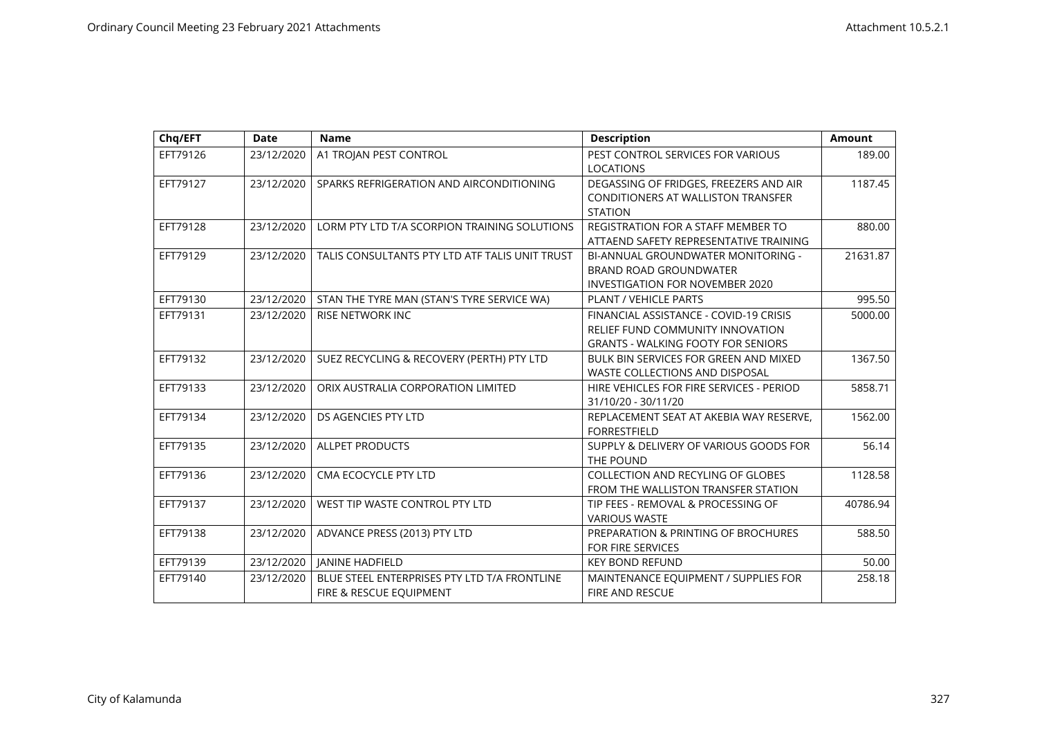| Chq/EFT  | <b>Date</b> | <b>Name</b>                                                             | <b>Description</b>                                                                                                      | <b>Amount</b> |
|----------|-------------|-------------------------------------------------------------------------|-------------------------------------------------------------------------------------------------------------------------|---------------|
| EFT79126 | 23/12/2020  | A1 TROJAN PEST CONTROL                                                  | PEST CONTROL SERVICES FOR VARIOUS<br><b>LOCATIONS</b>                                                                   | 189.00        |
| EFT79127 | 23/12/2020  | SPARKS REFRIGERATION AND AIRCONDITIONING                                | DEGASSING OF FRIDGES, FREEZERS AND AIR<br><b>CONDITIONERS AT WALLISTON TRANSFER</b><br><b>STATION</b>                   | 1187.45       |
| EFT79128 | 23/12/2020  | LORM PTY LTD T/A SCORPION TRAINING SOLUTIONS                            | <b>REGISTRATION FOR A STAFF MEMBER TO</b><br>ATTAEND SAFETY REPRESENTATIVE TRAINING                                     | 880.00        |
| EFT79129 | 23/12/2020  | TALIS CONSULTANTS PTY LTD ATF TALIS UNIT TRUST                          | BI-ANNUAL GROUNDWATER MONITORING -<br><b>BRAND ROAD GROUNDWATER</b><br><b>INVESTIGATION FOR NOVEMBER 2020</b>           | 21631.87      |
| EFT79130 | 23/12/2020  | STAN THE TYRE MAN (STAN'S TYRE SERVICE WA)                              | PLANT / VEHICLE PARTS                                                                                                   | 995.50        |
| EFT79131 | 23/12/2020  | <b>RISE NETWORK INC</b>                                                 | FINANCIAL ASSISTANCE - COVID-19 CRISIS<br>RELIEF FUND COMMUNITY INNOVATION<br><b>GRANTS - WALKING FOOTY FOR SENIORS</b> | 5000.00       |
| EFT79132 | 23/12/2020  | SUEZ RECYCLING & RECOVERY (PERTH) PTY LTD                               | BULK BIN SERVICES FOR GREEN AND MIXED<br>WASTE COLLECTIONS AND DISPOSAL                                                 | 1367.50       |
| EFT79133 | 23/12/2020  | ORIX AUSTRALIA CORPORATION LIMITED                                      | HIRE VEHICLES FOR FIRE SERVICES - PERIOD<br>31/10/20 - 30/11/20                                                         | 5858.71       |
| EFT79134 | 23/12/2020  | DS AGENCIES PTY LTD                                                     | REPLACEMENT SEAT AT AKEBIA WAY RESERVE,<br><b>FORRESTFIELD</b>                                                          | 1562.00       |
| EFT79135 | 23/12/2020  | <b>ALLPET PRODUCTS</b>                                                  | SUPPLY & DELIVERY OF VARIOUS GOODS FOR<br>THE POUND                                                                     | 56.14         |
| EFT79136 | 23/12/2020  | CMA ECOCYCLE PTY LTD                                                    | <b>COLLECTION AND RECYLING OF GLOBES</b><br>FROM THE WALLISTON TRANSFER STATION                                         | 1128.58       |
| EFT79137 | 23/12/2020  | WEST TIP WASTE CONTROL PTY LTD                                          | TIP FEES - REMOVAL & PROCESSING OF<br><b>VARIOUS WASTE</b>                                                              | 40786.94      |
| EFT79138 | 23/12/2020  | ADVANCE PRESS (2013) PTY LTD                                            | PREPARATION & PRINTING OF BROCHURES<br><b>FOR FIRE SERVICES</b>                                                         | 588.50        |
| EFT79139 | 23/12/2020  | <b>JANINE HADFIELD</b>                                                  | <b>KEY BOND REFUND</b>                                                                                                  | 50.00         |
| EFT79140 | 23/12/2020  | BLUE STEEL ENTERPRISES PTY LTD T/A FRONTLINE<br>FIRE & RESCUE EQUIPMENT | MAINTENANCE EQUIPMENT / SUPPLIES FOR<br><b>FIRE AND RESCUE</b>                                                          | 258.18        |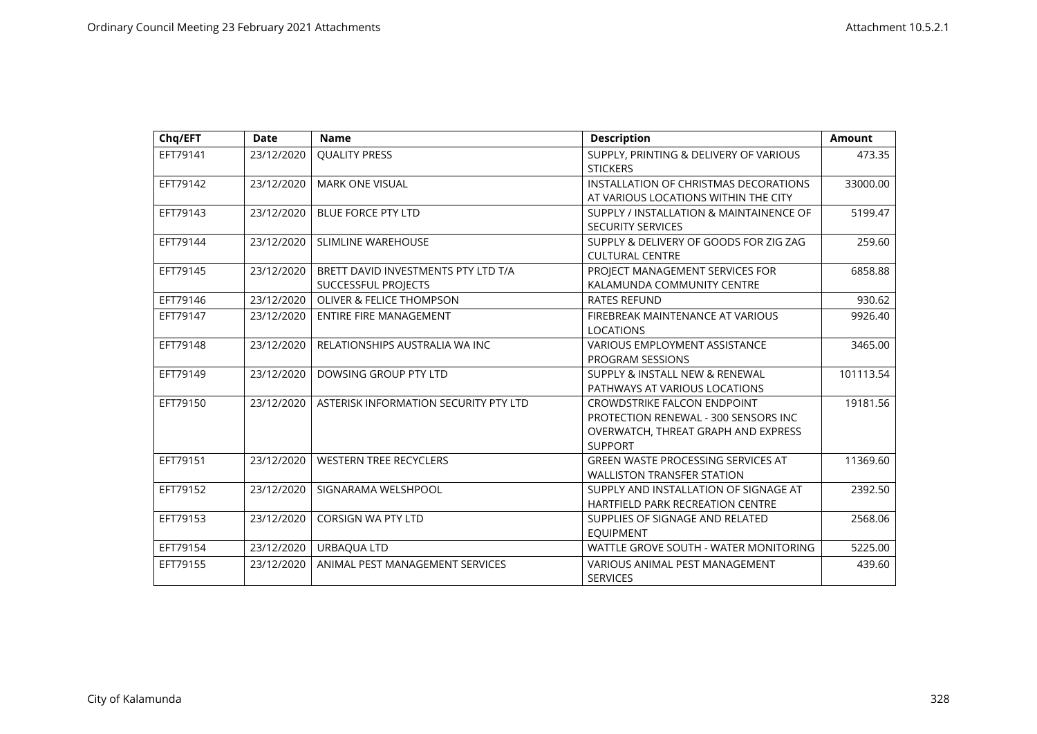| Chq/EFT  | <b>Date</b> | <b>Name</b>                                                | <b>Description</b>                                                                                                                  | <b>Amount</b> |
|----------|-------------|------------------------------------------------------------|-------------------------------------------------------------------------------------------------------------------------------------|---------------|
| EFT79141 | 23/12/2020  | <b>QUALITY PRESS</b>                                       | SUPPLY, PRINTING & DELIVERY OF VARIOUS<br><b>STICKERS</b>                                                                           | 473.35        |
| EFT79142 | 23/12/2020  | <b>MARK ONE VISUAL</b>                                     | INSTALLATION OF CHRISTMAS DECORATIONS<br>AT VARIOUS LOCATIONS WITHIN THE CITY                                                       | 33000.00      |
| EFT79143 | 23/12/2020  | <b>BLUE FORCE PTY LTD</b>                                  | SUPPLY / INSTALLATION & MAINTAINENCE OF<br><b>SECURITY SERVICES</b>                                                                 | 5199.47       |
| EFT79144 | 23/12/2020  | <b>SLIMLINE WAREHOUSE</b>                                  | SUPPLY & DELIVERY OF GOODS FOR ZIG ZAG<br><b>CULTURAL CENTRE</b>                                                                    | 259.60        |
| EFT79145 | 23/12/2020  | BRETT DAVID INVESTMENTS PTY LTD T/A<br>SUCCESSFUL PROJECTS | PROJECT MANAGEMENT SERVICES FOR<br>KALAMUNDA COMMUNITY CENTRE                                                                       | 6858.88       |
| EFT79146 | 23/12/2020  | <b>OLIVER &amp; FELICE THOMPSON</b>                        | <b>RATES REFUND</b>                                                                                                                 | 930.62        |
| EFT79147 | 23/12/2020  | <b>ENTIRE FIRE MANAGEMENT</b>                              | FIREBREAK MAINTENANCE AT VARIOUS<br><b>LOCATIONS</b>                                                                                | 9926.40       |
| EFT79148 | 23/12/2020  | RELATIONSHIPS AUSTRALIA WA INC                             | <b>VARIOUS EMPLOYMENT ASSISTANCE</b><br><b>PROGRAM SESSIONS</b>                                                                     | 3465.00       |
| EFT79149 | 23/12/2020  | DOWSING GROUP PTY LTD                                      | SUPPLY & INSTALL NEW & RENEWAL<br>PATHWAYS AT VARIOUS LOCATIONS                                                                     | 101113.54     |
| EFT79150 | 23/12/2020  | ASTERISK INFORMATION SECURITY PTY LTD                      | <b>CROWDSTRIKE FALCON ENDPOINT</b><br>PROTECTION RENEWAL - 300 SENSORS INC<br>OVERWATCH, THREAT GRAPH AND EXPRESS<br><b>SUPPORT</b> | 19181.56      |
| EFT79151 | 23/12/2020  | <b>WESTERN TREE RECYCLERS</b>                              | <b>GREEN WASTE PROCESSING SERVICES AT</b><br><b>WALLISTON TRANSFER STATION</b>                                                      | 11369.60      |
| EFT79152 | 23/12/2020  | SIGNARAMA WELSHPOOL                                        | SUPPLY AND INSTALLATION OF SIGNAGE AT<br><b>HARTFIELD PARK RECREATION CENTRE</b>                                                    | 2392.50       |
| EFT79153 | 23/12/2020  | <b>CORSIGN WA PTY LTD</b>                                  | SUPPLIES OF SIGNAGE AND RELATED<br><b>EQUIPMENT</b>                                                                                 | 2568.06       |
| EFT79154 | 23/12/2020  | URBAQUA LTD                                                | WATTLE GROVE SOUTH - WATER MONITORING                                                                                               | 5225.00       |
| EFT79155 | 23/12/2020  | ANIMAL PEST MANAGEMENT SERVICES                            | VARIOUS ANIMAL PEST MANAGEMENT<br><b>SERVICES</b>                                                                                   | 439.60        |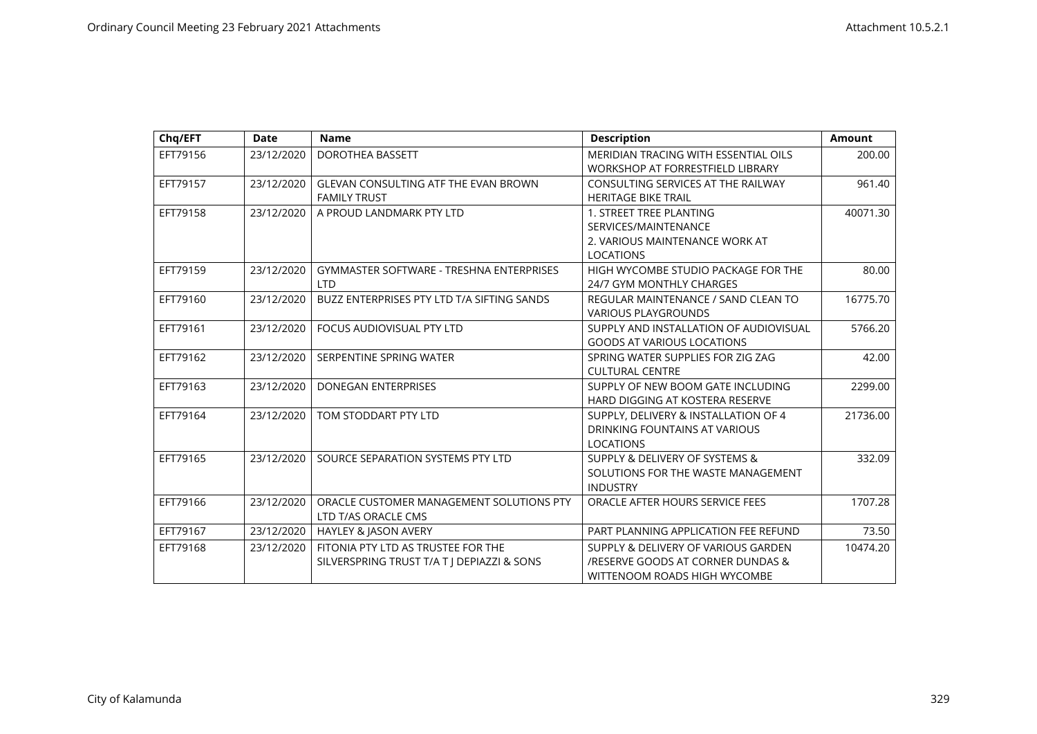| Chq/EFT  | <b>Date</b> | <b>Name</b>                                     | <b>Description</b>                          | <b>Amount</b> |
|----------|-------------|-------------------------------------------------|---------------------------------------------|---------------|
| EFT79156 | 23/12/2020  | <b>DOROTHEA BASSETT</b>                         | <b>MERIDIAN TRACING WITH ESSENTIAL OILS</b> | 200.00        |
|          |             |                                                 | WORKSHOP AT FORRESTFIELD LIBRARY            |               |
| EFT79157 | 23/12/2020  | <b>GLEVAN CONSULTING ATF THE EVAN BROWN</b>     | CONSULTING SERVICES AT THE RAILWAY          | 961.40        |
|          |             | <b>FAMILY TRUST</b>                             | <b>HERITAGE BIKE TRAIL</b>                  |               |
| EFT79158 | 23/12/2020  | A PROUD LANDMARK PTY LTD                        | 1. STREET TREE PLANTING                     | 40071.30      |
|          |             |                                                 | SERVICES/MAINTENANCE                        |               |
|          |             |                                                 | 2. VARIOUS MAINTENANCE WORK AT              |               |
|          |             |                                                 | <b>LOCATIONS</b>                            |               |
| EFT79159 | 23/12/2020  | <b>GYMMASTER SOFTWARE - TRESHNA ENTERPRISES</b> | HIGH WYCOMBE STUDIO PACKAGE FOR THE         | 80.00         |
|          |             | I TD                                            | 24/7 GYM MONTHLY CHARGES                    |               |
| EFT79160 | 23/12/2020  | BUZZ ENTERPRISES PTY LTD T/A SIFTING SANDS      | REGULAR MAINTENANCE / SAND CLEAN TO         | 16775.70      |
|          |             |                                                 | <b>VARIOUS PLAYGROUNDS</b>                  |               |
| EFT79161 | 23/12/2020  | FOCUS AUDIOVISUAL PTY LTD                       | SUPPLY AND INSTALLATION OF AUDIOVISUAL      | 5766.20       |
|          |             |                                                 | <b>GOODS AT VARIOUS LOCATIONS</b>           |               |
| EFT79162 | 23/12/2020  | SERPENTINE SPRING WATER                         | SPRING WATER SUPPLIES FOR ZIG ZAG           | 42.00         |
|          |             |                                                 | <b>CULTURAL CENTRE</b>                      |               |
| EFT79163 | 23/12/2020  | <b>DONEGAN ENTERPRISES</b>                      | SUPPLY OF NEW BOOM GATE INCLUDING           | 2299.00       |
|          |             |                                                 | HARD DIGGING AT KOSTERA RESERVE             |               |
| EFT79164 | 23/12/2020  | TOM STODDART PTY LTD                            | SUPPLY, DELIVERY & INSTALLATION OF 4        | 21736.00      |
|          |             |                                                 | DRINKING FOUNTAINS AT VARIOUS               |               |
|          |             |                                                 | <b>LOCATIONS</b>                            |               |
| EFT79165 | 23/12/2020  | SOURCE SEPARATION SYSTEMS PTY LTD               | SUPPLY & DELIVERY OF SYSTEMS &              | 332.09        |
|          |             |                                                 | SOLUTIONS FOR THE WASTE MANAGEMENT          |               |
|          |             |                                                 | <b>INDUSTRY</b>                             |               |
| EFT79166 | 23/12/2020  | ORACLE CUSTOMER MANAGEMENT SOLUTIONS PTY        | ORACLE AFTER HOURS SERVICE FEES             | 1707.28       |
|          |             | LTD T/AS ORACLE CMS                             |                                             |               |
| EFT79167 | 23/12/2020  | HAYLEY & JASON AVERY                            | PART PLANNING APPLICATION FEE REFUND        | 73.50         |
| EFT79168 | 23/12/2020  | FITONIA PTY LTD AS TRUSTEE FOR THE              | SUPPLY & DELIVERY OF VARIOUS GARDEN         | 10474.20      |
|          |             | SILVERSPRING TRUST T/A T J DEPIAZZI & SONS      | /RESERVE GOODS AT CORNER DUNDAS &           |               |
|          |             |                                                 | WITTENOOM ROADS HIGH WYCOMBE                |               |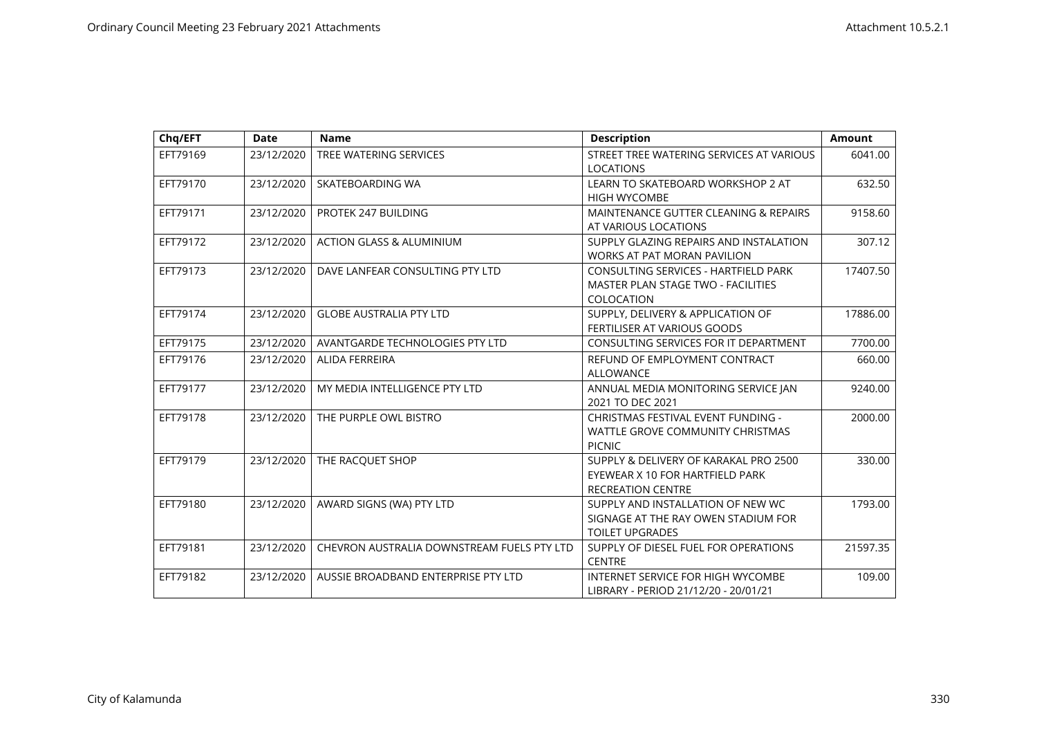| Chq/EFT  | <b>Date</b> | <b>Name</b>                                | <b>Description</b>                                                                                     | <b>Amount</b> |
|----------|-------------|--------------------------------------------|--------------------------------------------------------------------------------------------------------|---------------|
| EFT79169 | 23/12/2020  | TREE WATERING SERVICES                     | STREET TREE WATERING SERVICES AT VARIOUS<br><b>LOCATIONS</b>                                           | 6041.00       |
| EFT79170 | 23/12/2020  | SKATEBOARDING WA                           | LEARN TO SKATEBOARD WORKSHOP 2 AT<br><b>HIGH WYCOMBE</b>                                               | 632.50        |
| EFT79171 | 23/12/2020  | PROTEK 247 BUILDING                        | MAINTENANCE GUTTER CLEANING & REPAIRS<br>AT VARIOUS LOCATIONS                                          | 9158.60       |
| EFT79172 | 23/12/2020  | <b>ACTION GLASS &amp; ALUMINIUM</b>        | SUPPLY GLAZING REPAIRS AND INSTALATION<br><b>WORKS AT PAT MORAN PAVILION</b>                           | 307.12        |
| EFT79173 | 23/12/2020  | DAVE LANFEAR CONSULTING PTY LTD            | <b>CONSULTING SERVICES - HARTFIELD PARK</b><br><b>MASTER PLAN STAGE TWO - FACILITIES</b><br>COLOCATION | 17407.50      |
| EFT79174 | 23/12/2020  | <b>GLOBE AUSTRALIA PTY LTD</b>             | SUPPLY, DELIVERY & APPLICATION OF<br><b>FERTILISER AT VARIOUS GOODS</b>                                | 17886.00      |
| EFT79175 | 23/12/2020  | AVANTGARDE TECHNOLOGIES PTY LTD            | CONSULTING SERVICES FOR IT DEPARTMENT                                                                  | 7700.00       |
| EFT79176 | 23/12/2020  | <b>ALIDA FERREIRA</b>                      | REFUND OF EMPLOYMENT CONTRACT<br><b>ALLOWANCE</b>                                                      | 660.00        |
| EFT79177 | 23/12/2020  | MY MEDIA INTELLIGENCE PTY LTD              | ANNUAL MEDIA MONITORING SERVICE JAN<br>2021 TO DEC 2021                                                | 9240.00       |
| EFT79178 | 23/12/2020  | THE PURPLE OWL BISTRO                      | CHRISTMAS FESTIVAL EVENT FUNDING -<br>WATTLE GROVE COMMUNITY CHRISTMAS<br><b>PICNIC</b>                | 2000.00       |
| EFT79179 | 23/12/2020  | THE RACQUET SHOP                           | SUPPLY & DELIVERY OF KARAKAL PRO 2500<br>EYEWEAR X 10 FOR HARTFIELD PARK<br><b>RECREATION CENTRE</b>   | 330.00        |
| EFT79180 | 23/12/2020  | AWARD SIGNS (WA) PTY LTD                   | SUPPLY AND INSTALLATION OF NEW WC<br>SIGNAGE AT THE RAY OWEN STADIUM FOR<br><b>TOILET UPGRADES</b>     | 1793.00       |
| EFT79181 | 23/12/2020  | CHEVRON AUSTRALIA DOWNSTREAM FUELS PTY LTD | SUPPLY OF DIESEL FUEL FOR OPERATIONS<br><b>CENTRE</b>                                                  | 21597.35      |
| EFT79182 | 23/12/2020  | AUSSIE BROADBAND ENTERPRISE PTY LTD        | <b>INTERNET SERVICE FOR HIGH WYCOMBE</b><br>LIBRARY - PERIOD 21/12/20 - 20/01/21                       | 109.00        |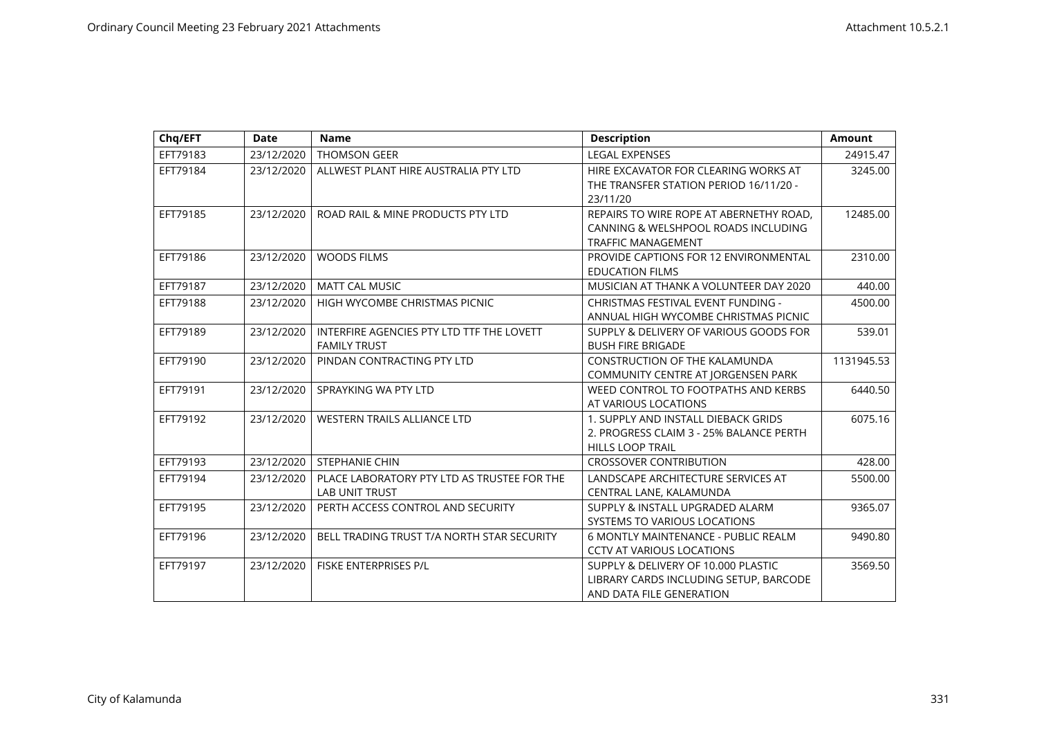| Chq/EFT  | <b>Date</b> | <b>Name</b>                                 | <b>Description</b>                      | <b>Amount</b> |
|----------|-------------|---------------------------------------------|-----------------------------------------|---------------|
| EFT79183 | 23/12/2020  | THOMSON GEER                                | <b>LEGAL EXPENSES</b>                   | 24915.47      |
| EFT79184 | 23/12/2020  | ALLWEST PLANT HIRE AUSTRALIA PTY LTD        | HIRE EXCAVATOR FOR CLEARING WORKS AT    | 3245.00       |
|          |             |                                             | THE TRANSFER STATION PERIOD 16/11/20 -  |               |
|          |             |                                             | 23/11/20                                |               |
| EFT79185 | 23/12/2020  | ROAD RAIL & MINE PRODUCTS PTY LTD           | REPAIRS TO WIRE ROPE AT ABERNETHY ROAD, | 12485.00      |
|          |             |                                             | CANNING & WELSHPOOL ROADS INCLUDING     |               |
|          |             |                                             | <b>TRAFFIC MANAGEMENT</b>               |               |
| EFT79186 | 23/12/2020  | <b>WOODS FILMS</b>                          | PROVIDE CAPTIONS FOR 12 ENVIRONMENTAL   | 2310.00       |
|          |             |                                             | <b>EDUCATION FILMS</b>                  |               |
| EFT79187 | 23/12/2020  | <b>MATT CAL MUSIC</b>                       | MUSICIAN AT THANK A VOLUNTEER DAY 2020  | 440.00        |
| EFT79188 | 23/12/2020  | HIGH WYCOMBE CHRISTMAS PICNIC               | CHRISTMAS FESTIVAL EVENT FUNDING -      | 4500.00       |
|          |             |                                             | ANNUAL HIGH WYCOMBE CHRISTMAS PICNIC    |               |
| EFT79189 | 23/12/2020  | INTERFIRE AGENCIES PTY LTD TTF THE LOVETT   | SUPPLY & DELIVERY OF VARIOUS GOODS FOR  | 539.01        |
|          |             | <b>FAMILY TRUST</b>                         | <b>BUSH FIRE BRIGADE</b>                |               |
| EFT79190 | 23/12/2020  | PINDAN CONTRACTING PTY LTD                  | <b>CONSTRUCTION OF THE KALAMUNDA</b>    | 1131945.53    |
|          |             |                                             | COMMUNITY CENTRE AT JORGENSEN PARK      |               |
| EFT79191 | 23/12/2020  | SPRAYKING WA PTY LTD                        | WEED CONTROL TO FOOTPATHS AND KERBS     | 6440.50       |
|          |             |                                             | AT VARIOUS LOCATIONS                    |               |
| EFT79192 | 23/12/2020  | <b>WESTERN TRAILS ALLIANCE LTD</b>          | 1. SUPPLY AND INSTALL DIEBACK GRIDS     | 6075.16       |
|          |             |                                             | 2. PROGRESS CLAIM 3 - 25% BALANCE PERTH |               |
|          |             |                                             | <b>HILLS LOOP TRAIL</b>                 |               |
| EFT79193 | 23/12/2020  | <b>STEPHANIE CHIN</b>                       | <b>CROSSOVER CONTRIBUTION</b>           | 428.00        |
| EFT79194 | 23/12/2020  | PLACE LABORATORY PTY LTD AS TRUSTEE FOR THE | LANDSCAPE ARCHITECTURE SERVICES AT      | 5500.00       |
|          |             | <b>LAB UNIT TRUST</b>                       | CENTRAL LANE, KALAMUNDA                 |               |
| EFT79195 | 23/12/2020  | PERTH ACCESS CONTROL AND SECURITY           | SUPPLY & INSTALL UPGRADED ALARM         | 9365.07       |
|          |             |                                             | SYSTEMS TO VARIOUS LOCATIONS            |               |
| EFT79196 | 23/12/2020  | BELL TRADING TRUST T/A NORTH STAR SECURITY  | 6 MONTLY MAINTENANCE - PUBLIC REALM     | 9490.80       |
|          |             |                                             | <b>CCTV AT VARIOUS LOCATIONS</b>        |               |
| EFT79197 | 23/12/2020  | FISKE ENTERPRISES P/L                       | SUPPLY & DELIVERY OF 10,000 PLASTIC     | 3569.50       |
|          |             |                                             | LIBRARY CARDS INCLUDING SETUP, BARCODE  |               |
|          |             |                                             | AND DATA FILE GENERATION                |               |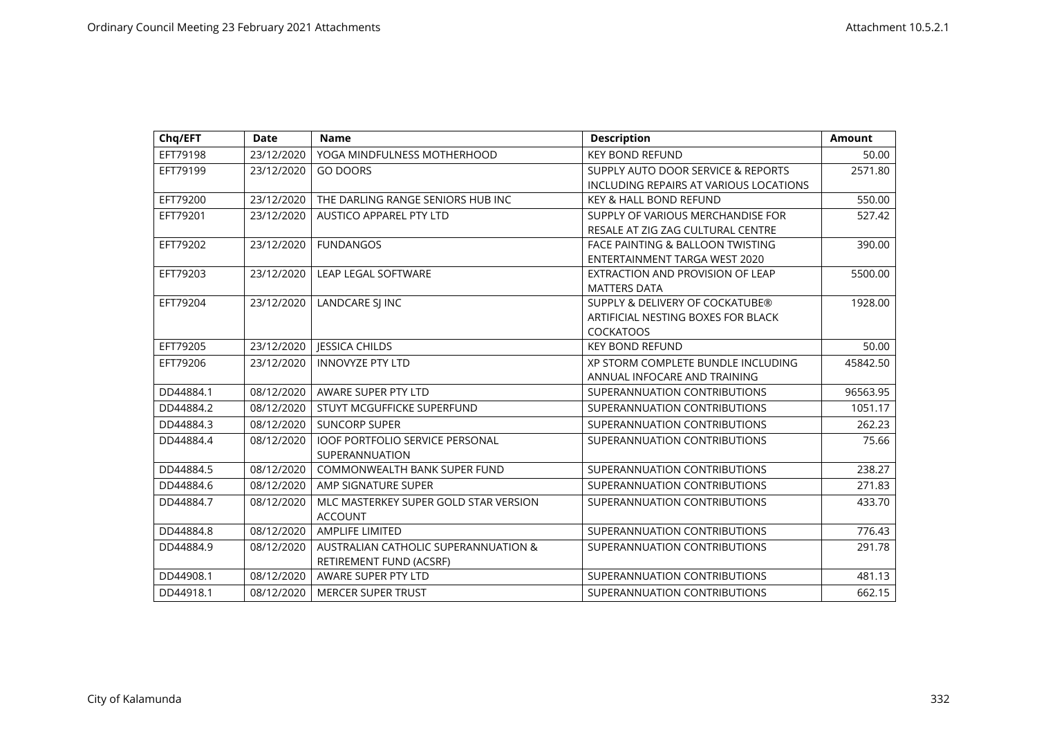| Chq/EFT   | <b>Date</b> | <b>Name</b>                            | <b>Description</b>                          | <b>Amount</b> |
|-----------|-------------|----------------------------------------|---------------------------------------------|---------------|
| EFT79198  | 23/12/2020  | YOGA MINDFULNESS MOTHERHOOD            | <b>KEY BOND REFUND</b>                      | 50.00         |
| EFT79199  | 23/12/2020  | <b>GO DOORS</b>                        | SUPPLY AUTO DOOR SERVICE & REPORTS          | 2571.80       |
|           |             |                                        | INCLUDING REPAIRS AT VARIOUS LOCATIONS      |               |
| EFT79200  | 23/12/2020  | THE DARLING RANGE SENIORS HUB INC      | <b>KEY &amp; HALL BOND REFUND</b>           | 550.00        |
| EFT79201  | 23/12/2020  | <b>AUSTICO APPAREL PTY LTD</b>         | SUPPLY OF VARIOUS MERCHANDISE FOR           | 527.42        |
|           |             |                                        | RESALE AT ZIG ZAG CULTURAL CENTRE           |               |
| EFT79202  | 23/12/2020  | <b>FUNDANGOS</b>                       | <b>FACE PAINTING &amp; BALLOON TWISTING</b> | 390.00        |
|           |             |                                        | ENTERTAINMENT TARGA WEST 2020               |               |
| EFT79203  | 23/12/2020  | LEAP LEGAL SOFTWARE                    | EXTRACTION AND PROVISION OF LEAP            | 5500.00       |
|           |             |                                        | <b>MATTERS DATA</b>                         |               |
| EFT79204  | 23/12/2020  | LANDCARE SJ INC                        | SUPPLY & DELIVERY OF COCKATUBE®             | 1928.00       |
|           |             |                                        | ARTIFICIAL NESTING BOXES FOR BLACK          |               |
|           |             |                                        | <b>COCKATOOS</b>                            |               |
| EFT79205  | 23/12/2020  | <b>JESSICA CHILDS</b>                  | <b>KEY BOND REFUND</b>                      | 50.00         |
| EFT79206  | 23/12/2020  | <b>INNOVYZE PTY LTD</b>                | XP STORM COMPLETE BUNDLE INCLUDING          | 45842.50      |
|           |             |                                        | ANNUAL INFOCARE AND TRAINING                |               |
| DD44884.1 | 08/12/2020  | AWARE SUPER PTY LTD                    | SUPERANNUATION CONTRIBUTIONS                | 96563.95      |
| DD44884.2 | 08/12/2020  | STUYT MCGUFFICKE SUPERFUND             | SUPERANNUATION CONTRIBUTIONS                | 1051.17       |
| DD44884.3 | 08/12/2020  | <b>SUNCORP SUPER</b>                   | SUPERANNUATION CONTRIBUTIONS                | 262.23        |
| DD44884.4 | 08/12/2020  | <b>IOOF PORTFOLIO SERVICE PERSONAL</b> | SUPERANNUATION CONTRIBUTIONS                | 75.66         |
|           |             | SUPERANNUATION                         |                                             |               |
| DD44884.5 | 08/12/2020  | <b>COMMONWEALTH BANK SUPER FUND</b>    | SUPERANNUATION CONTRIBUTIONS                | 238.27        |
| DD44884.6 | 08/12/2020  | AMP SIGNATURE SUPER                    | SUPERANNUATION CONTRIBUTIONS                | 271.83        |
| DD44884.7 | 08/12/2020  | MLC MASTERKEY SUPER GOLD STAR VERSION  | SUPERANNUATION CONTRIBUTIONS                | 433.70        |
|           |             | <b>ACCOUNT</b>                         |                                             |               |
| DD44884.8 | 08/12/2020  | <b>AMPLIFE LIMITED</b>                 | SUPERANNUATION CONTRIBUTIONS                | 776.43        |
| DD44884.9 | 08/12/2020  | AUSTRALIAN CATHOLIC SUPERANNUATION &   | SUPERANNUATION CONTRIBUTIONS                | 291.78        |
|           |             | RETIREMENT FUND (ACSRF)                |                                             |               |
| DD44908.1 | 08/12/2020  | AWARE SUPER PTY LTD                    | SUPERANNUATION CONTRIBUTIONS                | 481.13        |
| DD44918.1 | 08/12/2020  | <b>MERCER SUPER TRUST</b>              | SUPERANNUATION CONTRIBUTIONS                | 662.15        |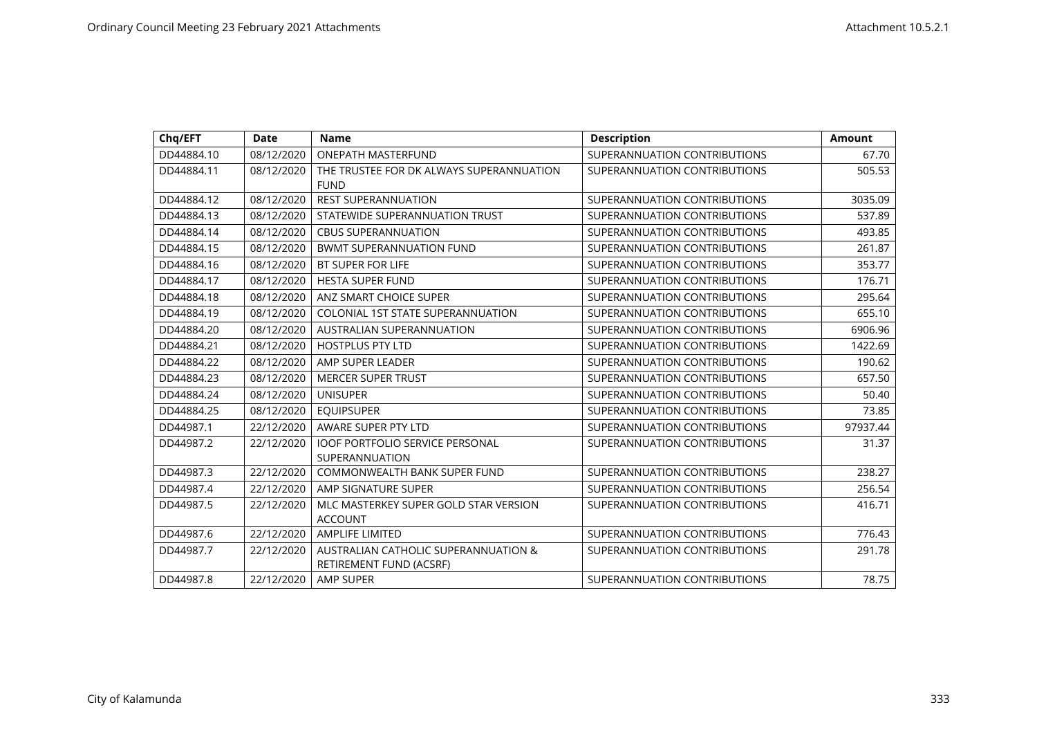| Chq/EFT    | <b>Date</b> | <b>Name</b>                                                     | <b>Description</b>           | <b>Amount</b> |
|------------|-------------|-----------------------------------------------------------------|------------------------------|---------------|
| DD44884.10 | 08/12/2020  | <b>ONEPATH MASTERFUND</b>                                       | SUPERANNUATION CONTRIBUTIONS | 67.70         |
| DD44884.11 | 08/12/2020  | THE TRUSTEE FOR DK ALWAYS SUPERANNUATION<br><b>FUND</b>         | SUPERANNUATION CONTRIBUTIONS | 505.53        |
| DD44884.12 | 08/12/2020  | <b>REST SUPERANNUATION</b>                                      | SUPERANNUATION CONTRIBUTIONS | 3035.09       |
| DD44884.13 | 08/12/2020  | STATEWIDE SUPERANNUATION TRUST                                  | SUPERANNUATION CONTRIBUTIONS | 537.89        |
| DD44884.14 | 08/12/2020  | <b>CBUS SUPERANNUATION</b>                                      | SUPERANNUATION CONTRIBUTIONS | 493.85        |
| DD44884.15 | 08/12/2020  | <b>BWMT SUPERANNUATION FUND</b>                                 | SUPERANNUATION CONTRIBUTIONS | 261.87        |
| DD44884.16 | 08/12/2020  | <b>BT SUPER FOR LIFE</b>                                        | SUPERANNUATION CONTRIBUTIONS | 353.77        |
| DD44884.17 | 08/12/2020  | <b>HESTA SUPER FUND</b>                                         | SUPERANNUATION CONTRIBUTIONS | 176.71        |
| DD44884.18 | 08/12/2020  | ANZ SMART CHOICE SUPER                                          | SUPERANNUATION CONTRIBUTIONS | 295.64        |
| DD44884.19 | 08/12/2020  | <b>COLONIAL 1ST STATE SUPERANNUATION</b>                        | SUPERANNUATION CONTRIBUTIONS | 655.10        |
| DD44884.20 | 08/12/2020  | AUSTRALIAN SUPERANNUATION                                       | SUPERANNUATION CONTRIBUTIONS | 6906.96       |
| DD44884.21 | 08/12/2020  | <b>HOSTPLUS PTY LTD</b>                                         | SUPERANNUATION CONTRIBUTIONS | 1422.69       |
| DD44884.22 | 08/12/2020  | AMP SUPER LEADER                                                | SUPERANNUATION CONTRIBUTIONS | 190.62        |
| DD44884.23 | 08/12/2020  | <b>MERCER SUPER TRUST</b>                                       | SUPERANNUATION CONTRIBUTIONS | 657.50        |
| DD44884.24 | 08/12/2020  | <b>UNISUPER</b>                                                 | SUPERANNUATION CONTRIBUTIONS | 50.40         |
| DD44884.25 | 08/12/2020  | <b>EQUIPSUPER</b>                                               | SUPERANNUATION CONTRIBUTIONS | 73.85         |
| DD44987.1  | 22/12/2020  | AWARE SUPER PTY LTD                                             | SUPERANNUATION CONTRIBUTIONS | 97937.44      |
| DD44987.2  | 22/12/2020  | <b>IOOF PORTFOLIO SERVICE PERSONAL</b><br>SUPERANNUATION        | SUPERANNUATION CONTRIBUTIONS | 31.37         |
| DD44987.3  | 22/12/2020  | <b>COMMONWEALTH BANK SUPER FUND</b>                             | SUPERANNUATION CONTRIBUTIONS | 238.27        |
| DD44987.4  | 22/12/2020  | AMP SIGNATURE SUPER                                             | SUPERANNUATION CONTRIBUTIONS | 256.54        |
| DD44987.5  | 22/12/2020  | MLC MASTERKEY SUPER GOLD STAR VERSION<br><b>ACCOUNT</b>         | SUPERANNUATION CONTRIBUTIONS | 416.71        |
| DD44987.6  | 22/12/2020  | AMPLIFE LIMITED                                                 | SUPERANNUATION CONTRIBUTIONS | 776.43        |
| DD44987.7  | 22/12/2020  | AUSTRALIAN CATHOLIC SUPERANNUATION &<br>RETIREMENT FUND (ACSRF) | SUPERANNUATION CONTRIBUTIONS | 291.78        |
| DD44987.8  | 22/12/2020  | AMP SUPER                                                       | SUPERANNUATION CONTRIBUTIONS | 78.75         |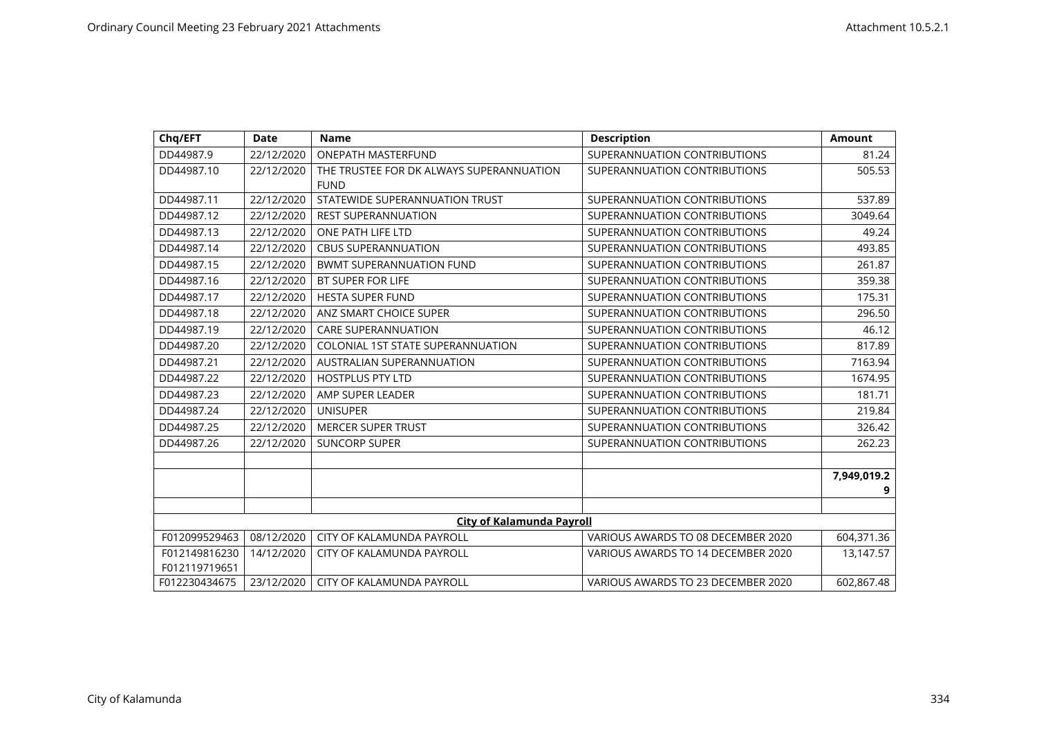| Chq/EFT                        | <b>Date</b> | <b>Name</b>                                             | <b>Description</b>                 | <b>Amount</b>    |
|--------------------------------|-------------|---------------------------------------------------------|------------------------------------|------------------|
| DD44987.9                      | 22/12/2020  | <b>ONEPATH MASTERFUND</b>                               | SUPERANNUATION CONTRIBUTIONS       | 81.24            |
| DD44987.10                     | 22/12/2020  | THE TRUSTEE FOR DK ALWAYS SUPERANNUATION<br><b>FUND</b> | SUPERANNUATION CONTRIBUTIONS       | 505.53           |
| DD44987.11                     | 22/12/2020  | STATEWIDE SUPERANNUATION TRUST                          | SUPERANNUATION CONTRIBUTIONS       | 537.89           |
| DD44987.12                     | 22/12/2020  | <b>REST SUPERANNUATION</b>                              | SUPERANNUATION CONTRIBUTIONS       | 3049.64          |
| DD44987.13                     | 22/12/2020  | ONE PATH LIFE LTD                                       | SUPERANNUATION CONTRIBUTIONS       | 49.24            |
| DD44987.14                     | 22/12/2020  | <b>CBUS SUPERANNUATION</b>                              | SUPERANNUATION CONTRIBUTIONS       | 493.85           |
| DD44987.15                     | 22/12/2020  | <b>BWMT SUPERANNUATION FUND</b>                         | SUPERANNUATION CONTRIBUTIONS       | 261.87           |
| DD44987.16                     | 22/12/2020  | <b>BT SUPER FOR LIFE</b>                                | SUPERANNUATION CONTRIBUTIONS       | 359.38           |
| DD44987.17                     | 22/12/2020  | <b>HESTA SUPER FUND</b>                                 | SUPERANNUATION CONTRIBUTIONS       | 175.31           |
| DD44987.18                     | 22/12/2020  | ANZ SMART CHOICE SUPER                                  | SUPERANNUATION CONTRIBUTIONS       | 296.50           |
| DD44987.19                     | 22/12/2020  | <b>CARE SUPERANNUATION</b>                              | SUPERANNUATION CONTRIBUTIONS       | 46.12            |
| DD44987.20                     | 22/12/2020  | <b>COLONIAL 1ST STATE SUPERANNUATION</b>                | SUPERANNUATION CONTRIBUTIONS       | 817.89           |
| DD44987.21                     | 22/12/2020  | AUSTRALIAN SUPERANNUATION                               | SUPERANNUATION CONTRIBUTIONS       | 7163.94          |
| DD44987.22                     | 22/12/2020  | <b>HOSTPLUS PTY LTD</b>                                 | SUPERANNUATION CONTRIBUTIONS       | 1674.95          |
| DD44987.23                     | 22/12/2020  | AMP SUPER LEADER                                        | SUPERANNUATION CONTRIBUTIONS       | 181.71           |
| DD44987.24                     | 22/12/2020  | <b>UNISUPER</b>                                         | SUPERANNUATION CONTRIBUTIONS       | 219.84           |
| DD44987.25                     | 22/12/2020  | <b>MERCER SUPER TRUST</b>                               | SUPERANNUATION CONTRIBUTIONS       | 326.42           |
| DD44987.26                     | 22/12/2020  | <b>SUNCORP SUPER</b>                                    | SUPERANNUATION CONTRIBUTIONS       | 262.23           |
|                                |             |                                                         |                                    | 7,949,019.2<br>9 |
|                                |             |                                                         |                                    |                  |
|                                |             | <b>City of Kalamunda Payroll</b>                        |                                    |                  |
| F012099529463                  | 08/12/2020  | CITY OF KALAMUNDA PAYROLL                               | VARIOUS AWARDS TO 08 DECEMBER 2020 | 604,371.36       |
| F012149816230<br>F012119719651 | 14/12/2020  | CITY OF KALAMUNDA PAYROLL                               | VARIOUS AWARDS TO 14 DECEMBER 2020 | 13,147.57        |
| F012230434675                  | 23/12/2020  | CITY OF KALAMUNDA PAYROLL                               | VARIOUS AWARDS TO 23 DECEMBER 2020 | 602,867.48       |